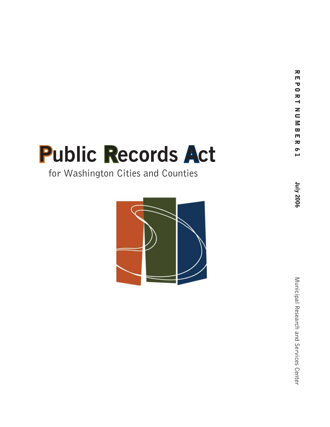# **Public Records Act**

# for Washington Cities and Counties

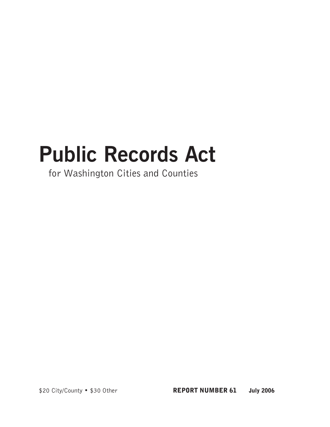# **Public Records Act**

for Washington Cities and Counties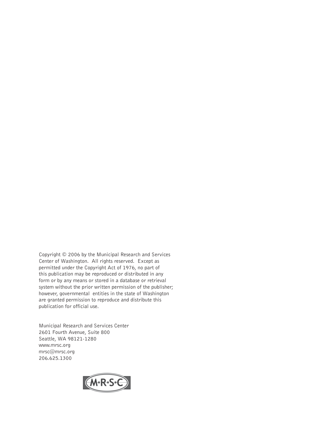Copyright © 2006 by the Municipal Research and Services Center of Washington. All rights reserved. Except as permitted under the Copyright Act of 1976, no part of this publication may be reproduced or distributed in any form or by any means or stored in a database or retrieval system without the prior written permission of the publisher; however, governmental entities in the state of Washington are granted permission to reproduce and distribute this publication for official use.

Municipal Research and Services Center 2601 Fourth Avenue, Suite 800 Seattle, WA 98121-1280 www.mrsc.org mrsc@mrsc.org 206.625.1300

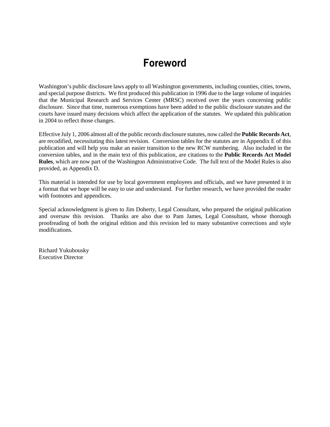# Foreword

Washington's public disclosure laws apply to all Washington governments, including counties, cities, towns, and special purpose districts. We first produced this publication in 1996 due to the large volume of inquiries that the Municipal Research and Services Center (MRSC) received over the years concerning public disclosure. Since that time, numerous exemptions have been added to the public disclosure statutes and the courts have issued many decisions which affect the application of the statutes. We updated this publication in 2004 to reflect those changes.

Effective July 1, 2006 almost all of the public records disclosure statutes, now called the **Public Records Act**, are recodified, necessitating this latest revision. Conversion tables for the statutes are in Appendix E of this publication and will help you make an easier transition to the new RCW numbering. Also included in the conversion tables, and in the main text of this publication, are citations to the **Public Records Act Model Rules**, which are now part of the Washington Administrative Code. The full text of the Model Rules is also provided, as Appendix D.

This material is intended for use by local government employees and officials, and we have presented it in a format that we hope will be easy to use and understand. For further research, we have provided the reader with footnotes and appendices.

Special acknowledgment is given to Jim Doherty, Legal Consultant, who prepared the original publication and oversaw this revision. Thanks are also due to Pam James, Legal Consultant, whose thorough proofreading of both the original edition and this revision led to many substantive corrections and style modifications.

Richard Yukubousky Executive Director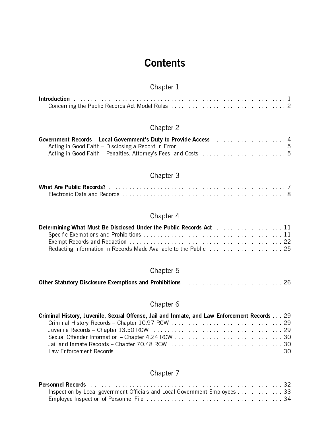# **Contents**

# Chapter 1

# Chapter 2

| Acting in Good Faith – Disclosing a Record in Error enter-the content of the content of 5 |  |
|-------------------------------------------------------------------------------------------|--|
|                                                                                           |  |

# Chapter 3

| What Are Public Records?    |  |  |  |
|-----------------------------|--|--|--|
| Electronic Data and Records |  |  |  |

## Chapter 4

| Determining What Must Be Disclosed Under the Public Records Act [11] [11] Determining What Must Be Disclosed Under the Public Records Act [11] [12] |  |
|-----------------------------------------------------------------------------------------------------------------------------------------------------|--|
|                                                                                                                                                     |  |
|                                                                                                                                                     |  |
|                                                                                                                                                     |  |

# Chapter 5

| Other Statutory Disclosure Exemptions and Prohibitions Material Accounts and Accounts 26 |  |  |
|------------------------------------------------------------------------------------------|--|--|
|------------------------------------------------------------------------------------------|--|--|

## Chapter 6

| Criminal History, Juvenile, Sexual Offense, Jail and Inmate, and Law Enforcement Records 29 |  |
|---------------------------------------------------------------------------------------------|--|
|                                                                                             |  |
|                                                                                             |  |
|                                                                                             |  |
|                                                                                             |  |
|                                                                                             |  |

# Chapter 7

| Personnel Records <b>Entry Little Controller Controller Controller</b> Controller Controller Controller Controller Co |  |
|-----------------------------------------------------------------------------------------------------------------------|--|
| Inspection by Local government Officials and Local Government Employees 33                                            |  |
|                                                                                                                       |  |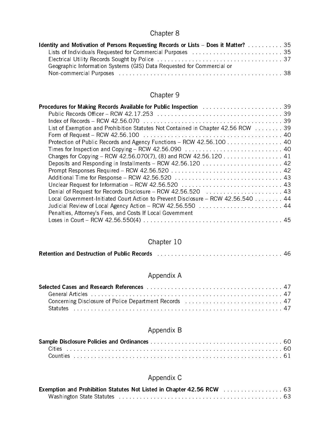# Chapter 8

| <b>Identity and Motivation of Persons Requesting Records or Lists - Does it Matter?</b> 2006. 2015. 2016 |  |
|----------------------------------------------------------------------------------------------------------|--|
| Lists of Individuals Requested for Commercial Purposes entitled and contained as a 35                    |  |
|                                                                                                          |  |
| Geographic Information Systems (GIS) Data Requested for Commercial or                                    |  |
|                                                                                                          |  |

# Chapter 9

| Protection of Public Records and Agency Functions - RCW 42.56.100 40              |
|-----------------------------------------------------------------------------------|
|                                                                                   |
|                                                                                   |
|                                                                                   |
|                                                                                   |
|                                                                                   |
|                                                                                   |
| Denial of Request for Records Disclosure - RCW 42.56.520                          |
| Local Government-Initiated Court Action to Prevent Disclosure - RCW 42.56.540  44 |
|                                                                                   |
| Penalties, Attorney's Fees, and Costs If Local Government                         |
|                                                                                   |

## Chapter 10

| <b>Retention and Destruction of Public Records</b> |  |
|----------------------------------------------------|--|
|                                                    |  |

# Appendix A

# Appendix B

# Appendix C

| Exemption and Prohibition Statutes Not Listed in Chapter 42.56 RCW [11] Later Linessense 63 |  |
|---------------------------------------------------------------------------------------------|--|
|                                                                                             |  |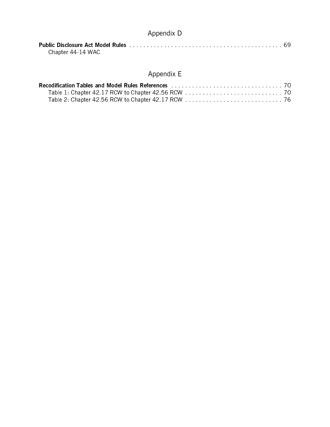# Appendix D

| Chapter 44-14 WAC |  |  |  |  |  |  |  |  |  |  |  |
|-------------------|--|--|--|--|--|--|--|--|--|--|--|

# Appendix E

| Recodification Tables and Model Rules References Material Communication of the To |  |
|-----------------------------------------------------------------------------------|--|
|                                                                                   |  |
|                                                                                   |  |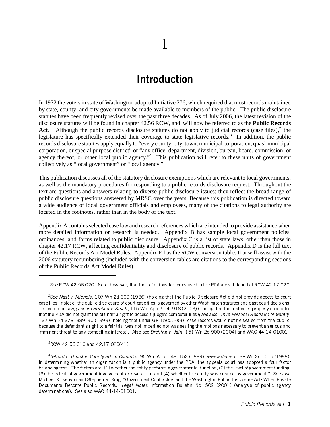# Introduction

In 1972 the voters in state of Washington adopted Initiative 276, which required that most records maintained by state, county, and city governments be made available to members of the public. The public disclosure statutes have been frequently revised over the past three decades. As of July 2006, the latest revision of the disclosure statutes will be found in chapter 42.56 RCW, and will now be referred to as the **Public Records** Act.<sup>1</sup> Although the public records disclosure statutes do not apply to judicial records (case files),<sup>2</sup> the legislature has specifically extended their coverage to state legislative records.<sup>3</sup> In addition, the public records disclosure statutes apply equally to "every county, city, town, municipal corporation, quasi-municipal corporation, or special purpose district" or "any office, department, division, bureau, board, commission, or agency thereof, or other local public agency."<sup>4</sup> This publication will refer to these units of government collectively as "local government" or "local agency."

This publication discusses all of the statutory disclosure exemptions which are relevant to local governments, as well as the mandatory procedures for responding to a public records disclosure request. Throughout the text are questions and answers relating to diverse public disclosure issues; they reflect the broad range of public disclosure questions answered by MRSC over the years. Because this publication is directed toward a wide audience of local government officials and employees, many of the citations to legal authority are located in the footnotes, rather than in the body of the text.

Appendix A contains selected case law and research references which are intended to provide assistance when more detailed information or research is needed. Appendix B has sample local government policies, ordinances, and forms related to public disclosure. Appendix C is a list of state laws, other than those in chapter 42.17 RCW, affecting confidentiality and disclosure of public records. Appendix D is the full text of the Public Records Act Model Rules. Appendix E has the RCW conversion tables that will assist with the 2006 statutory renumbering (included with the conversion tables are citations to the corresponding sections of the Public Records Act Model Rules).

<sup>1</sup> See RCW 42.56.020. Note, however, that the definitions for terms used in the PDA are still found at RCW 42.17.020.

<sup>2</sup> See Nast v. Michels, 107 Wn.2d 300 (1986) (holding that the Public Disclosure Act did not provide access to court case files, instead, the public disclosure of court case files is governed by other Washington statutes and past court decisions, i.e., common law); accord Beuhler v. Small, 115 Wn. App. 914, 918 (2003) (finding that the trial court properly concluded that the PDA did not grant the plaintiff a right to access a judge's computer files); see also, In re Personal Restraint of Gentry, 137 Wn.2d 378, 389–90 (1999) (holding that under GR 15(c)(2)(B), case records would not be sealed from the public, because the defendant's right to a fair trial was not imperiled nor was sealing the motions necessary to prevent a serious and imminent threat to any compelling interest). Also see Dreiling v. Jain, 151 Wn.2d 900 (2004) and WAC 44-14-01001.

<sup>3</sup> RCW 42.56.010 and 42.17.020(41).

<sup>4</sup> Telford v. Thurston County Bd. of Comm'rs, 95 Wn. App. 149, 152 (1999), review denied 138 Wn.2d 1015 (1999). In determining whether an organization is a public agency under the PDA, the appeals court has adopted a four factor balancing test: "The factors are: (1) whether the entity performs a governmental function; (2) the level of government funding; (3) the extent of government involvement or regulation; and (4) whether the entity was created by government." See also Michael R. Kenyon and Stephen R. King, "Government Contractors and the Washington Public Disclosure Act: When Private Documents Become Public Records," Legal Notes Information Bulletin No. 509 (2001) (analysis of public agency determinations). See also WAC 44-14-01001.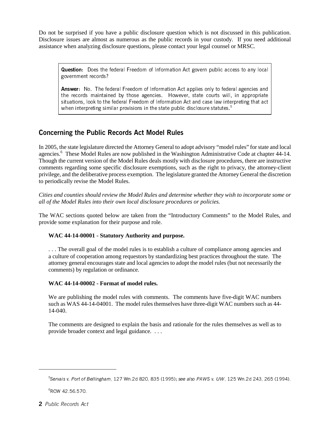Do not be surprised if you have a public disclosure question which is not discussed in this publication. Disclosure issues are almost as numerous as the public records in your custody. If you need additional assistance when analyzing disclosure questions, please contact your legal counsel or MRSC.

Question: Does the federal Freedom of Information Act govern public access to any local government records?

Answer: No. The federal Freedom of Information Act applies only to federal agencies and the records maintained by those agencies. However, state courts will, in appropriate situations, look to the federal Freedom of Information Act and case law interpreting that act when interpreting similar provisions in the state public disclosure statutes.<sup>5</sup>

#### Concerning the Public Records Act Model Rules

In 2005, the state legislature directed the Attorney General to adopt advisory "model rules" for state and local agencies.<sup>8</sup> These Model Rules are now published in the Washington Administrative Code at chapter 44-14. Though the current version of the Model Rules deals mostly with disclosure procedures, there are instructive comments regarding some specific disclosure exemptions, such as the right to privacy, the attorney-client privilege, and the deliberative process exemption. The legislature granted the Attorney General the discretion to periodically revise the Model Rules.

*Cities and counties should review the Model Rules and determine whether they wish to incorporate some or all of the Model Rules into their own local disclosure procedures or policies.*

The WAC sections quoted below are taken from the "Introductory Comments" to the Model Rules, and provide some explanation for their purpose and role.

#### **WAC 44-14-00001 - Statutory Authority and purpose.**

. . . The overall goal of the model rules is to establish a culture of compliance among agencies and a culture of cooperation among requestors by standardizing best practices throughout the state. The attorney general encourages state and local agencies to adopt the model rules (but not necessarily the comments) by regulation or ordinance.

#### **WAC 44-14-00002 - Format of model rules.**

We are publishing the model rules with comments. The comments have five-digit WAC numbers such as WAS 44-14-04001. The model rules themselves have three-digit WAC numbers such as 44- 14-040.

The comments are designed to explain the basis and rationale for the rules themselves as well as to provide broader context and legal guidance. . . .

6 RCW 42.56.570.

<sup>5</sup> Servais v. Port of Bellingham, 127 Wn.2d 820, 835 (1995); see also PAWS v. UW, 125 Wn.2d 243, 265 (1994).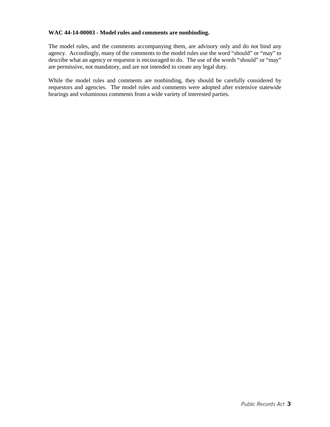#### **WAC 44-14-00003 - Model rules and comments are nonbinding.**

The model rules, and the comments accompanying them, are advisory only and do not bind any agency. Accordingly, many of the comments to the model rules use the word "should" or "may" to describe what an agency or requestor is encouraged to do. The use of the words "should" or "may" are permissive, not mandatory, and are not intended to create any legal duty.

While the model rules and comments are nonbinding, they should be carefully considered by requestors and agencies. The model rules and comments were adopted after extensive statewide hearings and voluminous comments from a wide variety of interested parties.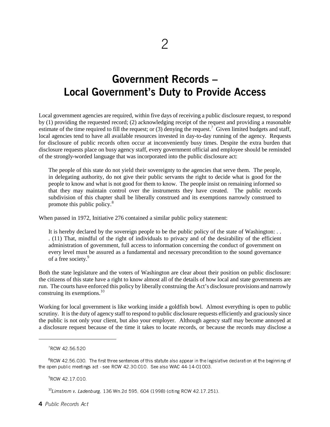# Government Records – Local Government's Duty to Provide Access

Local government agencies are required, within five days of receiving a public disclosure request, to respond by (1) providing the requested record; (2) acknowledging receipt of the request and providing a reasonable estimate of the time required to fill the request; or (3) denying the request. Given limited budgets and staff, local agencies tend to have all available resources invested in day-to-day running of the agency. Requests for disclosure of public records often occur at inconveniently busy times. Despite the extra burden that disclosure requests place on busy agency staff, every government official and employee should be reminded of the strongly-worded language that was incorporated into the public disclosure act:

The people of this state do not yield their sovereignty to the agencies that serve them. The people, in delegating authority, do not give their public servants the right to decide what is good for the people to know and what is not good for them to know. The people insist on remaining informed so that they may maintain control over the instruments they have created. The public records subdivision of this chapter shall be liberally construed and its exemptions narrowly construed to promote this public policy.<sup>8</sup>

When passed in 1972, Initiative 276 contained a similar public policy statement:

It is hereby declared by the sovereign people to be the public policy of the state of Washington: . . . (11) That, mindful of the right of individuals to privacy and of the desirability of the efficient administration of government, full access to information concerning the conduct of government on every level must be assured as a fundamental and necessary precondition to the sound governance of a free society.<sup>9</sup>

Both the state legislature and the voters of Washington are clear about their position on public disclosure: the citizens of this state have a right to know almost all of the details of how local and state governments are run. The courts have enforced this policy by liberally construing the Act's disclosure provisions and narrowly construing its exemptions.<sup>10</sup>

Working for local government is like working inside a goldfish bowl. Almost everything is open to public scrutiny. It is the duty of agency staff to respond to public disclosure requests efficiently and graciously since the public is not only your client, but also your employer. Although agency staff may become annoyed at a disclosure request because of the time it takes to locate records, or because the records may disclose a

9 RCW 42.17.010.

<sup>10</sup>Limstrom v. Ladenburg, 136 Wn.2d 595, 604 (1998) (citing RCW 42.17.251).

4 Public Records Act

<sup>7</sup> RCW 42.56.520

 ${}^8$ RCW 42.56.030. The first three sentences of this statute also appear in the legislative declaration at the beginning of the open public meetings act - see RCW 42.30.010. See also WAC 44-14-01003.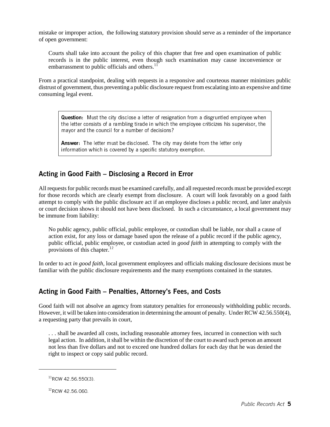mistake or improper action, the following statutory provision should serve as a reminder of the importance of open government:

Courts shall take into account the policy of this chapter that free and open examination of public records is in the public interest, even though such examination may cause inconvenience or embarrassment to public officials and others.<sup>11</sup>

From a practical standpoint, dealing with requests in a responsive and courteous manner minimizes public distrust of government, thus preventing a public disclosure request from escalating into an expensive and time consuming legal event.

Question: Must the city disclose a letter of resignation from a disgruntled employee when the letter consists of a rambling tirade in which the employee criticizes his supervisor, the mayor and the council for a number of decisions?

Answer: The letter must be disclosed. The city may delete from the letter only information which is covered by a specific statutory exemption.

#### Acting in Good Faith – Disclosing a Record in Error

All requests for public records must be examined carefully, and all requested records must be provided except for those records which are clearly exempt from disclosure. A court will look favorably on a good faith attempt to comply with the public disclosure act if an employee discloses a public record, and later analysis or court decision shows it should not have been disclosed. In such a circumstance, a local government may be immune from liability:

No public agency, public official, public employee, or custodian shall be liable, nor shall a cause of action exist, for any loss or damage based upon the release of a public record if the public agency, public official, public employee, or custodian acted in *good faith* in attempting to comply with the provisions of this chapter.<sup>12</sup>

In order to act *in good faith,* local government employees and officials making disclosure decisions must be familiar with the public disclosure requirements and the many exemptions contained in the statutes.

#### Acting in Good Faith – Penalties, Attorney's Fees, and Costs

Good faith will not absolve an agency from statutory penalties for erroneously withholding public records. However, it will be taken into consideration in determining the amount of penalty. Under RCW 42.56.550(4), a requesting party that prevails in court,

. . . shall be awarded all costs, including reasonable attorney fees, incurred in connection with such legal action. In addition, it shall be within the discretion of the court to award such person an amount not less than five dollars and not to exceed one hundred dollars for each day that he was denied the right to inspect or copy said public record.

 $11$ RCW 42.56.550(3).

<sup>12</sup>RCW 42.56.060.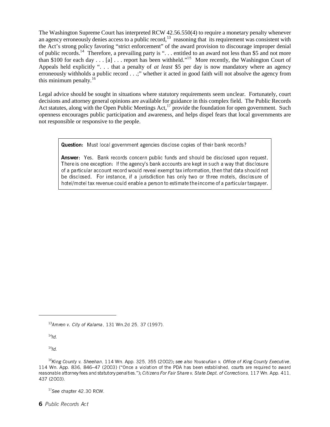The Washington Supreme Court has interpreted RCW 42.56.550(4) to require a monetary penalty whenever an agency erroneously denies access to a public record,<sup>13</sup> reasoning that its requirement was consistent with the Act's strong policy favoring "strict enforcement" of the award provision to discourage improper denial of public records.<sup>14</sup> Therefore, a prevailing party is "... entitled to an award not less than \$5 and not more than \$100 for each day . . . [a] . . . report has been withheld."15 More recently, the Washington Court of Appeals held explicitly ". . . that a penalty of *at least* \$5 per day is now mandatory where an agency erroneously withholds a public record . . .;" whether it acted in good faith will not absolve the agency from this minimum penalty. $16$ 

Legal advice should be sought in situations where statutory requirements seem unclear. Fortunately, court decisions and attorney general opinions are available for guidance in this complex field. The Public Records Act statutes, along with the Open Public Meetings Act, $17$  provide the foundation for open government. Such openness encourages public participation and awareness, and helps dispel fears that local governments are not responsible or responsive to the people.

Question: Must local government agencies disclose copies of their bank records?

Answer: Yes. Bank records concern public funds and should be disclosed upon request. There is one exception: If the agency's bank accounts are kept in such a way that disclosure of a particular account record would reveal exempt tax information, then that data should not be disclosed. For instance, if a jurisdiction has only two or three motels, disclosure of hotel/motel tax revenue could enable a person to estimate the income of a particular taxpayer.

13Amren v. City of Kalama, 131 Wn.2d 25, 37 (1997).

 $14/d$ .

 $15$ Id.

<sup>17</sup>See chapter 42.30 RCW.

6 Public Records Act

 $16$ King County v. Sheehan, 114 Wn. App. 325, 355 (2002); see also Yousoufian v. Office of King County Executive, 114 Wn. App. 836, 846–47 (2003) ("Once a violation of the PDA has been established, courts are required to award reasonable attorney fees and statutory penalties."); Citizens For Fair Share v. State Dept. of Corrections, 117 Wn. App. 411, 437 (2003).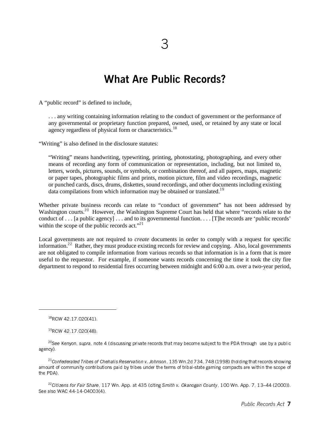# What Are Public Records?

A "public record" is defined to include,

. . . any writing containing information relating to the conduct of government or the performance of any governmental or proprietary function prepared, owned, used, or retained by any state or local agency regardless of physical form or characteristics.<sup>18</sup>

"Writing" is also defined in the disclosure statutes:

"Writing" means handwriting, typewriting, printing, photostating, photographing, and every other means of recording any form of communication or representation, including, but not limited to, letters, words, pictures, sounds, or symbols, or combination thereof, and all papers, maps, magnetic or paper tapes, photographic films and prints, motion picture, film and video recordings, magnetic or punched cards, discs, drums, diskettes, sound recordings, and other documents including existing data compilations from which information may be obtained or translated.<sup>19</sup>

Whether private business records can relate to "conduct of government" has not been addressed by Washington courts.<sup>20</sup> However, the Washington Supreme Court has held that where "records relate to the conduct of . . . [a public agency] . . . and to its governmental function. . . . [T]he records are 'public records' within the scope of the public records act."<sup>21</sup>

Local governments are not required to *create* documents in order to comply with a request for specific information.<sup>22</sup> Rather, they must produce existing records for review and copying. Also, local governments are not obligated to compile information from various records so that information is in a form that is more useful to the requestor. For example, if someone wants records concerning the time it took the city fire department to respond to residential fires occurring between midnight and 6:00 a.m. over a two-year period,

<sup>21</sup>Confederated Tribes of Chehalis Reservation v. Johnson, 135 Wn.2d 734, 748 (1998) (holding that records showing amount of community contributions paid by tribes under the terms of tribal-state gaming compacts are within the scope of the PDA).

<sup>22</sup>Citizens for Fair Share, 117 Wn. App. at 435 (citing Smith v. Okanogan County, 100 Wn. App. 7, 13–44 (2000)). See also WAC 44-14-04003(4).

 $18$ RCW 42.17.020(41).

 $19$ RCW 42.17.020(48).

<sup>&</sup>lt;sup>20</sup>See Kenyon, supra, note 4 (discussing private records that may become subject to the PDA through use by a public agency).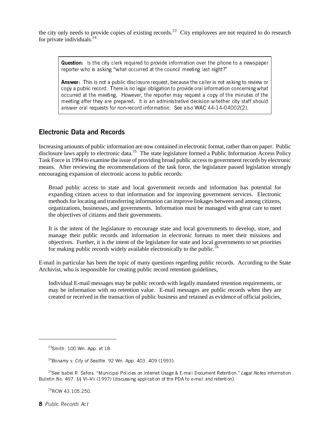the city only needs to provide copies of existing records.<sup>23</sup> City employees are not required to do research for private individuals. $^{24}$ 

Question: Is the city clerk required to provide information over the phone to a newspaper reporter who is asking "what occurred at the council meeting last night?"

Answer: This is not a public disclosure request, because the caller is not asking to review or copy a public record. There is no legal obligation to provide oral information concerning what occurred at the meeting. However, the reporter may request a copy of the minutes of the meeting after they are prepared. It is an administrative decision whether city staff should answer oral requests for non-record information. See also WAC 44-14-04002(2).

#### Electronic Data and Records

Increasing amounts of public information are now contained in electronic format, rather than on paper. Public disclosure laws apply to electronic data.<sup>25</sup> The state legislature formed a Public Information Access Policy Task Force in 1994 to examine the issue of providing broad public access to government records by electronic means. After reviewing the recommendations of the task force, the legislature passed legislation strongly encouraging expansion of electronic access to public records:

Broad public access to state and local government records and information has potential for expanding citizen access to that information and for improving government services. Electronic methods for locating and transferring information can improve linkages between and among citizens, organizations, businesses, and governments. Information must be managed with great care to meet the objectives of citizens and their governments.

It is the intent of the legislature to encourage state and local governments to develop, store, and manage their public records and information in electronic formats to meet their missions and objectives. Further, it is the intent of the legislature for state and local governments to set priorities for making public records widely available electronically to the public.<sup>26</sup>

E-mail in particular has been the topic of many questions regarding public records. According to the State Archivist, who is responsible for creating public record retention guidelines,

Individual E-mail messages may be public records with legally mandated retention requirements, or may be information with no retention value. E-mail messages are public records when they are created or received in the transaction of public business and retained as evidence of official policies,

<sup>26</sup>RCW 43.105.250.

8 Public Records Act

 $23$ Smith, 100 Wn. App. at 18.

 $24$ Bonamy v. City of Seattle, 92 Wn. App. 403, 409 (1993).

<sup>&</sup>lt;sup>25</sup>See Isabel R. Safora, "Municipal Policies on Internet Usage & E-mail Document Retention," Legal Notes Information Bulletin No. 497, §§ VI–VII (1997) (discussing application of the PDA to e-mail and retention).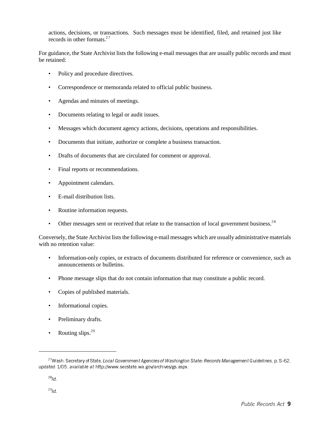actions, decisions, or transactions. Such messages must be identified, filed, and retained just like records in other formats.<sup>27</sup>

For guidance, the State Archivist lists the following e-mail messages that are usually public records and must be retained:

- Policy and procedure directives.
- Correspondence or memoranda related to official public business.
- Agendas and minutes of meetings.
- Documents relating to legal or audit issues.
- Messages which document agency actions, decisions, operations and responsibilities.
- Documents that initiate, authorize or complete a business transaction.
- Drafts of documents that are circulated for comment or approval.
- Final reports or recommendations.
- Appointment calendars.
- E-mail distribution lists.
- Routine information requests.
- Other messages sent or received that relate to the transaction of local government business.<sup>28</sup>

Conversely, the State Archivist lists the following e-mail messages which are usually administrative materials with no retention value:

- Information-only copies, or extracts of documents distributed for reference or convenience, such as announcements or bulletins.
- Phone message slips that do not contain information that may constitute a public record.
- Copies of published materials.
- Informational copies.
- Preliminary drafts.
- Routing slips. $^{29}$

 $^{28}$ Id.

<sup>&</sup>lt;sup>27</sup> Wash. Secretary of State, Local Government Agencies of Washington State: Records Management Guidelines, p. S-62, updated 1/05, available at http://www.secstate.wa.gov/archives/gs.aspx.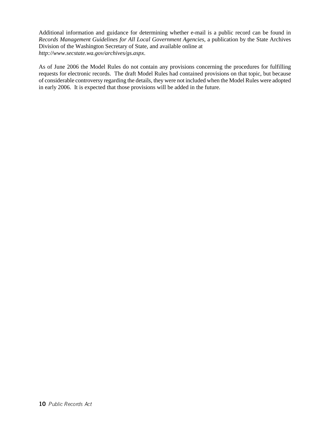Additional information and guidance for determining whether e-mail is a public record can be found in *Records Management Guidelines for All Local Government Agencies*, a publication by the State Archives Division of the Washington Secretary of State, and available online at *http://www.secstate.wa.gov/archives/gs.aspx*.

As of June 2006 the Model Rules do not contain any provisions concerning the procedures for fulfilling requests for electronic records. The draft Model Rules had contained provisions on that topic, but because of considerable controversy regarding the details, they were not included when the Model Rules were adopted in early 2006. It is expected that those provisions will be added in the future.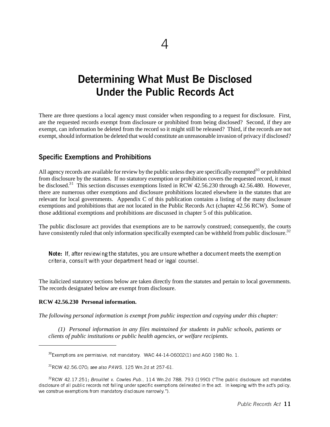# Determining What Must Be Disclosed Under the Public Records Act

There are three questions a local agency must consider when responding to a request for disclosure. First, are the requested records exempt from disclosure or prohibited from being disclosed? Second, if they are exempt, can information be deleted from the record so it might still be released? Third, if the records are not exempt, should information be deleted that would constitute an unreasonable invasion of privacy if disclosed?

#### Specific Exemptions and Prohibitions

All agency records are available for review by the public unless they are specifically exempted<sup>30</sup> or prohibited from disclosure by the statutes. If no statutory exemption or prohibition covers the requested record, it must be disclosed.<sup>31</sup> This section discusses exemptions listed in RCW 42.56.230 through 42.56.480. However, there are numerous other exemptions and disclosure prohibitions located elsewhere in the statutes that are relevant for local governments. Appendix C of this publication contains a listing of the many disclosure exemptions and prohibitions that are not located in the Public Records Act (chapter 42.56 RCW). Some of those additional exemptions and prohibitions are discussed in chapter 5 of this publication.

The public disclosure act provides that exemptions are to be narrowly construed; consequently, the courts have consistently ruled that only information specifically exempted can be withheld from public disclosure.<sup>32</sup>

Note: If, after reviewing the statutes, you are unsure whether a document meets the exemption criteria, consult with your department head or legal counsel.

The italicized statutory sections below are taken directly from the statutes and pertain to local governments. The records designated below are exempt from disclosure.

#### **RCW 42.56.230 Personal information.**

*The following personal information is exempt from public inspection and copying under this chapter:*

*(1) Personal information in any files maintained for students in public schools, patients or clients of public institutions or public health agencies, or welfare recipients.*

 $30$ Exemptions are permissive, not mandatory. WAC 44-14-06002(1) and AGO 1980 No. 1.

 $31$ RCW 42.56.070; see also PAWS, 125 Wn.2d at 257-61.

<sup>32</sup>RCW 42.17.251; Brouillet v. Cowles Pub., 114 Wn.2d 788, 793 (1990) ("The public disclosure act mandates disclosure of all public records not falling under specific exemptions delineated in the act. In keeping with the act's policy, we construe exemptions from mandatory disclosure narrowly.").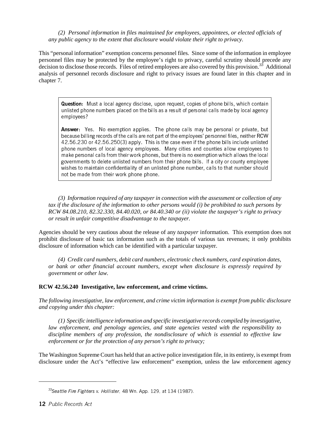*(2) Personal information in files maintained for employees, appointees, or elected officials of any public agency to the extent that disclosure would violate their right to privacy.*

This "personal information" exemption concerns personnel files. Since some of the information in employee personnel files may be protected by the employee's right to privacy, careful scrutiny should precede any decision to disclose those records. Files of retired employees are also covered by this provision.<sup>33</sup> Additional analysis of personnel records disclosure and right to privacy issues are found later in this chapter and in chapter 7.

Question: Must a local agency disclose, upon request, copies of phone bills, which contain unlisted phone numbers placed on the bills as a result of personal calls made by local agency employees?

Answer: Yes. No exemption applies. The phone calls may be personal or private, but because billing records of the calls are not part of the employees' personnel files, neither RCW 42.56.230 or 42.56.250(3) apply. This is the case even if the phone bills include unlisted phone numbers of local agency employees. Many cities and counties allow employees to make personal calls from their work phones, but there is no exemption which allows the local governments to delete unlisted numbers from their phone bills. If a city or county employee wishes to maintain confidentiality of an unlisted phone number, calls to that number should not be made from their work phone phone.

*(3) Information required of any taxpayer in connection with the assessment or collection of any tax if the disclosure of the information to other persons would (i) be prohibited to such persons by RCW 84.08.210, 82.32.330, 84.40.020, or 84.40.340 or (ii) violate the taxpayer's right to privacy or result in unfair competitive disadvantage to the taxpayer.*

Agencies should be very cautious about the release of any *taxpayer* information. This exemption does not prohibit disclosure of basic tax information such as the totals of various tax revenues; it only prohibits disclosure of information which can be identified with a particular taxpayer.

*(4) Credit card numbers, debit card numbers, electronic check numbers, card expiration dates, or bank or other financial account numbers, except when disclosure is expressly required by government or other law.*

#### **RCW 42.56.240 Investigative, law enforcement, and crime victims.**

*The following investigative, law enforcement, and crime victim information is exempt from public disclosure and copying under this chapter:*

*(1) Specific intelligence information and specific investigative records compiled by investigative, law enforcement, and penology agencies, and state agencies vested with the responsibility to discipline members of any profession, the nondisclosure of which is essential to effective law enforcement or for the protection of any person's right to privacy;*

The Washington Supreme Court has held that an active police investigation file, in its entirety, is exempt from disclosure under the Act's "effective law enforcement" exemption, unless the law enforcement agency

<sup>&</sup>lt;sup>33</sup>Seattle Fire Fighters v. Hollister, 48 Wn. App. 129, at 134 (1987).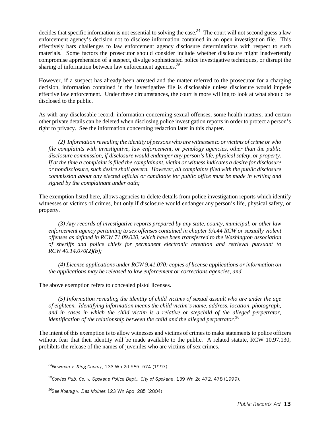decides that specific information is not essential to solving the case.<sup>34</sup> The court will not second guess a law enforcement agency's decision not to disclose information contained in an open investigation file. This effectively bars challenges to law enforcement agency disclosure determinations with respect to such materials. Some factors the prosecutor should consider include whether disclosure might inadvertently compromise apprehension of a suspect, divulge sophisticated police investigative techniques, or disrupt the sharing of information between law enforcement agencies.  $35$ 

However, if a suspect has already been arrested and the matter referred to the prosecutor for a charging decision, information contained in the investigative file is disclosable unless disclosure would impede effective law enforcement. Under these circumstances, the court is more willing to look at what should be disclosed to the public.

As with any disclosable record, information concerning sexual offenses, some health matters, and certain other private details can be deleted when disclosing police investigation reports in order to protect a person's right to privacy. See the information concerning redaction later in this chapter.

*(2) Information revealing the identity of persons who are witnesses to or victims of crime or who file complaints with investigative, law enforcement, or penology agencies, other than the public disclosure commission, if disclosure would endanger any person's life, physical safety, or property. If at the time a complaint is filed the complainant, victim or witness indicates a desire for disclosure or nondisclosure, such desire shall govern. However, all complaints filed with the public disclosure commission about any elected official or candidate for public office must be made in writing and signed by the complainant under oath;*

The exemption listed here, allows agencies to delete details from police investigation reports which identify witnesses or victims of crimes, but only if disclosure would endanger any person's life, physical safety, or property.

*(3) Any records of investigative reports prepared by any state, county, municipal, or other law enforcement agency pertaining to sex offenses contained in chapter 9A.44 RCW or sexually violent offenses as defined in RCW 71.09.020, which have been transferred to the Washington association of sheriffs and police chiefs for permanent electronic retention and retrieval pursuant to RCW 40.14.070(2)(b);*

*(4) License applications under RCW 9.41.070; copies of license applications or information on the applications may be released to law enforcement or corrections agencies, and*

The above exemption refers to concealed pistol licenses.

*(5) Information revealing the identity of child victims of sexual assault who are under the age of eighteen. Identifying information means the child victim's name, address, location, photograph, and in cases in which the child victim is a relative or stepchild of the alleged perpetrator, identification of the relationship between the child and the alleged perpetrator.*36

The intent of this exemption is to allow witnesses and victims of crimes to make statements to police officers without fear that their identity will be made available to the public. A related statute, RCW 10.97.130, prohibits the release of the names of juveniles who are victims of sex crimes.

<sup>34</sup>Newman v. King County, 133 Wn.2d 565, 574 (1997).

<sup>&</sup>lt;sup>35</sup>Cowles Pub. Co. v. Spokane Police Dept., City of Spokane, 139 Wn.2d 472, 478 (1999).

<sup>&</sup>lt;sup>36</sup>See Koenig v. Des Moines 123 Wn App. 285 (2004).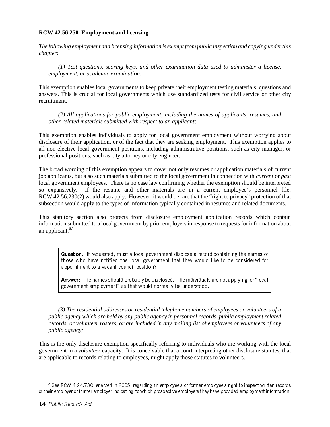#### **RCW 42.56.250 Employment and licensing.**

*The following employment and licensing information is exempt from public inspection and copying under this chapter:*

*(1) Test questions, scoring keys, and other examination data used to administer a license, employment, or academic examination;*

This exemption enables local governments to keep private their employment testing materials, questions and answers. This is crucial for local governments which use standardized tests for civil service or other city recruitment.

*(2) All applications for public employment, including the names of applicants, resumes, and other related materials submitted with respect to an applicant;*

This exemption enables individuals to apply for local government employment without worrying about disclosure of their application, or of the fact that they are seeking employment. This exemption applies to all non-elective local government positions, including administrative positions, such as city manager, or professional positions, such as city attorney or city engineer.

The broad wording of this exemption appears to cover not only resumes or application materials of current job applicants, but also such materials submitted to the local government in connection with *current* or *past* local government employees. There is no case law confirming whether the exemption should be interpreted so expansively. If the resume and other materials are in a current employee's personnel file, RCW 42.56.230(2) would also apply. However, it would be rare that the "right to privacy" protection of that subsection would apply to the types of information typically contained in resumes and related documents.

This statutory section also protects from disclosure employment application records which contain information submitted to a local government by prior employers in response to requests for information about an applicant. $37$ 

Question: If requested, must a local government disclose a record containing the names of those who have notified the local government that they would like to be considered for appointment to a vacant council position?

Answer: The names should probably be disclosed. The individuals are not applying for "local government employment" as that would normally be understood.

*(3) The residential addresses or residential telephone numbers of employees or volunteers of a public agency which are held by any public agency in personnel records, public employment related records, or volunteer rosters, or are included in any mailing list of employees or volunteers of any public agency;*

This is the only disclosure exemption specifically referring to individuals who are working with the local government in a *volunteer* capacity. It is conceivable that a court interpreting other disclosure statutes, that are applicable to records relating to employees, might apply those statutes to volunteers.

 $37$ See RCW 4.24.730, enacted in 2005, regarding an employee's or former employee's right to inspect written records of their employer or former employer indicating to which prospective employers they have provided employment information.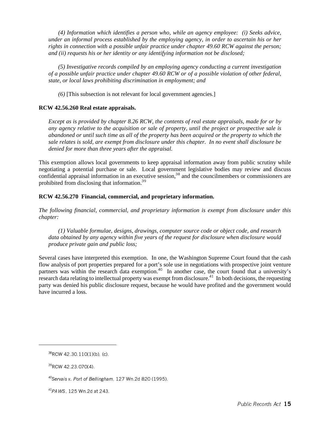*(4) Information which identifies a person who, while an agency employee: (i) Seeks advice, under an informal process established by the employing agency, in order to ascertain his or her rights in connection with a possible unfair practice under chapter 49.60 RCW against the person; and (ii) requests his or her identity or any identifying information not be disclosed;*

*(5) Investigative records compiled by an employing agency conducting a current investigation of a possible unfair practice under chapter 49.60 RCW or of a possible violation of other federal, state, or local laws prohibiting discrimination in employment; and*

*(6)* [This subsection is not relevant for local government agencies.]

#### **RCW 42.56.260 Real estate appraisals.**

*Except as is provided by chapter 8.26 RCW, the contents of real estate appraisals, made for or by any agency relative to the acquisition or sale of property, until the project or prospective sale is abandoned or until such time as all of the property has been acquired or the property to which the sale relates is sold, are exempt from disclosure under this chapter. In no event shall disclosure be denied for more than three years after the appraisal.*

This exemption allows local governments to keep appraisal information away from public scrutiny while negotiating a potential purchase or sale. Local government legislative bodies may review and discuss confidential appraisal information in an executive session,<sup>38</sup> and the councilmembers or commissioners are prohibited from disclosing that information.39

#### **RCW 42.56.270 Financial, commercial, and proprietary information.**

*The following financial, commercial, and proprietary information is exempt from disclosure under this chapter:*

*(1) Valuable formulae, designs, drawings, computer source code or object code, and research data obtained by any agency within five years of the request for disclosure when disclosure would produce private gain and public loss;*

Several cases have interpreted this exemption. In one, the Washington Supreme Court found that the cash flow analysis of port properties prepared for a port's sole use in negotiations with prospective joint venture partners was within the research data exemption.<sup>40</sup> In another case, the court found that a university's research data relating to intellectual property was exempt from disclosure.<sup>41</sup> In both decisions, the requesting party was denied his public disclosure request, because he would have profited and the government would have incurred a loss.

 $38$ RCW 42.30.110(1)(b), (c).

<sup>&</sup>lt;sup>39</sup>RCW 42.23.070(4).

 $^{40}$ Servais v. Port of Bellingham, 127 Wn.2d 820 (1995).

<sup>41</sup>PAWS, 125 Wn.2d at 243.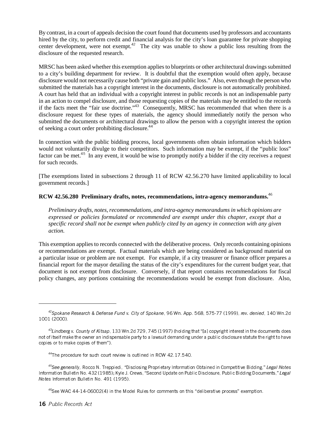By contrast, in a court of appeals decision the court found that documents used by professors and accountants hired by the city, to perform credit and financial analysis for the city's loan guarantee for private shopping center development, were not exempt.<sup>42</sup> The city was unable to show a public loss resulting from the disclosure of the requested research.

MRSC has been asked whether this exemption applies to blueprints or other architectural drawings submitted to a city's building department for review. It is doubtful that the exemption would often apply, because disclosure would not necessarily cause both "private gain and public loss." Also, even though the person who submitted the materials has a copyright interest in the documents, disclosure is not automatically prohibited. A court has held that an individual with a copyright interest in public records is not an indispensable party in an action to compel disclosure, and those requesting copies of the materials may be entitled to the records if the facts meet the "fair use doctrine."43 Consequently, MRSC has recommended that when there is a disclosure request for these types of materials, the agency should immediately notify the person who submitted the documents or architectural drawings to allow the person with a copyright interest the option of seeking a court order prohibiting disclosure.<sup>44</sup>

In connection with the public bidding process, local governments often obtain information which bidders would not voluntarily divulge to their competitors. Such information may be exempt, if the "public loss" factor can be met.<sup>45</sup> In any event, it would be wise to promptly notify a bidder if the city receives a request for such records.

[The exemptions listed in subsections 2 through 11 of RCW 42.56.270 have limited applicability to local government records.]

#### **RCW 42.56.280 Preliminary drafts, notes, recommendations, intra-agency memorandums.**46

*Preliminary drafts, notes, recommendations, and intra-agency memorandums in which opinions are expressed or policies formulated or recommended are exempt under this chapter, except that a specific record shall not be exempt when publicly cited by an agency in connection with any given action.*

This exemption applies to records connected with the deliberative process. Only records containing opinions or recommendations are exempt. Factual materials which are being considered as background material on a particular issue or problem are not exempt. For example, if a city treasurer or finance officer prepares a financial report for the mayor detailing the status of the city's expenditures for the current budget year, that document is not exempt from disclosure. Conversely, if that report contains recommendations for fiscal policy changes, any portions containing the recommendations would be exempt from disclosure. Also,

 $^{42}$ Spokane Research & Defense Fund v. City of Spokane, 96 Wn. App. 568, 575-77 (1999), rev. denied, 140 Wn.2d 1001 (2000).

 $^{43}$ Lindberg v. County of Kitsap, 133 Wn.2d 729, 745 (1997) (holding that "[a] copyright interest in the documents does not of itself make the owner an indispensable party to a lawsuit demanding under a public disclosure statute the right to have copies or to make copies of them").

 $44$ The procedure for such court review is outlined in RCW 42.17.540.

<sup>45</sup>See generally, Rocco N. Treppiedi, "Disclosing Proprietary Information Obtained in Competitive Bidding," Legal Notes Information Bulletin No. 432 (1985); Kyle J. Crews, "Second Update on Public Disclosure, Public Bidding Documents," Legal Notes Information Bulletin No. 491 (1995).

 $46$ See WAC 44-14-06002(4) in the Model Rules for comments on this "deliberative process" exemption.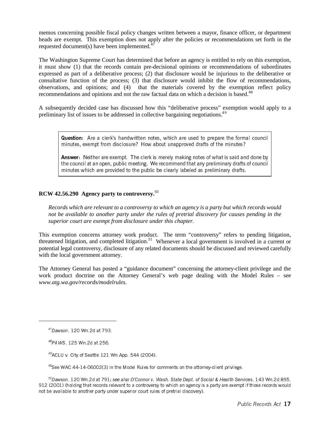memos concerning possible fiscal policy changes written between a mayor, finance officer, or department heads are exempt. This exemption does not apply after the policies or recommendations set forth in the requested document(s) have been implemented. $4$ 

The Washington Supreme Court has determined that before an agency is entitled to rely on this exemption, it must show (1) that the records contain pre-decisional opinions or recommendations of subordinates expressed as part of a deliberative process; (2) that disclosure would be injurious to the deliberative or consultative function of the process; (3) that disclosure would inhibit the flow of recommendations, observations, and opinions; and (4) that the materials covered by the exemption reflect policy recommendations and opinions and not the raw factual data on which a decision is based.<sup>48</sup>

A subsequently decided case has discussed how this "deliberative process" exemption would apply to a preliminary list of issues to be addressed in collective bargaining negotiations.49

**Question:** Are a clerk's handwritten notes, which are used to prepare the formal council minutes, exempt from disclosure? How about unapproved drafts of the minutes?

Answer: Neither are exempt. The clerk is merely making notes of what is said and done by the council at an open, public meeting. We recommend that any preliminary drafts of council minutes which are provided to the public be clearly labeled as preliminary drafts.

#### **RCW 42.56.290 Agency party to controversy.**50

*Records which are relevant to a controversy to which an agency is a party but which records would not be available to another party under the rules of pretrial discovery for causes pending in the superior court are exempt from disclosure under this chapter.*

This exemption concerns attorney work product. The term "controversy" refers to pending litigation, threatened litigation, and completed litigation.<sup>51</sup> Whenever a local government is involved in a current or potential legal controversy, disclosure of any related documents should be discussed and reviewed carefully with the local government attorney.

The Attorney General has posted a "guidance document" concerning the attorney-client privilege and the work product doctrine on the Attorney General's web page dealing with the Model Rules – see *www.atg.wa.gov/records/modelrules*.

<sup>47</sup>Dawson, 120 Wn.2d at 793.

<sup>48</sup>PAWS, 125 Wn.2d at 256.

 $49$ ACLU v. City of Seattle 121 Wn App. 544 (2004).

 $50$ See WAC 44-14-06002(3) in the Model Rules for comments on the attorney-client privilege.

 $51$ Dawson, 120 Wn.2d at 791; see also O'Connor v. Wash. State Dept. of Social & Health Services, 143 Wn.2d 895, 912 (2001) (holding that records relevant to a controversy to which an agency is a party are exempt if those records would not be available to another party under superior court rules of pretrial discovery).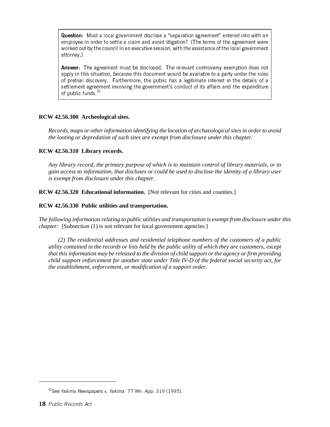Question: Must a local government disclose a "separation agreement" entered into with an employee in order to settle a claim and avoid litigation? (The terms of the agreement were worked out by the council in an executive session, with the assistance of the local government attorney.)

Answer: The agreement must be disclosed. The relevant controversy exemption does not apply in this situation, because this document would be available to a party under the rules of pretrial discovery. Furthermore, the public has a legitimate interest in the details of a settlement agreement involving the government's conduct of its affairs and the expenditure of public funds  $52$ 

#### **RCW 42.56.300 Archeological sites.**

*Records, maps or other information identifying the location of archaeological sites in order to avoid the looting or depredation of such sites are exempt from disclosure under this chapter.*

#### **RCW 42.56.310 Library records.**

*Any library record, the primary purpose of which is to maintain control of library materials, or to gain access to information, that discloses or could be used to disclose the identity of a library user is exempt from disclosure under this chapter.*

**RCW 42.56.320 Educational information.** [Not relevant for cities and counties.]

#### **RCW 42.56.330 Public utilities and transportation.**

*The following information relating to public utilities and transportation is exempt from disclosure under this chapter:* [Subsection (1) is not relevant for local government agencies.]

*(2) The residential addresses and residential telephone numbers of the customers of a public utility contained in the records or lists held by the public utility of which they are customers, except that this information may be released to the division of child support or the agency or firm providing child support enforcement for another state under Title IV-D of the federal social security act, for the establishment, enforcement, or modification of a support order.*

<sup>&</sup>lt;sup>52</sup>See Yakima Newspapers v. Yakima, 77 Wn. App. 319 (1995).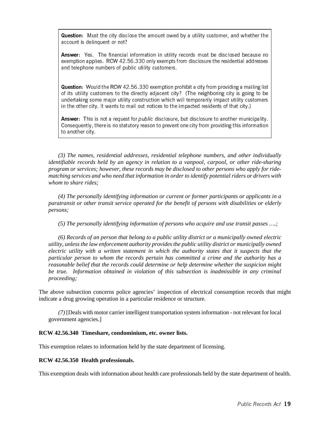Question: Must the city disclose the amount owed by a utility customer, and whether the account is delinquent or not?

Answer: Yes. The financial information in utility records must be disclosed because no exemption applies. RCW 42.56.330 only exempts from disclosure the residential addresses and telephone numbers of public utility customers.

Question: Would the RCW 42.56.330 exemption prohibit a city from providing a mailing list of its utility customers to the directly adjacent city? (The neighboring city is going to be undertaking some major utility construction which will temporarily impact utility customers in the other city. It wants to mail out notices to the impacted residents of that city.)

Answer: This is not a request for *public* disclosure, but disclosure to another municipality. Consequently, there is no statutory reason to prevent one city from providing this information to another city.

*(3) The names, residential addresses, residential telephone numbers, and other individually identifiable records held by an agency in relation to a vanpool, carpool, or other ride-sharing program or services; however, these records may be disclosed to other persons who apply for ridematching services and who need that information in order to identify potential riders or drivers with whom to share rides;*

*(4) The personally identifying information or current or former participants or applicants in a paratransit or other transit service operated for the benefit of persons with disabilities or elderly persons;*

*(5) The personally identifying information of persons who acquire and use transit passes ….;*

*(6) Records of an person that belong to a public utility district or a municipally owned electric utility, unless the law enforcement authority provides the public utility district or municipally owned electric utility with a written statement in which the authority states that it suspects that the particular person to whom the records pertain has committed a crime and the authority has a reasonable belief that the records could determine or help determine whether the suspicion might be true. Information obtained in violation of this subsection is inadmissible in any criminal proceeding;*

The above subsection concerns police agencies' inspection of electrical consumption records that might indicate a drug growing operation in a particular residence or structure.

*(7)* [Deals with motor carrier intelligent transportation system information - not relevant for local government agencies.]

#### **RCW 42.56.340 Timeshare, condominium, etc. owner lists.**

This exemption relates to information held by the state department of licensing.

#### **RCW 42.56.350 Health professionals.**

This exemption deals with information about health care professionals held by the state department of health.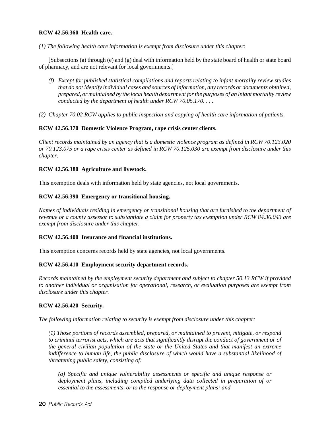#### **RCW 42.56.360 Health care.**

*(1) The following health care information is exempt from disclosure under this chapter:*

[Subsections (a) through (e) and (g) deal with information held by the state board of health or state board of pharmacy, and are not relevant for local governments.]

- *(f) Except for published statistical compilations and reports relating to infant mortality review studies that do not identify individual cases and sources of information, any records or documents obtained, prepared, or maintained by the local health department for the purposes of an infant mortality review conducted by the department of health under RCW 70.05.170. . . .*
- *(2) Chapter 70.02 RCW applies to public inspection and copying of health care information of patients.*

#### **RCW 42.56.370 Domestic Violence Program, rape crisis center clients.**

*Client records maintained by an agency that is a domestic violence program as defined in RCW 70.123.020 or 70.123.075 or a rape crisis center as defined in RCW 70.125.030 are exempt from disclosure under this chapter*.

#### **RCW 42.56.380 Agriculture and livestock.**

This exemption deals with information held by state agencies, not local governments.

#### **RCW 42.56.390 Emergency or transitional housing.**

*Names of individuals residing in emergency or transitional housing that are furnished to the department of revenue or a county assessor to substantiate a claim for property tax exemption under RCW 84.36.043 are exempt from disclosure under this chapter.*

#### **RCW 42.56.400 Insurance and financial institutions.**

This exemption concerns records held by state agencies, not local governments.

#### **RCW 42.56.410 Employment security department records.**

*Records maintained by the employment security department and subject to chapter 50.13 RCW if provided to another individual or organization for operational, research, or evaluation purposes are exempt from disclosure under this chapter.*

#### **RCW 42.56.420 Security.**

*The following information relating to security is exempt from disclosure under this chapter:*

*(1) Those portions of records assembled, prepared, or maintained to prevent, mitigate, or respond to criminal terrorist acts, which are acts that significantly disrupt the conduct of government or of the general civilian population of the state or the United States and that manifest an extreme indifference to human life, the public disclosure of which would have a substantial likelihood of threatening public safety, consisting of:*

*(a) Specific and unique vulnerability assessments or specific and unique response or deployment plans, including compiled underlying data collected in preparation of or essential to the assessments, or to the response or deployment plans; and*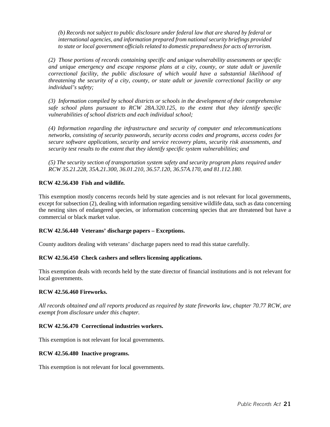*(b) Records not subject to public disclosure under federal law that are shared by federal or international agencies, and information prepared from national security briefings provided to state or local government officials related to domestic preparedness for acts of terrorism.*

*(2) Those portions of records containing specific and unique vulnerability assessments or specific and unique emergency and escape response plans at a city, county, or state adult or juvenile correctional facility, the public disclosure of which would have a substantial likelihood of threatening the security of a city, county, or state adult or juvenile correctional facility or any individual's safety;*

*(3) Information compiled by school districts or schools in the development of their comprehensive safe school plans pursuant to RCW 28A.320.125, to the extent that they identify specific vulnerabilities of school districts and each individual school;*

*(4) Information regarding the infrastructure and security of computer and telecommunications networks, consisting of security passwords, security access codes and programs, access codes for secure software applications, security and service recovery plans, security risk assessments, and security test results to the extent that they identify specific system vulnerabilities; and*

*(5) The security section of transportation system safety and security program plans required under RCW 35.21.228, 35A.21.300, 36.01.210, 36.57.120, 36.57A.170, and 81.112.180.*

#### **RCW 42.56.430 Fish and wildlife***.*

This exemption mostly concerns records held by state agencies and is not relevant for local governments, except for subsection (2), dealing with information regarding sensitive wildlife data, such as data concerning the nesting sites of endangered species, or information concerning species that are threatened but have a commercial or black market value.

#### **RCW 42.56.440 Veterans' discharge papers – Exceptions.**

County auditors dealing with veterans' discharge papers need to read this statue carefully.

#### **RCW 42.56.450 Check cashers and sellers licensing applications.**

This exemption deals with records held by the state director of financial institutions and is not relevant for local governments.

#### **RCW 42.56.460 Fireworks.**

*All records obtained and all reports produced as required by state fireworks law, chapter 70.77 RCW, are exempt from disclosure under this chapter.*

#### **RCW 42.56.470 Correctional industries workers.**

This exemption is not relevant for local governments.

#### **RCW 42.56.480 Inactive programs.**

This exemption is not relevant for local governments.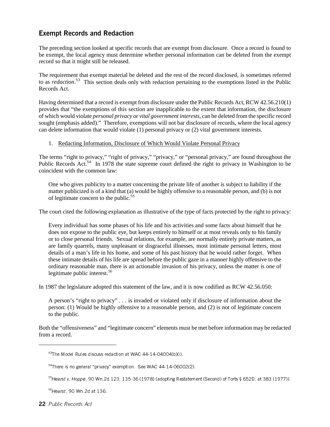#### Exempt Records and Redaction

The preceding section looked at specific records that are exempt from disclosure. Once a record is found to be exempt, the local agency must determine whether personal information can be deleted from the exempt record so that it might still be released.

The requirement that exempt material be deleted and the rest of the record disclosed, is sometimes referred to as *redaction*. <sup>53</sup> This section deals only with redaction pertaining to the exemptions listed in the Public Records Act.

Having determined that a record is exempt from disclosure under the Public Records Act, RCW 42.56.210(1) provides that "the exemptions of this section are inapplicable to the extent that information, the disclosure of which would violate *personal privacy* or *vital government interests*, can be deleted from the specific record sought (emphasis added)." Therefore, exemptions will not bar disclosure of records, where the local agency can delete information that would violate (1) personal privacy or (2) vital government interests.

1. Redacting Information, Disclosure of Which Would Violate Personal Privacy

The terms "right to privacy," "right of privacy," "privacy," or "personal privacy," are found throughout the Public Records Act.<sup>54</sup> In 1978 the state supreme court defined the right to privacy in Washington to be coincident with the common law:

One who gives publicity to a matter concerning the private life of another is subject to liability if the matter publicized is of a kind that (a) would be highly offensive to a reasonable person, and (b) is not of legitimate concern to the public. $55$ 

The court cited the following explanation as illustrative of the type of facts protected by the right to privacy:

Every individual has some phases of his life and his activities and some facts about himself that he does not expose to the public eye, but keeps entirely to himself or at most reveals only to his family or to close personal friends. Sexual relations, for example, are normally entirely private matters, as are family quarrels, many unpleasant or disgraceful illnesses, most intimate personal letters, most details of a man's life in his home, and some of his past history that he would rather forget. When these intimate details of his life are spread before the public gaze in a manner highly offensive to the ordinary reasonable man, there is an actionable invasion of his privacy, unless the matter is one of legitimate public interest.<sup>56</sup>

In 1987 the legislature adopted this statement of the law, and it is now codified as RCW 42.56.050:

A person's "right to privacy" . . . is invaded or violated only if disclosure of information about the person: (1) Would be highly offensive to a reasonable person, and (2) is not of legitimate concern to the public.

Both the "offensiveness" and "legitimate concern" elements must be met before information may be redacted from a record.

 $53$ The Model Rules discuss redaction at WAC 44-14-04004(b)(i).

<sup>&</sup>lt;sup>54</sup>There is no general "privacy" exemption. See WAC 44-14-06002(2).

 $55$ Hearst v. Hoppe, 90 Wn.2d 123, 135-36 (1978) (adopting Restatement (Second) of Torts § 652D, at 383 (1977)).

<sup>56</sup>Hearst, 90 Wn.2d at 136.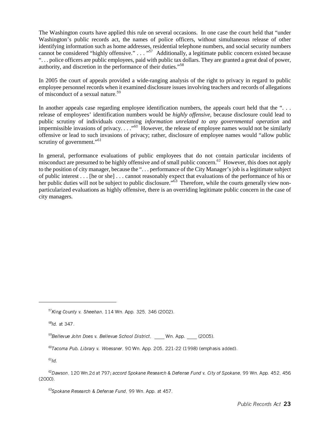The Washington courts have applied this rule on several occasions. In one case the court held that "under Washington's public records act, the names of police officers, without simultaneous release of other identifying information such as home addresses, residential telephone numbers, and social security numbers cannot be considered "highly offensive." . . . "<sup>57</sup> Additionally, a legitimate public concern existed because ". . . police officers are public employees, paid with public tax dollars. They are granted a great deal of power, authority, and discretion in the performance of their duties."<sup>58</sup>

In 2005 the court of appeals provided a wide-ranging analysis of the right to privacy in regard to public employee personnel records when it examined disclosure issues involving teachers and records of allegations of misconduct of a sexual nature.<sup>59</sup>

In another appeals case regarding employee identification numbers, the appeals court held that the "... release of employees' identification numbers would be *highly offensive*, because disclosure could lead to public scrutiny of individuals concerning *information unrelated to any governmental operation* and impermissible invasions of privacy.  $\ldots$ <sup>60</sup> However, the release of employee names would not be similarly offensive or lead to such invasions of privacy; rather, disclosure of employee names would "allow public scrutiny of government."<sup>61</sup>

In general, performance evaluations of public employees that do not contain particular incidents of misconduct are presumed to be highly offensive and of small public concern.<sup>62</sup> However, this does not apply to the position of city manager, because the ". . . performance of the City Manager's job is a legitimate subject of public interest . . . [he or she] . . . cannot reasonably expect that evaluations of the performance of his or her public duties will not be subject to public disclosure."<sup>63</sup> Therefore, while the courts generally view nonparticularized evaluations as highly offensive, there is an overriding legitimate public concern in the case of city managers.

 $57$ King County v. Sheehan, 114 Wn. App. 325, 346 (2002).

 $58$ Id. at 347.

 $59B$ ellevue John Does v. Bellevue School District, Wn. App. (2005).

 $61/d$ .

 $60T$ acoma Pub. Library v. Woessner, 90 Wn. App. 205, 221-22 (1998) (emphasis added).

 $62$ Dawson, 120 Wn.2d at 797; accord Spokane Research & Defense Fund v. City of Spokane, 99 Wn. App. 452, 456 (2000).

<sup>63</sup>Spokane Research & Defense Fund, 99 Wn. App. at 457.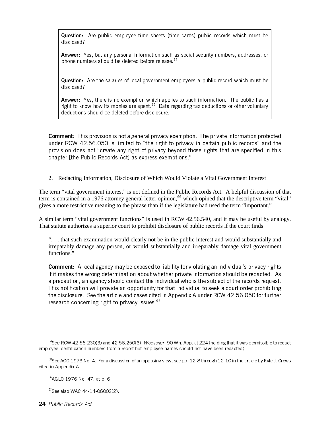Question: Are public employee time sheets (time cards) public records which must be disclosed?

Answer: Yes, but any personal information such as social security numbers, addresses, or phone numbers should be deleted before release.<sup>64</sup>

Question: Are the salaries of local government employees a public record which must be disclosed?

Answer: Yes, there is no exemption which applies to such information. The public has a right to know how its monies are spent. $65$  Data regarding tax deductions or other voluntary deductions should be deleted before disclosure.

**Comment:** This provision is not a general privacy exemption. The private information protected under RCW 42.56.050 is limited to "the right to privacy in certain public records" and the provision does not "create any right of privacy beyond those rights that are specified in this chapter [the Public Records Act] as express exemptions."

#### 2. Redacting Information, Disclosure of Which Would Violate a Vital Government Interest

The term "vital government interest" is not defined in the Public Records Act. A helpful discussion of that term is contained in a 1976 attorney general letter opinion,<sup>66</sup> which opined that the descriptive term "vital" gives a more restrictive meaning to the phrase than if the legislature had used the term "important."

A similar term "vital government functions" is used in RCW 42.56.540, and it may be useful by analogy. That statute authorizes a superior court to prohibit disclosure of public records if the court finds

". . . that such examination would clearly not be in the public interest and would substantially and irreparably damage any person, or would substantially and irreparably damage vital government functions."

Comment: A local agency may be exposed to liability for violating an individual's privacy rights if it makes the wrong determination about whether private information should be redacted. As a precaution, an agency should contact the individual who is the subject of the records request. This notification will provide an opportunity for that individual to seek a court order prohibiting the disclosure. See the article and cases cited in Appendix A under RCW 42.56.050 for further research concerning right to privacy issues.  $67$ 

<sup>&</sup>lt;sup>64</sup>See RCW 42.56.230(3) and 42.56.250(3); Woessner, 90 Wn. App. at 224 (holding that it was permissible to redact employee identification numbers from a report but employee names should not have been redacted).

 $65$ See AGO 1973 No. 4. For a discussion of an opposing view, see pp. 12-8 through 12-10 in the article by Kyle J. Crews cited in Appendix A.

<sup>66</sup>AGLO 1976 No. 47, at p. 6.

<sup>67</sup>See also WAC 44-14-06002(2).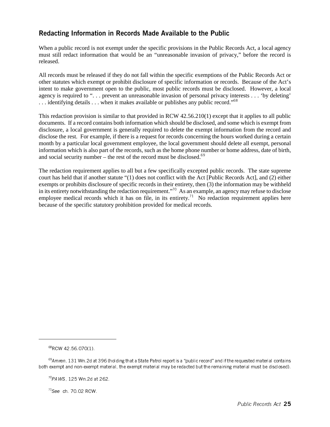#### Redacting Information in Records Made Available to the Public

When a public record is not exempt under the specific provisions in the Public Records Act, a local agency must still redact information that would be an "unreasonable invasion of privacy," before the record is released.

All records must be released if they do not fall within the specific exemptions of the Public Records Act or other statutes which exempt or prohibit disclosure of specific information or records. Because of the Act's intent to make government open to the public, most public records must be disclosed. However, a local agency is required to ". . . prevent an unreasonable invasion of personal privacy interests . . . 'by deleting'  $\dots$  identifying details  $\dots$  when it makes available or publishes any public record."<sup>68</sup>

This redaction provision is similar to that provided in RCW 42.56.210(1) except that it applies to all public documents. If a record contains both information which should be disclosed, and some which is exempt from disclosure, a local government is generally required to delete the exempt information from the record and disclose the rest. For example, if there is a request for records concerning the hours worked during a certain month by a particular local government employee, the local government should delete all exempt, personal information which is also part of the records, such as the home phone number or home address, date of birth, and social security number – the rest of the record must be disclosed.<sup>69</sup>

The redaction requirement applies to all but a few specifically excepted public records. The state supreme court has held that if another statute "(1) does not conflict with the Act [Public Records Act], and (2) either exempts or prohibits disclosure of specific records in their entirety, then (3) the information may be withheld in its entirety notwithstanding the redaction requirement."<sup>70</sup> As an example, an agency may refuse to disclose employee medical records which it has on file, in its entirety.<sup> $\text{1}$ </sup> No redaction requirement applies here because of the specific statutory prohibition provided for medical records.

 $68$ RCW 42.56.070(1).

 $69$ Amren, 131 Wn.2d at 396 (holding that a State Patrol report is a "public record" and if the requested material contains both exempt and non-exempt material, the exempt material may be redacted but the remaining material must be disclosed).

 $^{70}$ PAWS, 125 Wn 2d at 262.

 $71$ See ch. 70.02 RCW.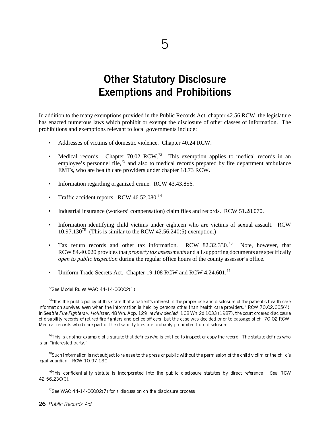# Other Statutory Disclosure Exemptions and Prohibitions

In addition to the many exemptions provided in the Public Records Act, chapter 42.56 RCW, the legislature has enacted numerous laws which prohibit or exempt the disclosure of other classes of information. The prohibitions and exemptions relevant to local governments include:

- Addresses of victims of domestic violence. Chapter 40.24 RCW.
- Medical records. Chapter  $70.02$  RCW.<sup>72</sup> This exemption applies to medical records in an employee's personnel file,<sup>73</sup> and also to medical records prepared by fire department ambulance EMTs, who are health care providers under chapter 18.73 RCW.
- Information regarding organized crime. RCW 43.43.856.
- Traffic accident reports. RCW  $46.52.080.<sup>74</sup>$
- Industrial insurance (workers' compensation) claim files and records. RCW 51.28.070.
- Information identifying child victims under eighteen who are victims of sexual assault. RCW  $10.97.130^{75}$  (This is similar to the RCW 42.56.240(5) exemption.)
- Tax return records and other tax information. RCW 82.32.330.<sup>76</sup> Note, however, that RCW 84.40.020 provides that *property tax assessments* and all supporting documents are specifically *open to public inspection* during the regular office hours of the county assessor's office.
- Uniform Trade Secrets Act. Chapter 19.108 RCW and RCW 4.24.601.<sup>77</sup>

 $72$ See Model Rules WAC 44-14-06002(1).

 $73<sup>4</sup>$ It is the public policy of this state that a patient's interest in the proper use and disclosure of the patient's health care information survives even when the information is held by persons other than health care providers." RCW 70.02.005(4). In Seattle Fire Fighters v. Hollister, 48 Wn. App. 129, review denied, 108 Wn.2d 1033 (1987), the court ordered disclosure of disability records of retired fire fighters and police officers, but the case was decided prior to passage of ch. 70.02 RCW. Medical records which are part of the disability files are probably prohibited from disclosure.

 $^{74}$ This is another example of a statute that defines who is entitled to inspect or copy the record. The statute defines who is an "interested party."

 $^{75}$ Such information is not subject to release to the press or public without the permission of the child victim or the child's legal guardian. RCW 10.97.130.

 $^{76}$ This confidentiality statute is incorporated into the public disclosure statutes by direct reference. See RCW 42.56.230(3).

 $77$ See WAC 44-14-06002(7) for a discussion on the disclosure process.

26 Public Records Act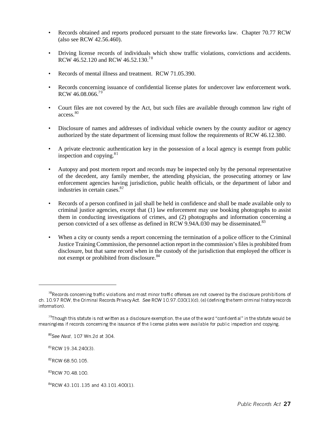- Records obtained and reports produced pursuant to the state fireworks law. Chapter 70.77 RCW (also see RCW 42.56.460).
- Driving license records of individuals which show traffic violations, convictions and accidents. RCW 46.52.120 and RCW 46.52.130.<sup>78</sup>
- Records of mental illness and treatment. RCW 71.05.390.
- Records concerning issuance of confidential license plates for undercover law enforcement work. RCW 46.08.066.79
- Court files are not covered by the Act, but such files are available through common law right of access.80
- Disclosure of names and addresses of individual vehicle owners by the county auditor or agency authorized by the state department of licensing must follow the requirements of RCW 46.12.380.
- A private electronic authentication key in the possession of a local agency is exempt from public inspection and copying. $81$
- Autopsy and post mortem report and records may be inspected only by the personal representative of the decedent, any family member, the attending physician, the prosecuting attorney or law enforcement agencies having jurisdiction, public health officials, or the department of labor and industries in certain cases.<sup>82</sup>
- Records of a person confined in jail shall be held in confidence and shall be made available only to criminal justice agencies, except that (1) law enforcement may use booking photographs to assist them in conducting investigations of crimes, and (2) photographs and information concerning a person convicted of a sex offense as defined in RCW 9.94A.030 may be disseminated.<sup>83</sup>
- When a city or county sends a report concerning the termination of a police officer to the Criminal Justice Training Commission, the personnel action report in the commission's files is prohibited from disclosure, but that same record when in the custody of the jurisdiction that employed the officer is not exempt or prohibited from disclosure.<sup>84</sup>

81RCW 19.34.240(3).

 $^{78}$ Records concerning traffic violations and most minor traffic offenses are not covered by the disclosure prohibitions of ch. 10.97 RCW, the Criminal Records Privacy Act. See RCW 10.97.030(1)(d), (e) (defining the term criminal history records information).

 $79$ Though this statute is not written as a disclosure exemption, the use of the word "confidential" in the statute would be meaningless if records concerning the issuance of the license plates were available for public inspection and copying.

 $80$ See Nast, 107 Wn 2d at 304.

<sup>&</sup>lt;sup>82</sup>RCW 68.50.105.

<sup>&</sup>lt;sup>83</sup>RCW 70.48.100.

<sup>84</sup>RCW 43.101.135 and 43.101.400(1).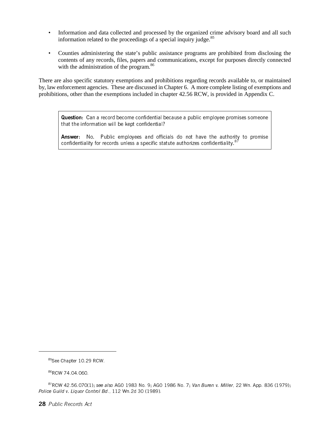- Information and data collected and processed by the organized crime advisory board and all such information related to the proceedings of a special inquiry judge. $85$
- Counties administering the state's public assistance programs are prohibited from disclosing the contents of any records, files, papers and communications, except for purposes directly connected with the administration of the program.<sup>86</sup>

There are also specific statutory exemptions and prohibitions regarding records available to, or maintained by, law enforcement agencies. These are discussed in Chapter 6. A more complete listing of exemptions and prohibitions, other than the exemptions included in chapter 42.56 RCW, is provided in Appendix C.

Question: Can a record become confidential because a public employee promises someone that the information will be kept confidential?

Answer: No. Public employees and officials do not have the authority to promise confidentiality for records unless a specific statute authorizes confidentiality.<sup>8</sup>

<sup>85</sup>See Chapter 10.29 RCW.

<sup>86</sup>RCW 74.04.060

 $87$ RCW 42.56.070(1); see also AGO 1983 No. 9; AGO 1986 No. 7; Van Buren v. Miller, 22 Wn. App. 836 (1979); Police Guild v. Liquor Control Bd., 112 Wn.2d 30 (1989).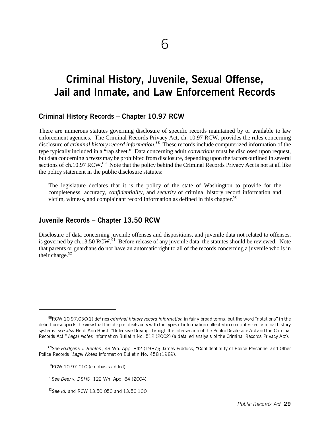# Criminal History, Juvenile, Sexual Offense, Jail and Inmate, and Law Enforcement Records

#### Criminal History Records – Chapter 10.97 RCW

There are numerous statutes governing disclosure of specific records maintained by or available to law enforcement agencies. The Criminal Records Privacy Act, ch. 10.97 RCW, provides the rules concerning disclosure of *criminal history record information*. <sup>88</sup> These records include computerized information of the type typically included in a "rap sheet." Data concerning adult *convictions* must be disclosed upon request, but data concerning *arrests* may be prohibited from disclosure, depending upon the factors outlined in several sections of ch.10.97 RCW.<sup>89</sup> Note that the policy behind the Criminal Records Privacy Act is not at all like the policy statement in the public disclosure statutes:

The legislature declares that it is the policy of the state of Washington to provide for the completeness, accuracy, *confidentiality*, and *security* of criminal history record information and victim, witness, and complainant record information as defined in this chapter.  $90$ 

#### Juvenile Records – Chapter 13.50 RCW

Disclosure of data concerning juvenile offenses and dispositions, and juvenile data not related to offenses, is governed by ch.13.50 RCW.<sup>91</sup> Before release of any juvenile data, the statutes should be reviewed. Note that parents or guardians do not have an automatic right to all of the records concerning a juvenile who is in their charge. $92$ 

 $88$ RCW 10.97.030(1) defines criminal history record information in fairly broad terms, but the word "notations" in the definition supports the view that the chapter deals only with the types of information collected in computerized criminal history systems; see also Heidi Ann Horst, "Defensive Driving Through the Intersection of the Public Disclosure Act and the Criminal Records Act," Legal Notes Information Bulletin No. 512 (2002) (a detailed analysis of the Criminal Records Privacy Act).

<sup>&</sup>lt;sup>89</sup>See Hudgens v. Renton, 49 Wn. App. 842 (1987); James Pidduck, "Confidentiality of Police Personnel and Other Police Records,"Legal Notes Information Bulletin No. 458 (1989).

<sup>90</sup>RCW 10.97.010 (emphasis added).

 $91$ See Deer v. DSHS, 122 Wn. App. 84 (2004).

<sup>92</sup>See Id. and RCW 13.50.050 and 13.50.100.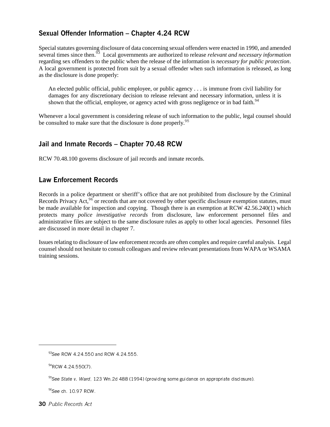## Sexual Offender Information – Chapter 4.24 RCW

Special statutes governing disclosure of data concerning sexual offenders were enacted in 1990, and amended several times since then.<sup>93</sup> Local governments are authorized to release *relevant and necessary information* regarding sex offenders to the public when the release of the information is *necessary for public protection*. A local government is protected from suit by a sexual offender when such information is released, as long as the disclosure is done properly:

An elected public official, public employee, or public agency . . . is immune from civil liability for damages for any discretionary decision to release relevant and necessary information, unless it is shown that the official, employee, or agency acted with gross negligence or in bad faith.<sup>94</sup>

Whenever a local government is considering release of such information to the public, legal counsel should be consulted to make sure that the disclosure is done properly.<sup>95</sup>

## Jail and Inmate Records – Chapter 70.48 RCW

RCW 70.48.100 governs disclosure of jail records and inmate records.

## Law Enforcement Records

Records in a police department or sheriff's office that are not prohibited from disclosure by the Criminal Records Privacy Act,<sup>96</sup> or records that are not covered by other specific disclosure exemption statutes, must be made available for inspection and copying. Though there is an exemption at RCW 42.56.240(1) which protects many *police investigative records* from disclosure, law enforcement personnel files and administrative files are subject to the same disclosure rules as apply to other local agencies. Personnel files are discussed in more detail in chapter 7.

Issues relating to disclosure of law enforcement records are often complex and require careful analysis. Legal counsel should not hesitate to consult colleagues and review relevant presentations from WAPA or WSAMA training sessions.

<sup>93</sup>See RCW 4.24.550 and RCW 4.24.555.

 $94$ RCW 4.24.550(7).

 $95$ See State v. Ward, 123 Wn.2d 488 (1994) (providing some guidance on appropriate disclosure).

<sup>96</sup>See ch. 10.97 RCW.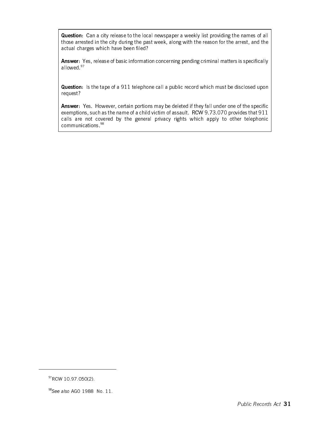Question: Can a city release to the local newspaper a weekly list providing the names of all those arrested in the city during the past week, along with the reason for the arrest, and the actual charges which have been filed?

Answer: Yes, release of basic information concerning pending criminal matters is specifically allowed.<sup>97</sup>

Question: Is the tape of a 911 telephone call a public record which must be disclosed upon request?

Answer: Yes. However, certain portions may be deleted if they fall under one of the specific exemptions, such as the name of a child victim of assault. RCW 9.73.070 provides that 911 calls are not covered by the general privacy rights which apply to other telephonic communications.98

<sup>97</sup>RCW 10.97.050(2).

<sup>98</sup>See also AGO 1988 No. 11.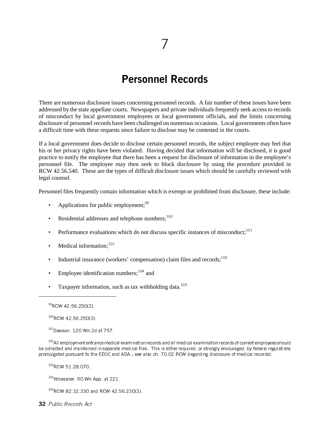## Personnel Records

There are numerous disclosure issues concerning personnel records. A fair number of these issues have been addressed by the state appellate courts. Newspapers and private individuals frequently seek access to records of misconduct by local government employees or local government officials, and the limits concerning disclosure of personnel records have been challenged on numerous occasions. Local governments often have a difficult time with these requests since failure to disclose may be contested in the courts.

If a local government does decide to disclose certain personnel records, the subject employee may feel that his or her privacy rights have been violated. Having decided that information will be disclosed, it is good practice to notify the employee that there has been a request for disclosure of information in the employee's personnel file. The employee may then seek to block disclosure by using the procedure provided in RCW 42.56.540. These are the types of difficult disclosure issues which should be carefully reviewed with legal counsel.

Personnel files frequently contain information which is exempt or prohibited from disclosure, these include:

- Applications for public employment;  $99$
- Residential addresses and telephone numbers; $100$
- Performance evaluations which do not discuss specific instances of misconduct: $101$
- Medical information: $102$
- Industrial insurance (workers' compensation) claim files and records; $^{103}$
- Employee identification numbers;  $104$  and
- Taxpayer information, such as tax withholding data.<sup>105</sup>

 $100$ RCW 42.56.250(3).

 $101$ Dawson, 120 Wn 2d at 797.

<sup>102</sup>All employment entrance medical examination records and all medical examination records of current employees should be collected and maintained in separate medical files. This is either required, or strongly encouraged, by federal regulations promulgated pursuant to the EEOC and ADA.; see also ch. 70.02 RCW (regarding disclosure of medical records).

<sup>103</sup>RCW 51.28.070.

 $104$ Woessner, 90 Wn App. at 221.

<sup>105</sup>RCW 82.32.330 and RCW 42.56.230(3).

32 Public Records Act

<sup>99</sup>RCW 42.56.250(2).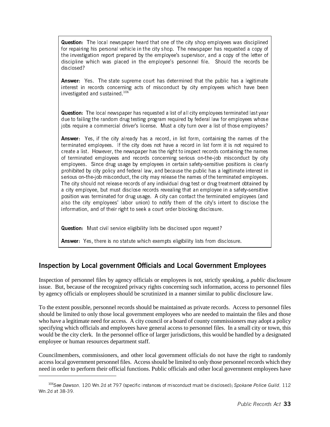**Question:** The local newspaper heard that one of the city shop employees was disciplined for repairing his personal vehicle in the city shop. The newspaper has requested a copy of the investigation report prepared by the employee's supervisor, and a copy of the letter of discipline which was placed in the employee's personnel file. Should the records be disclosed?

Answer: Yes. The state supreme court has determined that the public has a legitimate interest in records concerning acts of misconduct by city employees which have been investigated and sustained.106

Question: The local newspaper has requested a list of all city employees terminated last year due to failing the random drug testing program required by federal law for employees whose jobs require a commercial driver's license. Must a city turn over a list of those employees?

Answer: Yes, if the city already has a record, in list form, containing the names of the terminated employees. If the city does not have a record in list form it is not required to create a list. However, the newspaper has the right to inspect records containing the names of terminated employees and records concerning serious on-the-job misconduct by city employees. Since drug usage by employees in certain safety-sensitive positions is clearly prohibited by city policy and federal law, and because the public has a legitimate interest in serious on-the-job misconduct, the city may release the names of the terminated employees. The city should not release records of any individual drug test or drug treatment obtained by a city employee, but must disclose records revealing that an employee in a safety-sensitive position was terminated for drug usage. A city can contact the terminated employees (and also the city employees' labor union) to notify them of the city's intent to disclose the information, and of their right to seek a court order blocking disclosure.

Question: Must civil service eligibility lists be disclosed upon request?

Answer: Yes, there is no statute which exempts eligibility lists from disclosure.

## Inspection by Local government Officials and Local Government Employees

Inspection of personnel files by agency officials or employees is not, strictly speaking, a *public* disclosure issue. But, because of the recognized privacy rights concerning such information, access to personnel files by agency officials or employees should be scrutinized in a manner similar to public disclosure law.

To the extent possible, personnel records should be maintained as private records. Access to personnel files should be limited to only those local government employees who are needed to maintain the files and those who have a legitimate need for access. A city council or a board of county commissioners may adopt a policy specifying which officials and employees have general access to personnel files. In a small city or town, this would be the city clerk. In the personnel office of larger jurisdictions, this would be handled by a designated employee or human resources department staff.

Councilmembers, commissioners, and other local government officials do not have the right to randomly access local government personnel files. Access should be limited to only those personnel records which they need in order to perform their official functions. Public officials and other local government employees have

<sup>&</sup>lt;sup>106</sup>See Dawson, 120 Wn.2d at 797 (specific instances of misconduct must be disclosed); Spokane Police Guild, 112 Wn.2d at 38-39.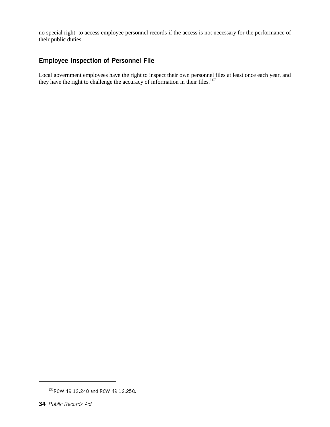no special right to access employee personnel records if the access is not necessary for the performance of their public duties.

## Employee Inspection of Personnel File

Local government employees have the right to inspect their own personnel files at least once each year, and they have the right to challenge the accuracy of information in their files.<sup>107</sup>

<sup>&</sup>lt;sup>107</sup>RCW 49.12.240 and RCW 49.12.250.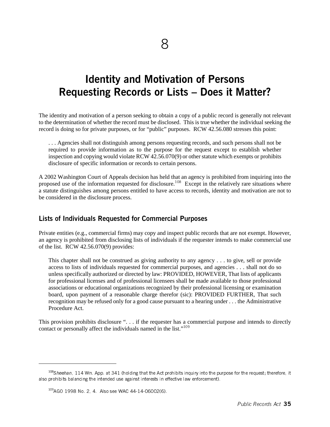## Identity and Motivation of Persons Requesting Records or Lists – Does it Matter?

The identity and motivation of a person seeking to obtain a copy of a public record is generally not relevant to the determination of whether the record must be disclosed. This is true whether the individual seeking the record is doing so for private purposes, or for "public" purposes. RCW 42.56.080 stresses this point:

. . . Agencies shall not distinguish among persons requesting records, and such persons shall not be required to provide information as to the purpose for the request except to establish whether inspection and copying would violate RCW 42.56.070(9) or other statute which exempts or prohibits disclosure of specific information or records to certain persons.

A 2002 Washington Court of Appeals decision has held that an agency is prohibited from inquiring into the proposed use of the information requested for disclosure.<sup>108</sup> Except in the relatively rare situations where a statute distinguishes among persons entitled to have access to records, identity and motivation are not to be considered in the disclosure process.

### Lists of Individuals Requested for Commercial Purposes

Private entities (e.g., commercial firms) may copy and inspect public records that are not exempt. However, an agency is prohibited from disclosing lists of individuals if the requester intends to make commercial use of the list. RCW 42.56.070(9) provides:

This chapter shall not be construed as giving authority to any agency . . . to give, sell or provide access to lists of individuals requested for commercial purposes, and agencies . . . shall not do so unless specifically authorized or directed by law: PROVIDED, HOWEVER, That lists of applicants for professional licenses and of professional licensees shall be made available to those professional associations or educational organizations recognized by their professional licensing or examination board, upon payment of a reasonable charge therefor (sic): PROVIDED FURTHER, That such recognition may be refused only for a good cause pursuant to a hearing under . . . the Administrative Procedure Act.

This provision prohibits disclosure ". . . if the requester has a commercial purpose and intends to directly contact or personally affect the individuals named in the list."<sup>109</sup>

 $108$ Sheehan, 114 Wn. App. at 341 (holding that the Act prohibits inquiry into the purpose for the request; therefore, it also prohibits balancing the intended use against interests in effective law enforcement).

<sup>&</sup>lt;sup>109</sup>AGO 1998 No. 2, 4. Also see WAC 44-14-06002(6).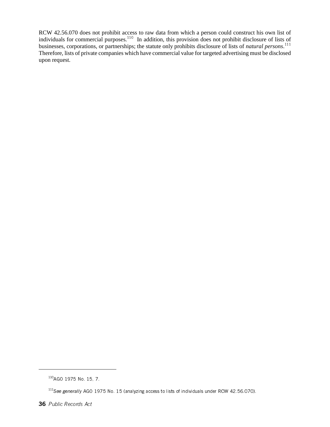RCW 42.56.070 does not prohibit access to raw data from which a person could construct his own list of individuals for commercial purposes.<sup>110</sup> In addition, this provision does not prohibit disclosure of lists of businesses, corporations, or partnerships; the statute only prohibits disclosure of lists of *natural persons*. 111 Therefore, lists of private companies which have commercial value for targeted advertising must be disclosed upon request.

<sup>110</sup>AGO 1975 No. 15, 7.

<sup>&</sup>lt;sup>111</sup> See generally AGO 1975 No. 15 (analyzing access to lists of individuals under RCW 42.56.070).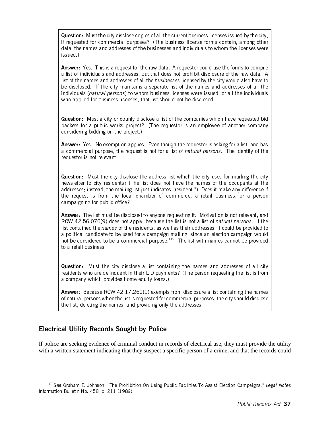Question: Must the city disclose copies of all the current business licenses issued by the city, if requested for commercial purposes? (The business license forms contain, among other data, the names and addresses of the businesses and individuals to whom the licenses were issued.)

Answer: Yes. This is a request for the raw data. A requestor could use the forms to compile a list of individuals and addresses, but that does not prohibit disclosure of the raw data. A list of the names and addresses of all the businesses licensed by the city would also have to be disclosed. If the city maintains a separate list of the names and addresses of all the individuals (natural persons) to whom business licenses were issued, or all the individuals who applied for business licenses, that list should not be disclosed.

Question: Must a city or county disclose a list of the companies which have requested bid packets for a public works project? (The requestor is an employee of another company considering bidding on the project.)

Answer: Yes. No exemption applies. Even though the requestor is asking for a list, and has a commercial purpose, the request is not for a list of natural persons. The identity of the requestor is not relevant.

Question: Must the city disclose the address list which the city uses for mailing the city newsletter to city residents? (The list does not have the names of the occupants at the addresses; instead, the mailing list just indicates "resident.") Does it make any difference if the request is from the local chamber of commerce, a retail business, or a person campaigning for public office?

Answer: The list must be disclosed to anyone requesting it. Motivation is not relevant, and RCW 42.56.070(9) does not apply, because the list is not a list of natural persons. If the list contained the *names* of the residents, as well as their addresses, it could be provided to a political candidate to be used for a campaign mailing, since an election campaign would not be considered to be a commercial purpose.<sup>112</sup> The list with names cannot be provided to a retail business.

Question: Must the city disclose a list containing the names and addresses of all city residents who are delinquent in their LID payments? (The person requesting the list is from a company which provides home equity loans.)

Answer: Because RCW 42.17.260(9) exempts from disclosure a list containing the names of natural persons when the list is requested for commercial purposes, the city should disclose the list, deleting the names, and providing only the addresses.

## Electrical Utility Records Sought by Police

If police are seeking evidence of criminal conduct in records of electrical use, they must provide the utility with a written statement indicating that they suspect a specific person of a crime, and that the records could

<sup>&</sup>lt;sup>112</sup>See Graham E. Johnson, "The Prohibition On Using Public Facilities To Assist Election Campaigns," Legal Notes Information Bulletin No. 458, p. 211 (1989).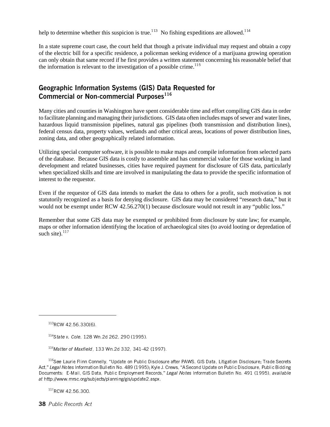help to determine whether this suspicion is true.<sup>113</sup> No fishing expeditions are allowed.<sup>114</sup>

In a state supreme court case, the court held that though a private individual may request and obtain a copy of the electric bill for a specific residence, a policeman seeking evidence of a marijuana growing operation can only obtain that same record if he first provides a written statement concerning his reasonable belief that the information is relevant to the investigation of a possible crime.<sup>115</sup>

## Geographic Information Systems (GIS) Data Requested for Commercial or Non-commercial Purposes $116$

Many cities and counties in Washington have spent considerable time and effort compiling GIS data in order to facilitate planning and managing their jurisdictions. GIS data often includes maps of sewer and water lines, hazardous liquid transmission pipelines, natural gas pipelines (both transmission and distribution lines), federal census data, property values, wetlands and other critical areas, locations of power distribution lines, zoning data, and other geographically related information.

Utilizing special computer software, it is possible to make maps and compile information from selected parts of the database. Because GIS data is costly to assemble and has commercial value for those working in land development and related businesses, cities have required payment for disclosure of GIS data, particularly when specialized skills and time are involved in manipulating the data to provide the specific information of interest to the requestor.

Even if the requestor of GIS data intends to market the data to others for a profit, such motivation is not statutorily recognized as a basis for denying disclosure. GIS data may be considered "research data," but it would not be exempt under RCW 42.56.270(1) because disclosure would not result in any "public loss."

Remember that some GIS data may be exempted or prohibited from disclosure by state law; for example, maps or other information identifying the location of archaeological sites (to avoid looting or depredation of such site). $^{117}$ 

117RCW 42.56.300.

38 Public Records Act

 $113$ RCW 42.56.330(6).

 $114$ State v. Cole, 128 Wn 2d 262, 290 (1995).

 $115$ Matter of Maxfield, 133 Wn 2d 332, 341-42 (1997).

<sup>&</sup>lt;sup>116</sup>See Laurie Flinn Connelly, "Update on Public Disclosure after PAWS, GIS Data, Litigation Disclosure; Trade Secrets Act," Legal Notes Information Bulletin No. 489 (1995); Kyle J. Crews, "A Second Update on Public Disclosure, Public Bidding Documents: E-Mail, GIS Data, Public Employment Records," Legal Notes Information Bulletin No. 491 (1995), available at http://www.mrsc.org/subjects/planning/gis/update2.aspx.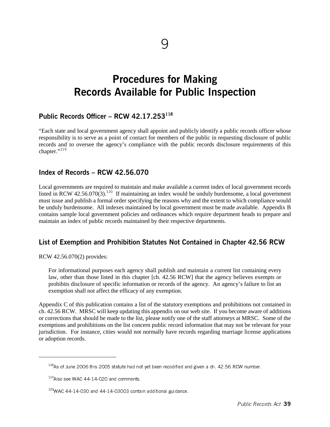## Procedures for Making Records Available for Public Inspection

## Public Records Officer – RCW 42.17.253 $^{118}$

"Each state and local government agency shall appoint and publicly identify a public records officer whose responsibility is to serve as a point of contact for members of the public in requesting disclosure of public records and to oversee the agency's compliance with the public records disclosure requirements of this chapter."<sup>119</sup>

#### Index of Records – RCW 42.56.070

Local governments are required to maintain and make available a current index of local government records listed in RCW 42.56.070(3).<sup>120</sup> If maintaining an index would be unduly burdensome, a local government must issue and publish a formal order specifying the reasons why and the extent to which compliance would be unduly burdensome. All indexes maintained by local government must be made available. Appendix B contains sample local government policies and ordinances which require department heads to prepare and maintain an index of public records maintained by their respective departments.

### List of Exemption and Prohibition Statutes Not Contained in Chapter 42.56 RCW

RCW 42.56.070(2) provides:

For informational purposes each agency shall publish and maintain a current list containing every law, other than those listed in this chapter [ch. 42.56 RCW] that the agency believes exempts or prohibits disclosure of specific information or records of the agency. An agency's failure to list an exemption shall not affect the efficacy of any exemption.

Appendix C of this publication contains a list of the statutory exemptions and prohibitions not contained in ch. 42.56 RCW. MRSC will keep updating this appendix on our web site. If you become aware of additions or corrections that should be made to the list, please notify one of the staff attorneys at MRSC. Some of the exemptions and prohibitions on the list concern public record information that may not be relevant for your jurisdiction. For instance, cities would not normally have records regarding marriage license applications or adoption records.

 $118$ As of June 2006 this 2005 statute had not yet been recodified and given a ch. 42.56 RCW number.

 $119$ Also see WAC 44-14-020 and comments.

<sup>&</sup>lt;sup>120</sup>WAC 44-14-030 and 44-14-03003 contain additional guidance.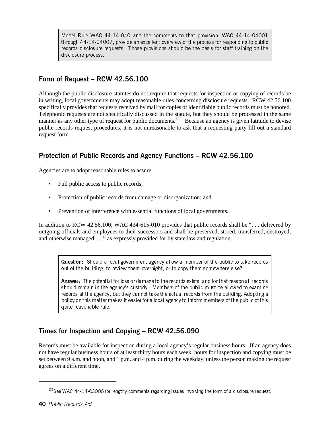Model Rule WAC 44-14-040 and the comments to that provision, WAC 44-14-04001 through 44-14-04007, provide an excellent overview of the process for responding to public records disclosure requests. Those provisions should be the basis for staff training on the disclosure process.

## Form of Request – RCW 42.56.100

Although the public disclosure statutes do not require that requests for inspection or copying of records be in writing, local governments may adopt reasonable rules concerning disclosure requests. RCW 42.56.100 specifically provides that requests received by mail for copies of identifiable public records must be honored. Telephonic requests are not specifically discussed in the statute, but they should be processed in the same manner as any other type of request for public documents.<sup>121</sup> Because an agency is given latitude to devise public records request procedures, it is not unreasonable to ask that a requesting party fill out a standard request form.

## Protection of Public Records and Agency Functions – RCW 42.56.100

Agencies are to adopt reasonable rules to assure:

- Full public access to public records;
- Protection of public records from damage or disorganization; and
- Prevention of interference with essential functions of local governments.

In addition to RCW 42.56.100, WAC 434-615-010 provides that public records shall be "... delivered by outgoing officials and employees to their successors and shall be preserved, stored, transferred, destroyed, and otherwise managed . . ." as expressly provided for by state law and regulation.

Question: Should a local government agency allow a member of the public to take records out of the building, to review them overnight, or to copy them somewhere else?

Answer: The potential for loss or damage to the records exists, and for that reason all records should remain in the agency's custody. Members of the public must be allowed to examine records at the agency, but they cannot take the actual records from the building. Adopting a policy on this matter makes it easier for a local agency to inform members of the public of this quite reasonable rule.

## Times for Inspection and Copying – RCW 42.56.090

Records must be available for inspection during a local agency's regular business hours. If an agency does not have regular business hours of at least thirty hours each week, hours for inspection and copying must be set between 9 a.m. and noon, and 1 p.m. and 4 p.m. during the weekday, unless the person making the request agrees on a different time.

<sup>&</sup>lt;sup>121</sup>See WAC 44-14-03006 for lengthy comments regarding issues involving the form of a disclosure request.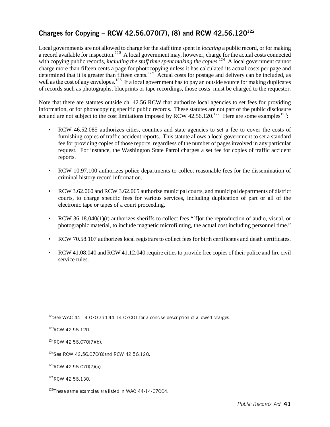## Charges for Copying – RCW 42.56.070(7), (8) and RCW 42.56.120 $^{122}$

Local governments are not allowed to charge for the staff time spent in *locating* a public record, or for making a record available for inspection.<sup>123</sup> A local government may, however, charge for the actual costs connected with copying public records, *including the staff time spent making the copies*.<sup>124</sup> A local government cannot charge more than fifteen cents a page for photocopying unless it has calculated its actual costs per page and determined that it is greater than fifteen cents.<sup>125</sup> Actual costs for postage and delivery can be included, as well as the cost of any envelopes.<sup>126</sup> If a local government has to pay an outside source for making duplicates of records such as photographs, blueprints or tape recordings, those costs must be charged to the requestor.

Note that there are statutes outside ch. 42.56 RCW that authorize local agencies to set fees for providing information, or for photocopying specific public records. These statutes are not part of the public disclosure act and are not subject to the cost limitations imposed by RCW 42.56.120.<sup>127</sup> Here are some examples<sup>128</sup>:

- RCW 46.52.085 authorizes cities, counties and state agencies to set a fee to cover the costs of furnishing copies of traffic accident reports. This statute allows a local government to set a standard fee for providing copies of those reports, regardless of the number of pages involved in any particular request. For instance, the Washington State Patrol charges a set fee for copies of traffic accident reports.
- RCW 10.97.100 authorizes police departments to collect reasonable fees for the dissemination of criminal history record information.
- RCW 3.62.060 and RCW 3.62.065 authorize municipal courts, and municipal departments of district courts, to charge specific fees for various services, including duplication of part or all of the electronic tape or tapes of a court proceeding.
- RCW 36.18.040(1)(t) authorizes sheriffs to collect fees "[f]or the reproduction of audio, visual, or photographic material, to include magnetic microfilming, the actual cost including personnel time."
- RCW 70.58.107 authorizes local registrars to collect fees for birth certificates and death certificates.
- RCW 41.08.040 and RCW 41.12.040 require cities to provide free copies of their police and fire civil service rules.

 $127$ RCW 42.56.130.

 $122$ See WAC 44-14-070 and 44-14-07001 for a concise description of allowed charges.

<sup>&</sup>lt;sup>123</sup>RCW 42.56.120.

 $124$ RCW 42.56.070(7)(b).

<sup>&</sup>lt;sup>125</sup>See RCW 42.56.070(8)and RCW 42.56.120.

 $126$ RCW 42.56.070(7)(a).

<sup>&</sup>lt;sup>128</sup>These same examples are listed in WAC 44-14-07004.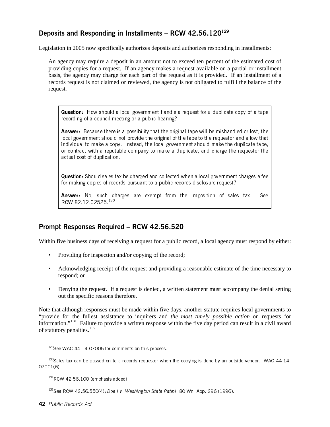## Deposits and Responding in Installments - RCW 42.56.120 $^{129}$

Legislation in 2005 now specifically authorizes deposits and authorizes responding in installments:

An agency may require a deposit in an amount not to exceed ten percent of the estimated cost of providing copies for a request. If an agency makes a request available on a partial or installment basis, the agency may charge for each part of the request as it is provided. If an installment of a records request is not claimed or reviewed, the agency is not obligated to fulfill the balance of the request.

Question: How should a local government handle a request for a duplicate copy of a tape recording of a council meeting or a public hearing?

Answer: Because there is a possibility that the original tape will be mishandled or lost, the local government should not provide the original of the tape to the requestor and allow that individual to make a copy. Instead, the local government should make the duplicate tape, or contract with a reputable company to make a duplicate, and charge the requestor the actual cost of duplication.

Question: Should sales tax be charged and collected when a local government charges a fee for making copies of records pursuant to a public records disclosure request?

Answer: No, such charges are exempt from the imposition of sales tax. See RCW 82 12 02525 130

## Prompt Responses Required – RCW 42.56.520

Within five business days of receiving a request for a public record, a local agency must respond by either:

- Providing for inspection and/or copying of the record;
- Acknowledging receipt of the request and providing a reasonable estimate of the time necessary to respond; or
- Denying the request. If a request is denied, a written statement must accompany the denial setting out the specific reasons therefore.

Note that although responses must be made within five days, another statute requires local governments to "provide for the fullest assistance to inquirers and *the most timely possible action* on requests for information."131 Failure to provide a written response within the five day period can result in a civil award of statutory penalties.<sup>132</sup>

<sup>&</sup>lt;sup>129</sup>See WAC 44-14-07006 for comments on this process.

 $130$ Sales tax can be passed on to a records requestor when the copying is done by an outside vendor. WAC 44-14-07001(6).

 $131$  RCW 42.56.100 (emphasis added).

<sup>132</sup> See RCW 42.56.550(4); Doe I v. Washington State Patrol, 80 Wn. App. 296 (1996).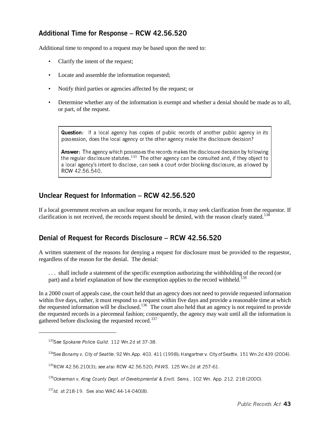## Additional Time for Response – RCW 42.56.520

Additional time to respond to a request may be based upon the need to:

- Clarify the intent of the request;
- Locate and assemble the information requested;
- Notify third parties or agencies affected by the request; or
- Determine whether any of the information is exempt and whether a denial should be made as to all, or part, of the request.

Question: If a local agency has copies of public records of another public agency in its possession, does the local agency or the other agency make the disclosure decision?

Answer: The agency which possesses the records makes the disclosure decision by following the regular disclosure statutes.<sup>133</sup> The other agency can be consulted and, if they object to a local agency's intent to disclose, can seek a court order blocking disclosure, as allowed by RCW 42.56.540.

## Unclear Request for Information – RCW 42.56.520

If a local government receives an unclear request for records, it may seek clarification from the requestor. If clarification is not received, the records request should be denied, with the reason clearly stated.<sup>134</sup>

## Denial of Request for Records Disclosure – RCW 42.56.520

A written statement of the reasons for denying a request for disclosure must be provided to the requestor, regardless of the reason for the denial. The denial:

. . . shall include a statement of the specific exemption authorizing the withholding of the record (or part) and a brief explanation of how the exemption applies to the record withheld.<sup>135</sup>

In a 2000 court of appeals case, the court held that an agency does not need to provide requested information within five days, rather, it must respond to a request within five days and provide a reasonable time at which the requested information will be disclosed.<sup>136</sup> The court also held that an agency is not required to provide the requested records in a piecemeal fashion; consequently, the agency may wait until all the information is gathered before disclosing the requested record.<sup>137</sup>

<sup>&</sup>lt;sup>133</sup>See Spokane Police Guild, 112 Wn 2d at 37-38.

<sup>134</sup>See Bonamy v. City of Seattle, 92 Wn.App. 403, 411 (1998); Hangartner v. City of Seattle, 151 Wn.2d 439 (2004).

<sup>&</sup>lt;sup>135</sup>RCW 42.56.210(3); see also RCW 42.56.520; PAWS, 125 Wn.2d at 257-61.

<sup>&</sup>lt;sup>136</sup>Ockerman v. King County Dept. of Developmental & Envtl. Servs., 102 Wn. App. 212, 218 (2000).

<sup>&</sup>lt;sup>137</sup>/d. at 218-19. See also WAC 44-14-040(8).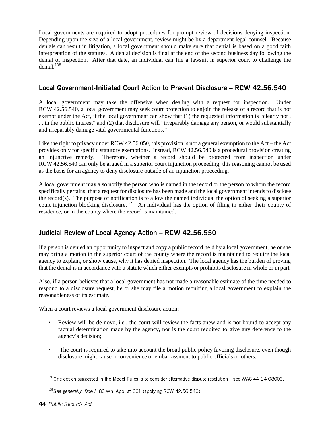Local governments are required to adopt procedures for prompt review of decisions denying inspection. Depending upon the size of a local government, review might be by a department legal counsel. Because denials can result in litigation, a local government should make sure that denial is based on a good faith interpretation of the statutes. A denial decision is final at the end of the second business day following the denial of inspection. After that date, an individual can file a lawsuit in superior court to challenge the denial. $138$ 

## Local Government-Initiated Court Action to Prevent Disclosure – RCW 42.56.540

A local government may take the offensive when dealing with a request for inspection. Under RCW 42.56.540, a local government may seek court protection to enjoin the release of a record that is not exempt under the Act, if the local government can show that (1) the requested information is "clearly not . . . in the public interest" and (2) that disclosure will "irreparably damage any person, or would substantially and irreparably damage vital governmental functions."

Like the right to privacy under RCW 42.56.050, this provision is not a general exemption to the Act – the Act provides only for specific statutory exemptions. Instead, RCW 42.56.540 is a procedural provision creating an injunctive remedy. Therefore, whether a record should be protected from inspection under RCW 42.56.540 can only be argued in a superior court injunction proceeding; this reasoning cannot be used as the basis for an agency to deny disclosure outside of an injunction proceeding.

A local government may also notify the person who is named in the record or the person to whom the record specifically pertains, that a request for disclosure has been made and the local government intends to disclose the record(s). The purpose of notification is to allow the named individual the option of seeking a superior court injunction blocking disclosure.<sup>139</sup> An individual has the option of filing in either their county of residence, or in the county where the record is maintained.

## Judicial Review of Local Agency Action – RCW 42.56.550

If a person is denied an opportunity to inspect and copy a public record held by a local government, he or she may bring a motion in the superior court of the county where the record is maintained to require the local agency to explain, or show cause, why it has denied inspection. The local agency has the burden of proving that the denial is in accordance with a statute which either exempts or prohibits disclosure in whole or in part.

Also, if a person believes that a local government has not made a reasonable estimate of the time needed to respond to a disclosure request, he or she may file a motion requiring a local government to explain the reasonableness of its estimate.

When a court reviews a local government disclosure action:

- Review will be de novo, i.e., the court will review the facts anew and is not bound to accept any factual determination made by the agency, nor is the court required to give any deference to the agency's decision;
- The court is required to take into account the broad public policy favoring disclosure, even though disclosure might cause inconvenience or embarrassment to public officials or others.

 $138$ One option suggested in the Model Rules is to consider alternative dispute resolution – see WAC 44-14-08003.

<sup>&</sup>lt;sup>139</sup>See generally, Doe I, 80 Wn. App. at 301 (applying RCW 42.56.540).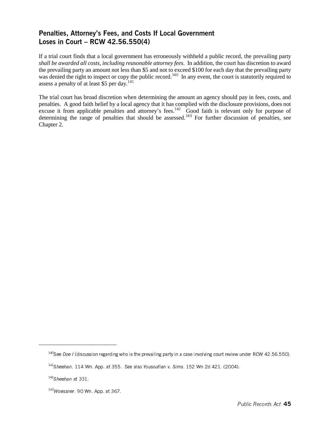## Penalties, Attorney's Fees, and Costs If Local Government Loses in Court – RCW 42.56.550(4)

If a trial court finds that a local government has erroneously withheld a public record, the prevailing party *shall be awarded all costs, including reasonable attorney fees*. In addition, the court has discretion to award the prevailing party an amount not less than \$5 and not to exceed \$100 for each day that the prevailing party was denied the right to inspect or copy the public record.<sup>140</sup> In any event, the court is statutorily required to assess a penalty of at least \$5 per day.<sup>141</sup>

The trial court has broad discretion when determining the amount an agency should pay in fees, costs, and penalties. A good faith belief by a local agency that it has complied with the disclosure provisions, does not excuse it from applicable penalties and attorney's fees.<sup>142</sup> Good faith is relevant only for purpose of determining the range of penalties that should be assessed.<sup>143</sup> For further discussion of penalties, see Chapter 2.

 $140$ See Doe I (discussion regarding who is the prevailing party in a case involving court review under RCW 42.56.550).

 $141$ Sheehan, 114 Wn. App. at 355. See also Yousoufian v. Sims. 152 Wn 2d 421. (2004).

 $142$ Sheehan at 331.

 $143$ Woessner, 90 Wn. App. at 367.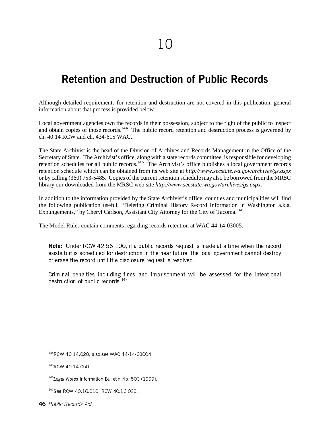## Retention and Destruction of Public Records

Although detailed requirements for retention and destruction are not covered in this publication, general information about that process is provided below.

Local government agencies own the records in their possession, subject to the right of the public to inspect and obtain copies of those records.<sup>144</sup> The public record retention and destruction process is governed by ch. 40.14 RCW and ch. 434-615 WAC.

The State Archivist is the head of the Division of Archives and Records Management in the Office of the Secretary of State. The Archivist's office, along with a state records committee, is responsible for developing retention schedules for all public records.<sup>145</sup> The Archivist's office publishes a local government records retention schedule which can be obtained from its web site at *http://www.secstate.wa.gov/archives/gs.aspx* or by calling (360) 753-5485. Copies of the current retention schedule may also be borrowed from the MRSC library our downloaded from the MRSC web site *http://www.secstate.wa.gov/archives/gs.aspx*.

In addition to the information provided by the State Archivist's office, counties and municipalities will find the following publication useful, "Deleting Criminal History Record Information in Washington a.k.a. Expungements," by Cheryl Carlson, Assistant City Attorney for the City of Tacoma.<sup>146</sup>

The Model Rules contain comments regarding records retention at WAC 44-14-03005.

Note: Under RCW 42.56.100, if a public records request is made at a time when the record exists but is scheduled for destruction in the near future, the local government cannot destroy or erase the record until the disclosure request is resolved.

Criminal penalties including fines and imprisonment will be assessed for the intentional destruction of public records. $147$ 

<sup>&</sup>lt;sup>144</sup>RCW 40.14.020; also see WAC 44-14-03004.

<sup>&</sup>lt;sup>145</sup>RCW 40.14.050

<sup>&</sup>lt;sup>146</sup>Legal Notes Information Bulletin No. 503 (1999).

<sup>&</sup>lt;sup>147</sup>See RCW 40.16.010; RCW 40.16.020.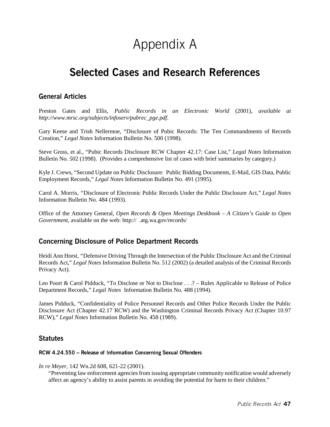# Appendix A

## Selected Cases and Research References

## General Articles

Preston Gates and Ellis, *Public Records in an Electronic World* (2001), *available at http://www.mrsc.org/subjects/infoserv/pubrec\_pge.pdf*.

Gary Keese and Trish Nellermoe, "Disclosure of Pubic Records: The Ten Commandments of Records Creation," *Legal Notes* Information Bulletin No. 500 (1998).

Steve Gross, et al., "Pubic Records Disclosure RCW Chapter 42.17: Case List," *Legal Notes* Information Bulletin No. 502 (1998). (Provides a comprehensive list of cases with brief summaries by category.)

Kyle J. Crews, "Second Update on Public Disclosure: Public Bidding Documents, E-Mail, GIS Data, Public Employment Records," *Legal Notes* Information Bulletin No. 491 (1995).

Carol A. Morris, *"*Disclosure of Electronic Public Records Under the Public Disclosure Act," *Legal Notes* Information Bulletin No. 484 (1993).

Office of the Attorney General, *Open Records & Open Meetings Deskbook – A Citizen's Guide to Open Government*, available on the web: http:// .atg.wa.gov/records/

## Concerning Disclosure of Police Department Records

Heidi Ann Horst, *"*Defensive Driving Through the Intersection of the Public Disclosure Act and the Criminal Records Act," *Legal Notes* Information Bulletin No. 512 (2002) (a detailed analysis of the Criminal Records Privacy Act).

Leo Poort & Carol Pidduck, "To Disclose or Not to Disclose . . .? – Rules Applicable to Release of Police Department Records," *Legal Notes* Information Bulletin No. 488 (1994).

James Pidduck, "Confidentiality of Police Personnel Records and Other Police Records Under the Public Disclosure Act (Chapter 42.17 RCW) and the Washington Criminal Records Privacy Act (Chapter 10.97 RCW)," *Legal Notes* Information Bulletin No. 458 (1989).

### **Statutes**

#### RCW 4.24.550 – Release of Information Concerning Sexual Offenders

*In re Meyer*, 142 Wn.2d 608, 621-22 (2001).

"Preventing law enforcement agencies from issuing appropriate community notification would adversely affect an agency's ability to assist parents in avoiding the potential for harm to their children."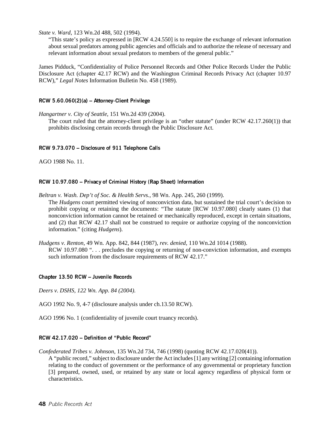*State v. Ward*, 123 Wn.2d 488, 502 (1994).

"This state's policy as expressed in [RCW 4.24.550] is to require the exchange of relevant information about sexual predators among public agencies and officials and to authorize the release of necessary and relevant information about sexual predators to members of the general public."

James Pidduck, "Confidentiality of Police Personnel Records and Other Police Records Under the Public Disclosure Act (chapter 42.17 RCW) and the Washington Criminal Records Privacy Act (chapter 10.97 RCW)," *Legal Notes* Information Bulletin No. 458 (1989).

#### RCW 5.60.060(2)(a) – Attorney-Client Privilege

*Hangartner v. City of Seattle*, 151 Wn.2d 439 (2004).

The court ruled that the attorney-client privilege is an "other statute" (under RCW 42.17.260(1)) that prohibits disclosing certain records through the Public Disclosure Act.

#### RCW 9.73.070 – Disclosure of 911 Telephone Calls

AGO 1988 No. 11.

#### RCW 10.97.080 – Privacy of Criminal History (Rap Sheet) Information

*Beltran v. Wash. Dep't of Soc. & Health Servs.*, 98 Wn. App. 245, 260 (1999). The *Hudgens* court permitted viewing of nonconviction data, but sustained the trial court's decision to prohibit copying or retaining the documents: "The statute [RCW 10.97.080] clearly states (1) that nonconviction information cannot be retained or mechanically reproduced, except in certain situations, and (2) that RCW 42.17 shall not be construed to require or authorize copying of the nonconviction information." (citing *Hudgens*).

*Hudgens v. Renton*, 49 Wn. App. 842, 844 (1987), *rev. denied*, 110 Wn.2d 1014 (1988). RCW 10.97.080 "... precludes the copying or returning of non-conviction information, and exempts such information from the disclosure requirements of RCW 42.17."

#### Chapter 13.50 RCW – Juvenile Records

*Deers v. DSHS, 122 Wn. App. 84 (2004).*

AGO 1992 No. 9, 4-7 (disclosure analysis under ch.13.50 RCW).

AGO 1996 No. 1 (confidentiality of juvenile court truancy records).

#### RCW 42.17.020 – Definition of "Public Record"

*Confederated Tribes v. Johnson*, 135 Wn.2d 734, 746 (1998) (quoting RCW 42.17.020(41)).

A "public record," subject to disclosure under the Act includes [1] any writing [2] containing information relating to the conduct of government or the performance of any governmental or proprietary function [3] prepared, owned, used, or retained by any state or local agency regardless of physical form or characteristics.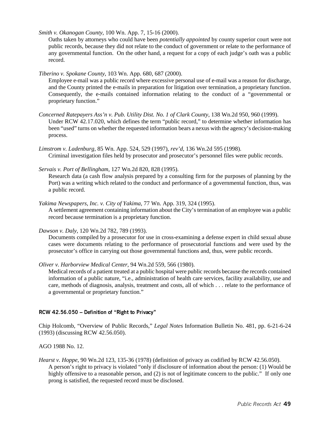*Smith v. Okanogan County*, 100 Wn. App. 7, 15-16 (2000).

Oaths taken by attorneys who could have been *potentially appointed* by county superior court were not public records, because they did not relate to the conduct of government or relate to the performance of any governmental function. On the other hand, a request for a copy of each judge's oath was a public record.

*Tiberino v. Spokane County*, 103 Wn. App. 680, 687 (2000).

Employee e-mail was a public record where excessive personal use of e-mail was a reason for discharge, and the County printed the e-mails in preparation for litigation over termination, a proprietary function. Consequently, the e-mails contained information relating to the conduct of a "governmental or proprietary function."

- *Concerned Ratepayers Ass'n v. Pub. Utility Dist. No. 1 of Clark County*, 138 Wn.2d 950, 960 (1999). Under RCW 42.17.020, which defines the term "public record," to determine whether information has been "used" turns on whether the requested information bears a nexus with the agency's decision-making process.
- *Limstrom v. Ladenburg*, 85 Wn. App. 524, 529 (1997), *rev'd*, 136 Wn.2d 595 (1998). Criminal investigation files held by prosecutor and prosecutor's personnel files were public records.
- *Servais v. Port of Bellingham*, 127 Wn.2d 820, 828 (1995).

Research data (a cash flow analysis prepared by a consulting firm for the purposes of planning by the Port) was a writing which related to the conduct and performance of a governmental function, thus, was a public record.

- *Yakima Newspapers, Inc. v. City of Yakima*, 77 Wn. App. 319, 324 (1995). A settlement agreement containing information about the City's termination of an employee was a public record because termination is a proprietary function.
- *Dawson v. Daly*, 120 Wn.2d 782, 789 (1993).

Documents compiled by a prosecutor for use in cross-examining a defense expert in child sexual abuse cases were documents relating to the performance of prosecutorial functions and were used by the prosecutor's office in carrying out those governmental functions and, thus, were public records.

*Oliver v. Harborview Medical Center*, 94 Wn.2d 559, 566 (1980).

Medical records of a patient treated at a public hospital were public records because the records contained information of a public nature, "i.e., administration of health care services, facility availability, use and care, methods of diagnosis, analysis, treatment and costs, all of which . . . relate to the performance of a governmental or proprietary function."

#### RCW 42.56.050 – Definition of "Right to Privacy"

Chip Holcomb, "Overview of Public Records," *Legal Notes* Information Bulletin No. 481, pp. 6-21-6-24 (1993) (discussing RCW 42.56.050).

AGO 1988 No. 12.

*Hearst v. Hoppe*, 90 Wn.2d 123, 135-36 (1978) (definition of privacy as codified by RCW 42.56.050). A person's right to privacy is violated "only if disclosure of information about the person: (1) Would be highly offensive to a reasonable person, and (2) is not of legitimate concern to the public." If only one prong is satisfied, the requested record must be disclosed.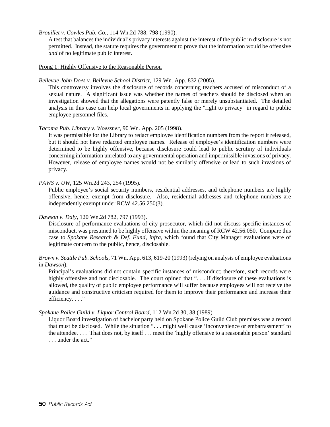*Brouillet v. Cowles Pub. Co.*, 114 Wn.2d 788, 798 (1990).

A test that balances the individual's privacy interests against the interest of the public in disclosure is not permitted. Instead, the statute requires the government to prove that the information would be offensive *and* of no legitimate public interest.

#### Prong 1: Highly Offensive to the Reasonable Person

#### *Bellevue John Does v. Bellevue School District*, 129 Wn. App. 832 (2005).

This controversy involves the disclosure of records concerning teachers accused of misconduct of a sexual nature. A significant issue was whether the names of teachers should be disclosed when an investigation showed that the allegations were patently false or merely unsubstantiated. The detailed analysis in this case can help local governments in applying the "right to privacy" in regard to public employee personnel files.

#### *Tacoma Pub. Library v. Woessner*, 90 Wn. App. 205 (1998).

It was permissible for the Library to redact employee identification numbers from the report it released, but it should not have redacted employee names. Release of employee's identification numbers were determined to be highly offensive, because disclosure could lead to public scrutiny of individuals concerning information unrelated to any governmental operation and impermissible invasions of privacy. However, release of employee names would not be similarly offensive or lead to such invasions of privacy.

#### *PAWS v. UW*, 125 Wn.2d 243, 254 (1995).

Public employee's social security numbers, residential addresses, and telephone numbers are highly offensive, hence, exempt from disclosure. Also, residential addresses and telephone numbers are independently exempt under RCW 42.56.250(3).

#### *Dawson v. Daly*, 120 Wn.2d 782, 797 (1993).

Disclosure of performance evaluations of city prosecutor, which did not discuss specific instances of misconduct, was presumed to be highly offensive within the meaning of RCW 42.56.050. Compare this case to *Spokane Research & Def. Fund*, *infra*, which found that City Manager evaluations were of legitimate concern to the public, hence, disclosable.

*Brown v. Seattle Pub. Schools*, 71 Wn. App. 613, 619-20 (1993) (relying on analysis of employee evaluations in *Dawson*).

Principal's evaluations did not contain specific instances of misconduct; therefore, such records were highly offensive and not disclosable. The court opined that "... if disclosure of these evaluations is allowed, the quality of public employee performance will suffer because employees will not receive the guidance and constructive criticism required for them to improve their performance and increase their efficiency...."

#### *Spokane Police Guild v. Liquor Control Board*, 112 Wn.2d 30, 38 (1989).

Liquor Board investigation of bachelor party held on Spokane Police Guild Club premises was a record that must be disclosed. While the situation ". . . might well cause 'inconvenience or embarrassment' to the attendee. . . . That does not, by itself . . . meet the 'highly offensive to a reasonable person' standard . . . under the act."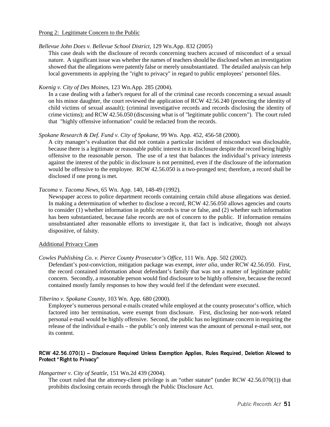#### Prong 2: Legitimate Concern to the Public

#### *Bellevue John Does v. Bellevue School District,* 129 Wn.App. 832 (2005)

This case deals with the disclosure of records concerning teachers accused of misconduct of a sexual nature. A significant issue was whether the names of teachers should be disclosed when an investigation showed that the allegations were patently false or merely unsubstantiated. The detailed analysis can help local governments in applying the "right to privacy" in regard to public employees' personnel files.

#### *Koenig v. City of Des Moines*, 123 Wn.App. 285 (2004).

In a case dealing with a father's request for all of the criminal case records concerning a sexual assault on his minor daughter, the court reviewed the application of RCW 42.56.240 (protecting the identity of child victims of sexual assault); (criminal investigative records and records disclosing the identity of crime victims); and RCW 42.56.050 (discussing what is of "legitimate public concern"). The court ruled that "highly offensive information" could be redacted from the records.

#### *Spokane Research & Def. Fund v. City of Spokane*, 99 Wn. App. 452, 456-58 (2000).

A city manager's evaluation that did not contain a particular incident of misconduct was disclosable, because there is a legitimate or reasonable public interest in its disclosure despite the record being highly offensive to the reasonable person. The use of a test that balances the individual's privacy interests against the interest of the public in disclosure is not permitted, even if the disclosure of the information would be offensive to the employee. RCW 42.56.050 is a two-pronged test; therefore, a record shall be disclosed if one prong is met.

#### *Tacoma v. Tacoma News*, 65 Wn. App. 140, 148-49 (1992).

Newspaper access to police department records containing certain child abuse allegations was denied. In making a determination of whether to disclose a record, RCW 42.56.050 allows agencies and courts to consider (1) whether information in public records is true or false, and (2) whether such information has been substantiated, because false records are not of concern to the public. If information remains unsubstantiated after reasonable efforts to investigate it, that fact is indicative, though not always dispositive, of falsity.

#### Additional Privacy Cases

#### *Cowles Publishing Co. v. Pierce County Prosecutor's Office*, 111 Wn. App. 502 (2002).

Defendant's post-conviction, mitigation package was exempt, *inter alia*, under RCW 42.56.050. First, the record contained information about defendant's family that was not a matter of legitimate public concern. Secondly, a reasonable person would find disclosure to be highly offensive, because the record contained mostly family responses to how they would feel if the defendant were executed.

#### *Tiberino v. Spokane County*, 103 Wn. App. 680 (2000).

Employee's numerous personal e-mails created while employed at the county prosecutor's office, which factored into her termination, were exempt from disclosure. First, disclosing her non-work related personal e-mail would be highly offensive. Second, the public has no legitimate concern in requiring the release of the individual e-mails – the public's only interest was the amount of personal e-mail sent, not its content.

#### RCW 42.56.070(1) – Disclosure Required Unless Exemption Applies, Rules Required, Deletion Allowed to Protect "Right to Privacy"

#### *Hangartner v. City of Seattle*, 151 Wn.2d 439 (2004).

The court ruled that the attorney-client privilege is an "other statute" (under RCW 42.56.070(1)) that prohibits disclosing certain records through the Public Disclosure Act.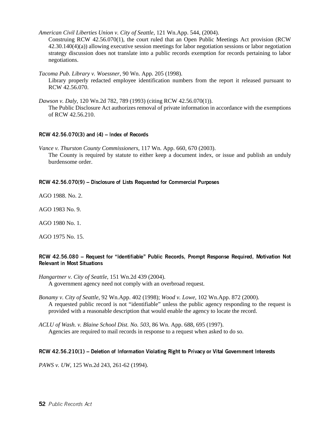*American Civil Liberties Union v. City of Seattle*, 121 Wn.App. 544, (2004).

Construing RCW 42.56.070(1), the court ruled that an Open Public Meetings Act provision (RCW 42.30.140(4)(a)) allowing executive session meetings for labor negotiation sessions or labor negotiation strategy discussion does not translate into a public records exemption for records pertaining to labor negotiations.

*Tacoma Pub. Library v. Woessner*, 90 Wn. App. 205 (1998). Library properly redacted employee identification numbers from the report it released pursuant to RCW 42.56.070.

*Dawson v. Daly*, 120 Wn.2d 782, 789 (1993) (citing RCW 42.56.070(1)). The Public Disclosure Act authorizes removal of private information in accordance with the exemptions of RCW 42.56.210.

#### RCW 42.56.070(3) and (4) – Index of Records

*Vance v. Thurston County Commissioners*, 117 Wn. App. 660, 670 (2003). The County is required by statute to either keep a document index, or issue and publish an unduly burdensome order.

#### RCW 42.56.070(9) – Disclosure of Lists Requested for Commercial Purposes

AGO 1988. No. 2.

AGO 1983 No. 9.

AGO 1980 No. 1.

AGO 1975 No. 15.

#### RCW 42.56.080 – Request for "Identifiable" Public Records, Prompt Response Required, Motivation Not Relevant in Most Situations

*Hangartner v. City of Seattle*, 151 Wn.2d 439 (2004). A government agency need not comply with an overbroad request.

- *Bonamy v. City of Seattle*, 92 Wn.App. 402 (1998); *Wood v. Lowe*, 102 Wn.App. 872 (2000). A requested public record is not "identifiable" unless the public agency responding to the request is provided with a reasonable description that would enable the agency to locate the record.
- *ACLU of Wash. v. Blaine School Dist. No. 503*, 86 Wn. App. 688, 695 (1997). Agencies are required to mail records in response to a request when asked to do so.

#### RCW 42.56.210(1) – Deletion of Information Violating Right to Privacy or Vital Government Interests

*PAWS v. UW*, 125 Wn.2d 243, 261-62 (1994).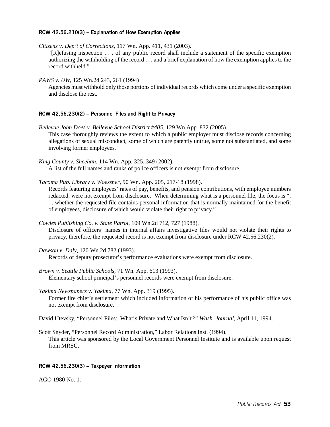#### RCW 42.56.210(3) – Explanation of How Exemption Applies

*Citizens v. Dep't of Corrections*, 117 Wn. App. 411, 431 (2003).

"[R]efusing inspection . . . of any public record shall include a statement of the specific exemption authorizing the withholding of the record . . . and a brief explanation of how the exemption applies to the record withheld."

*PAWS v. UW*, 125 Wn.2d 243, 261 (1994)

Agencies must withhold only those portions of individual records which come under a specific exemption and disclose the rest.

#### RCW 42.56.230(2) – Personnel Files and Right to Privacy

- *Bellevue John Does v. Bellevue School District #405,* 129 Wn.App. 832 (2005). This case thoroughly reviews the extent to which a public employer must disclose records concerning allegations of sexual misconduct, some of which are patently untrue, some not substantiated, and some involving former employees.
- *King County v. Sheehan*, 114 Wn. App. 325, 349 (2002).

A list of the full names and ranks of police officers is not exempt from disclosure.

*Tacoma Pub. Library v. Woessner*, 90 Wn. App. 205, 217-18 (1998).

Records featuring employees' rates of pay, benefits, and pension contributions, with employee numbers redacted, were not exempt from disclosure. When determining what is a personnel file, the focus is ". . . whether the requested file contains personal information that is normally maintained for the benefit of employees, disclosure of which would violate their right to privacy."

*Cowles Publishing Co. v. State Patrol*, 109 Wn.2d 712, 727 (1988).

Disclosure of officers' names in internal affairs investigative files would not violate their rights to privacy, therefore, the requested record is not exempt from disclosure under RCW 42.56.230(2).

*Dawson v. Daly*, 120 Wn.2d 782 (1993). Records of deputy prosecutor's performance evaluations were exempt from disclosure.

*Brown v. Seattle Public Schools*, 71 Wn. App. 613 (1993). Elementary school principal's personnel records were exempt from disclosure.

*Yakima Newspapers v. Yakima*, 77 Wn. App. 319 (1995). Former fire chief's settlement which included information of his performance of his public office was not exempt from disclosure.

David Utevsky, "Personnel Files: What's Private and What Isn't*?" Wash. Journal*, April 11, 1994.

Scott Snyder, "Personnel Record Administration," Labor Relations Inst. (1994). This article was sponsored by the Local Government Personnel Institute and is available upon request from MRSC.

#### RCW 42.56.230(3) – Taxpayer Information

AGO 1980 No. 1.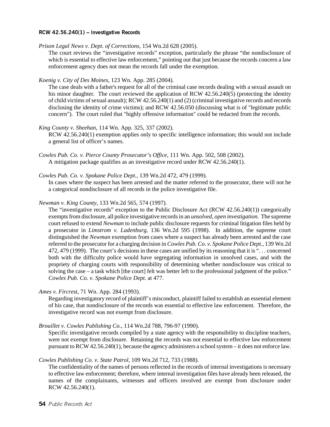#### RCW 42.56.240(1) – Investigative Records

*Prison Legal News v. Dept. of Corrections*, 154 Wn.2d 628 (2005).

The court reviews the "investigative records" exception, particularly the phrase "the nondisclosure of which is essential to effective law enforcement," pointing out that just because the records concern a law enforcement agency does not mean the records fall under the exemption.

*Koenig v. City of Des Moines*, 123 Wn. App. 285 (2004).

The case deals with a father's request for all of the criminal case records dealing with a sexual assault on his minor daughter. The court reviewed the application of RCW 42.56.240(5) (protecting the identity of child victims of sexual assault); RCW 42.56.240(1) and (2) (criminal investigative records and records disclosing the identity of crime victims); and RCW 42.56.050 (discussing what is of "legitimate public concern"). The court ruled that "highly offensive information" could be redacted from the records.

#### *King County v. Sheehan*, 114 Wn. App. 325, 337 (2002).

RCW 42.56.240(1) exemption applies only to specific intelligence information; this would not include a general list of officer's names.

#### *Cowles Pub. Co. v. Spokane Police Dept.*, 139 Wn.2d 472, 479 (1999).

In cases where the suspect has been arrested and the matter referred to the prosecutor, there will not be a categorical nondisclosure of all records in the police investigative file.

#### *Newman v. King County*, 133 Wn.2d 565, 574 (1997).

The "investigative records" exception to the Public Disclosure Act (RCW 42.56.240(1)) categorically exempts from disclosure, all police investigative records in an *unsolved, open investigation*. The supreme court refused to extend *Newman* to include public disclosure requests for criminal litigation files held by a prosecutor in *Limstrom v. Ladenburg*, 136 Wn.2d 595 (1998). In addition, the supreme court distinguished the *Newman* exemption from cases where a suspect has already been arrested and the case referred to the prosecutor for a charging decision in *Cowles Pub. Co. v. Spokane Police Dept.*, 139 Wn.2d 472, 479 (1999). The court's decisions in these cases are unified by its reasoning that it is ". . . concerned both with the difficulty police would have segregating information in unsolved cases, and with the propriety of charging courts with responsibility of determining whether nondisclosure was critical to solving the case – a task which [the court] felt was better left to the professional judgment of the police." *Cowles Pub. Co. v. Spokane Police Dept.* at 477.

#### *Ames v. Fircrest*, 71 Wn. App. 284 (1993).

Regarding investigatory record of plaintiff's misconduct, plaintiff failed to establish an essential element of his case, that nondisclosure of the records was essential to effective law enforcement. Therefore, the investigative record was not exempt from disclosure.

#### *Brouillet v. Cowles Publishing Co.*, 114 Wn.2d 788, 796-97 (1990).

Specific investigative records compiled by a state agency with the responsibility to discipline teachers, were not exempt from disclosure. Retaining the records was not essential to effective law enforcement pursuant to RCW 42.56.240(1), because the agency administers a school system – it does not enforce law.

#### *Cowles Publishing Co. v. State Patrol*, 109 Wn.2d 712, 733 (1988).

The confidentiality of the names of persons reflected in the records of internal investigations is necessary to effective law enforcement; therefore, where internal investigation files have already been released, the names of the complainants, witnesses and officers involved are exempt from disclosure under RCW 42.56.240(1).

*Cowles Pub. Co. v. Pierce County Prosecutor's Office*, 111 Wn. App. 502, 508 (2002). A mitigation package qualifies as an investigative record under RCW 42.56.240(1).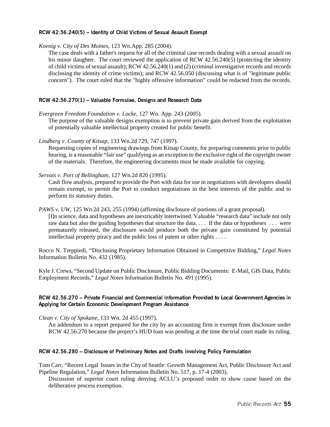#### RCW 42.56.240(5) – Identity of Child Victims of Sexual Assault Exempt

*Koenig v. City of Des Moines*, 123 Wn.App. 285 (2004).

The case deals with a father's request for all of the criminal case records dealing with a sexual assault on his minor daughter. The court reviewed the application of RCW 42.56.240(5) (protecting the identity of child victims of sexual assault); RCW 42.56.240(1) and (2) (criminal investigative records and records disclosing the identity of crime victims); and RCW 42.56.050 (discussing what is of "legitimate public concern"). The court ruled that the "highly offensive information" could be redacted from the records.

#### RCW 42.56.270(1) – Valuable Formulae, Designs and Research Data

*Evergreen Freedom Foundation v. Locke*, 127 Wn. App. 243 (2005). The purpose of the valuable designs exemption is to prevent private gain derived from the exploitation of potentially valuable intellectual property created for public benefit.

*Lindberg v. County of Kitsap*, 133 Wn.2d 729, 747 (1997).

Requesting copies of engineering drawings from Kitsap County, for preparing comments prior to public hearing, is a reasonable "fair use" qualifying as an exception to the exclusive right of the copyright owner of the materials. Therefore, the engineering documents must be made available for copying.

*Servais v. Port of Bellingham*, 127 Wn.2d 820 (1995).

Cash flow analysis, prepared to provide the Port with data for use in negotiations with developers should remain exempt, to permit the Port to conduct negotiations in the best interests of the public and to perform its statutory duties.

#### *PAWS v. UW*, 125 Wn.2d 243, 255 (1994) (affirming disclosure of portions of a grant proposal).

[I]n science, data and hypotheses are inextricably intertwined. Valuable "research data" include not only raw data but also the guiding hypotheses that structure the data. . . . If the data or hypotheses . . . were prematurely released, the disclosure would produce both the private gain constituted by potential intellectual property piracy and the public loss of patent or other rights . . . .

Rocco N. Treppiedi, "Disclosing Proprietary Information Obtained in Competitive Bidding," *Legal Notes* Information Bulletin No. 432 (1985).

Kyle J. Crews, "Second Update on Public Disclosure, Public Bidding Documents: E-Mail, GIS Data, Public Employment Records," *Legal Notes* Information Bulletin No. 491 (1995).

#### RCW 42.56.270 – Private Financial and Commercial Information Provided to Local Government Agencies in Applying for Certain Economic Development Program Assistance

*Clean v. City of Spokane*, 133 Wn. 2d 455 (1997).

An addendum to a report prepared for the city by an accounting firm is exempt from disclosure under RCW 42.56.270 because the project's HUD loan was pending at the time the trial court made its ruling.

#### RCW 42.56.280 – Disclosure of Preliminary Notes and Drafts Involving Policy Formulation

Tom Carr, "Recent Legal Issues in the City of Seattle: Growth Management Act, Public Disclosure Act and Pipeline Regulation," *Legal Notes* Information Bulletin No. 517, p. 17-4 (2003).

Discussion of superior court ruling denying ACLU's proposed order to show cause based on the deliberative process exemption.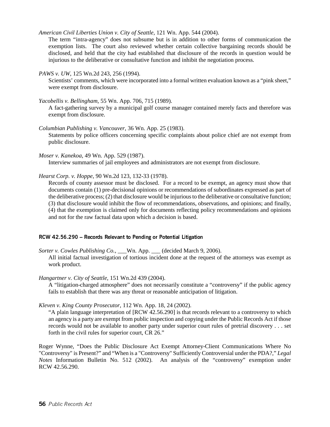*American Civil Liberties Union v. City of Seattle*, 121 Wn. App. 544 (2004).

The term "intra-agency" does not subsume but is in addition to other forms of communication the exemption lists. The court also reviewed whether certain collective bargaining records should be disclosed, and held that the city had established that disclosure of the records in question would be injurious to the deliberative or consultative function and inhibit the negotiation process.

*PAWS v. UW*, 125 Wn.2d 243, 256 (1994).

Scientists' comments, which were incorporated into a formal written evaluation known as a "pink sheet," were exempt from disclosure.

*Yacobellis v. Bellingham*, 55 Wn. App. 706, 715 (1989).

A fact-gathering survey by a municipal golf course manager contained merely facts and therefore was exempt from disclosure.

*Columbian Publishing v. Vancouver*, 36 Wn. App. 25 (1983). Statements by police officers concerning specific complaints about police chief are not exempt from public disclosure.

*Moser v. Kanekoa*, 49 Wn. App. 529 (1987). Interview summaries of jail employees and administrators are not exempt from disclosure.

*Hearst Corp. v. Hoppe*, 90 Wn.2d 123, 132-33 (1978).

Records of county assessor must be disclosed. For a record to be exempt, an agency must show that documents contain (1) pre-decisional opinions or recommendations of subordinates expressed as part of the deliberative process; (2) that disclosure would be injurious to the deliberative or consultative function; (3) that disclosure would inhibit the flow of recommendations, observations, and opinions; and finally, (4) that the exemption is claimed only for documents reflecting policy recommendations and opinions and not for the raw factual data upon which a decision is based.

#### RCW 42.56.290 – Records Relevant to Pending or Potential Litigation

*Sorter v. Cowles Publishing Co.,* \_\_\_Wn. App. \_\_\_ (decided March 9, 2006). All initial factual investigation of tortious incident done at the request of the attorneys was exempt as work product.

*Hangartner v. City of Seattle*, 151 Wn.2d 439 (2004).

A "litigation-charged atmosphere" does not necessarily constitute a "controversy" if the public agency fails to establish that there was any threat or reasonable anticipation of litigation.

*Kleven v. King County Prosecutor*, 112 Wn. App. 18, 24 (2002).

"A plain language interpretation of [RCW 42.56.290] is that records relevant to a controversy to which an agency is a party are exempt from public inspection and copying under the Public Records Act if those records would not be available to another party under superior court rules of pretrial discovery . . . set forth in the civil rules for superior court, CR 26."

Roger Wynne, "Does the Public Disclosure Act Exempt Attorney-Client Communications Where No "Controversy" is Present?" and "When is a "Controversy" Sufficiently Controversial under the PDA?," *Legal Notes* Information Bulletin No. 512 (2002). An analysis of the "controversy" exemption under RCW 42.56.290.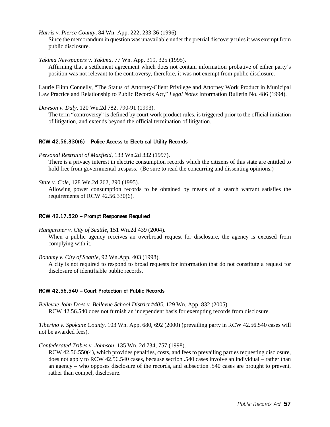*Harris v. Pierce County*, 84 Wn. App. 222, 233-36 (1996).

Since the memorandum in question was unavailable under the pretrial discovery rules it was exempt from public disclosure.

*Yakima Newspapers v. Yakima*, 77 Wn. App. 319, 325 (1995).

Affirming that a settlement agreement which does not contain information probative of either party's position was not relevant to the controversy, therefore, it was not exempt from public disclosure.

Laurie Flinn Connelly, "The Status of Attorney-Client Privilege and Attorney Work Product in Municipal Law Practice and Relationship to Public Records Act," *Legal Notes* Information Bulletin No. 486 (1994).

*Dawson v. Daly*, 120 Wn.2d 782, 790-91 (1993).

The term "controversy" is defined by court work product rules, is triggered prior to the official initiation of litigation, and extends beyond the official termination of litigation.

#### RCW 42.56.330(6) – Police Access to Electrical Utility Records

*Personal Restraint of Maxfield*, 133 Wn.2d 332 (1997).

There is a privacy interest in electric consumption records which the citizens of this state are entitled to hold free from governmental trespass. (Be sure to read the concurring and dissenting opinions.)

#### *State v. Cole*, 128 Wn.2d 262, 290 (1995).

Allowing power consumption records to be obtained by means of a search warrant satisfies the requirements of RCW 42.56.330(6).

#### RCW 42.17.520 – Prompt Responses Required

*Hangartner v. City of Seattle*, 151 Wn.2d 439 (2004).

When a public agency receives an overbroad request for disclosure, the agency is excused from complying with it.

*Bonamy v. City of Seattle*, 92 Wn.App. 403 (1998).

A city is not required to respond to broad requests for information that do not constitute a request for disclosure of identifiable public records.

#### RCW 42.56.540 – Court Protection of Public Records

*Bellevue John Does v. Bellevue School District #405,* 129 Wn. App. 832 (2005). RCW 42.56.540 does not furnish an independent basis for exempting records from disclosure.

*Tiberino v. Spokane County*, 103 Wn. App. 680, 692 (2000) (prevailing party in RCW 42.56.540 cases will not be awarded fees).

*Confederated Tribes v. Johnson*, 135 Wn. 2d 734, 757 (1998).

RCW 42.56.550(4), which provides penalties, costs, and fees to prevailing parties requesting disclosure, does not apply to RCW 42.56.540 cases, because section .540 cases involve an individual – rather than an agency – who opposes disclosure of the records, and subsection .540 cases are brought to prevent, rather than compel, disclosure.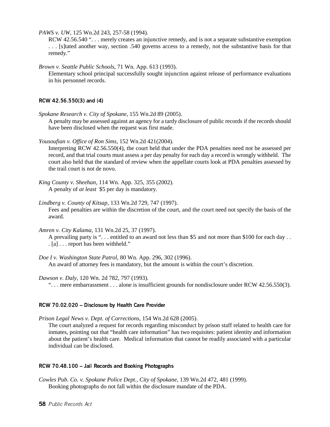*PAWS v. UW*, 125 Wn.2d 243, 257-58 (1994).

RCW 42.56.540 "... merely creates an injunctive remedy, and is not a separate substantive exemption . . . [s]tated another way, section .540 governs access to a remedy, not the substantive basis for that remedy."

*Brown v. Seattle Public Schools*, 71 Wn. App. 613 (1993).

Elementary school principal successfully sought injunction against release of performance evaluations in his personnel records.

#### RCW 42.56.550(3) and (4)

*Spokane Research v. City of Spokane*, 155 Wn.2d 89 (2005).

A penalty may be assessed against an agency for a tardy disclosure of public records if the records should have been disclosed when the request was first made.

*Yousoufian v. Office of Ron Sims*, 152 Wn.2d 421(2004).

Interpreting RCW 42.56.550(4), the court held that under the PDA penalties need not be assessed per record, and that trial courts must assess a per day penalty for each day a record is wrongly withheld. The court also held that the standard of review when the appellate courts look at PDA penalties assessed by the trail court is not de novo.

- *Lindberg v. County of Kitsap*, 133 Wn.2d 729, 747 (1997). Fees and penalties are within the discretion of the court, and the court need not specify the basis of the award.
- *Amren v. City Kalama*, 131 Wn.2d 25, 37 (1997).

A prevailing party is "... entitled to an award not less than \$5 and not more than \$100 for each day.. . [a] . . . report has been withheld."

*Doe I v. Washington State Patrol*, 80 Wn. App. 296, 302 (1996). An award of attorney fees is mandatory, but the amount is within the court's discretion.

#### *Dawson v. Daly*, 120 Wn. 2d 782, 797 (1993).

". . . mere embarrassment . . . alone is insufficient grounds for nondisclosure under RCW 42.56.550(3).

#### RCW 70.02.020 – Disclosure by Health Care Provider

*Prison Legal News v. Dept. of Corrections*, 154 Wn.2d 628 (2005). The court analyzed a request for records regarding misconduct by prison staff related to health care for inmates, pointing out that "health care information" has two requisites: patient identity and information about the patient's health care. Medical information that cannot be readily associated with a particular individual can be disclosed.

#### RCW 70.48.100 – Jail Records and Booking Photographs

*Cowles Pub. Co. v. Spokane Police Dept., City of Spokane*, 139 Wn.2d 472, 481 (1999). Booking photographs do not fall within the disclosure mandate of the PDA.

*King County v. Sheehan*, 114 Wn. App. 325, 355 (2002). A penalty of *at least* \$5 per day is mandatory.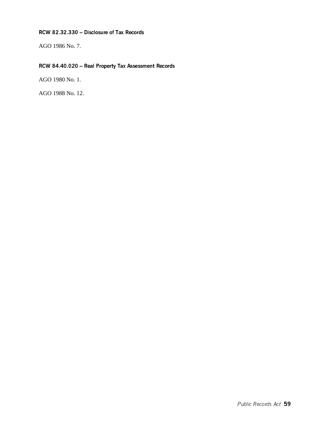#### RCW 82.32.330 – Disclosure of Tax Records

AGO 1986 No. 7.

## RCW 84.40.020 – Real Property Tax Assessment Records

AGO 1980 No. 1.

AGO 1988 No. 12.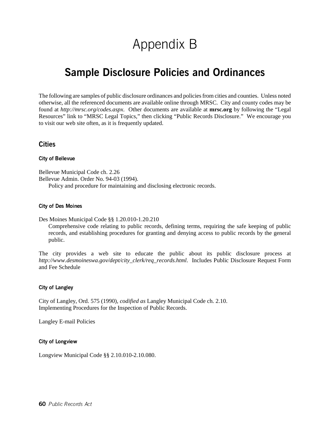# Appendix B

## Sample Disclosure Policies and Ordinances

The following are samples of public disclosure ordinances and policies from cities and counties. Unless noted otherwise, all the referenced documents are available online through MRSC. City and county codes may be found at *http://mrsc.org/codes.aspx*. Other documents are available at **mrsc.org** by following the "Legal Resources" link to "MRSC Legal Topics," then clicking "Public Records Disclosure." We encourage you to visit our web site often, as it is frequently updated.

#### **Cities**

#### City of Bellevue

Bellevue Municipal Code ch. 2.26 Bellevue Admin. Order No. 94-03 (1994).

Policy and procedure for maintaining and disclosing electronic records.

#### City of Des Moines

Des Moines Municipal Code §§ 1.20.010-1.20.210

Comprehensive code relating to public records, defining terms, requiring the safe keeping of public records, and establishing procedures for granting and denying access to public records by the general public.

The city provides a web site to educate the public about its public disclosure process at *http://www.desmoineswa.gov/dept/city\_clerk/req\_records.html*. Includes Public Disclosure Request Form and Fee Schedule

#### City of Langley

City of Langley, Ord. 575 (1990), *codified as* Langley Municipal Code ch. 2.10. Implementing Procedures for the Inspection of Public Records.

Langley E-mail Policies

City of Longview

Longview Municipal Code §§ 2.10.010-2.10.080.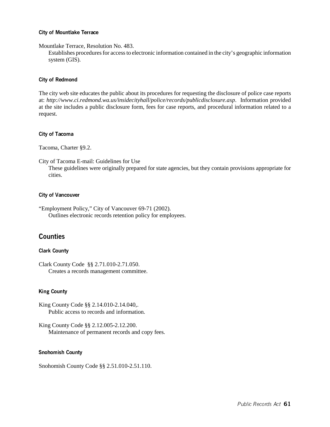#### City of Mountlake Terrace

#### Mountlake Terrace, Resolution No. 483.

Establishes procedures for access to electronic information contained in the city's geographic information system (GIS).

#### City of Redmond

The city web site educates the public about its procedures for requesting the disclosure of police case reports at: *http://www.ci.redmond.wa.us/insidecityhall/police/records/publicdisclosure.asp*. Information provided at the site includes a public disclosure form, fees for case reports, and procedural information related to a request.

#### City of Tacoma

Tacoma, Charter §9.2.

City of Tacoma E-mail: Guidelines for Use

These guidelines were originally prepared for state agencies, but they contain provisions appropriate for cities.

#### City of Vancouver

"Employment Policy," City of Vancouver 69-71 (2002). Outlines electronic records retention policy for employees.

### **Counties**

#### Clark County

Clark County Code §§ 2.71.010-2.71.050. Creates a records management committee.

#### King County

King County Code §§ 2.14.010-2.14.040,. Public access to records and information.

King County Code §§ 2.12.005-2.12.200. Maintenance of permanent records and copy fees.

#### Snohomish County

Snohomish County Code §§ 2.51.010-2.51.110.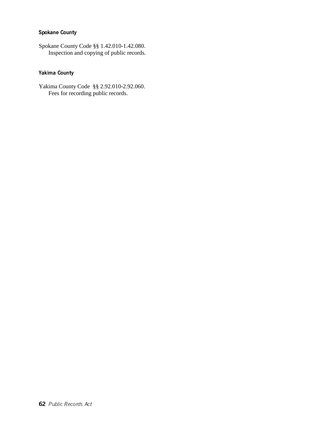### Spokane County

Spokane County Code §§ 1.42.010-1.42.080. Inspection and copying of public records.

### Yakima County

Yakima County Code §§ 2.92.010-2.92.060. Fees for recording public records.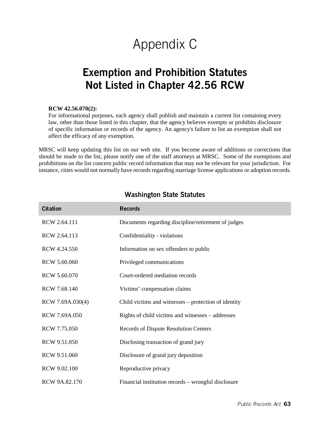# Appendix C

## Exemption and Prohibition Statutes Not Listed in Chapter 42.56 RCW

#### **RCW 42.56.070(2):**

For informational purposes, each agency shall publish and maintain a current list containing every law, other than those listed in this chapter, that the agency believes exempts or prohibits disclosure of specific information or records of the agency. An agency's failure to list an exemption shall not affect the efficacy of any exemption.

MRSC will keep updating this list on our web site. If you become aware of additions or corrections that should be made to the list, please notify one of the staff attorneys at MRSC. Some of the exemptions and prohibitions on the list concern public record information that may not be relevant for your jurisdiction. For instance, cities would not normally have records regarding marriage license applications or adoption records.

| <b>Citation</b>  | <b>Records</b>                                       |
|------------------|------------------------------------------------------|
| RCW 2.64.111     | Documents regarding discipline/retirement of judges  |
| RCW 2.64.113     | Confidentiality - violations                         |
| RCW 4.24.550     | Information on sex offenders to public               |
| RCW 5.60.060     | Privileged communications                            |
| RCW 5.60.070     | Court-ordered mediation records                      |
| RCW 7.68.140     | Victims' compensation claims                         |
| RCW 7.69A.030(4) | Child victims and witnesses – protection of identity |
| RCW 7.69A.050    | Rights of child victims and witnesses – addresses    |
| RCW 7.75.050     | <b>Records of Dispute Resolution Centers</b>         |
| RCW 9.51.050     | Disclosing transaction of grand jury                 |
| RCW 9.51.060     | Disclosure of grand jury deposition                  |
| RCW 9.02.100     | Reproductive privacy                                 |
| RCW 9A.82.170    | Financial institution records – wrongful disclosure  |

### Washington State Statutes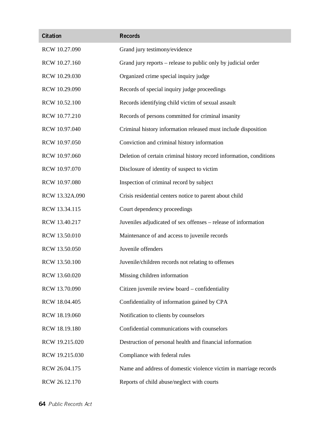| <b>Citation</b> | <b>Records</b>                                                      |
|-----------------|---------------------------------------------------------------------|
| RCW 10.27.090   | Grand jury testimony/evidence                                       |
| RCW 10.27.160   | Grand jury reports – release to public only by judicial order       |
| RCW 10.29.030   | Organized crime special inquiry judge                               |
| RCW 10.29.090   | Records of special inquiry judge proceedings                        |
| RCW 10.52.100   | Records identifying child victim of sexual assault                  |
| RCW 10.77.210   | Records of persons committed for criminal insanity                  |
| RCW 10.97.040   | Criminal history information released must include disposition      |
| RCW 10.97.050   | Conviction and criminal history information                         |
| RCW 10.97.060   | Deletion of certain criminal history record information, conditions |
| RCW 10.97.070   | Disclosure of identity of suspect to victim                         |
| RCW 10.97.080   | Inspection of criminal record by subject                            |
| RCW 13.32A.090  | Crisis residential centers notice to parent about child             |
| RCW 13.34.115   | Court dependency proceedings                                        |
| RCW 13.40.217   | Juveniles adjudicated of sex offenses – release of information      |
| RCW 13.50.010   | Maintenance of and access to juvenile records                       |
| RCW 13.50.050   | Juvenile offenders                                                  |
| RCW 13.50.100   | Juvenile/children records not relating to offenses                  |
| RCW 13.60.020   | Missing children information                                        |
| RCW 13.70.090   | Citizen juvenile review board - confidentiality                     |
| RCW 18.04.405   | Confidentiality of information gained by CPA                        |
| RCW 18.19.060   | Notification to clients by counselors                               |
| RCW 18.19.180   | Confidential communications with counselors                         |
| RCW 19.215.020  | Destruction of personal health and financial information            |
| RCW 19.215.030  | Compliance with federal rules                                       |
| RCW 26.04.175   | Name and address of domestic violence victim in marriage records    |
| RCW 26.12.170   | Reports of child abuse/neglect with courts                          |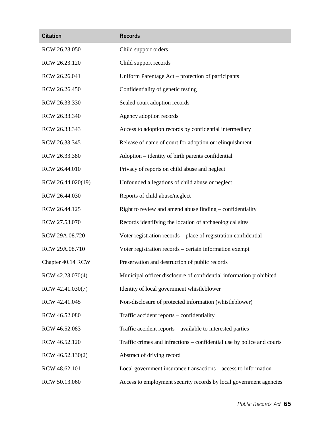| <b>Citation</b>   | <b>Records</b>                                                         |
|-------------------|------------------------------------------------------------------------|
| RCW 26.23.050     | Child support orders                                                   |
| RCW 26.23.120     | Child support records                                                  |
| RCW 26.26.041     | Uniform Parentage Act – protection of participants                     |
| RCW 26.26.450     | Confidentiality of genetic testing                                     |
| RCW 26.33.330     | Sealed court adoption records                                          |
| RCW 26.33.340     | Agency adoption records                                                |
| RCW 26.33.343     | Access to adoption records by confidential intermediary                |
| RCW 26.33.345     | Release of name of court for adoption or relinquishment                |
| RCW 26.33.380     | Adoption – identity of birth parents confidential                      |
| RCW 26.44.010     | Privacy of reports on child abuse and neglect                          |
| RCW 26.44.020(19) | Unfounded allegations of child abuse or neglect                        |
| RCW 26.44.030     | Reports of child abuse/neglect                                         |
| RCW 26.44.125     | Right to review and amend abuse finding – confidentiality              |
| RCW 27.53.070     | Records identifying the location of archaeological sites               |
| RCW 29A.08.720    | Voter registration records - place of registration confidential        |
| RCW 29A.08.710    | Voter registration records - certain information exempt                |
| Chapter 40.14 RCW | Preservation and destruction of public records                         |
| RCW 42.23.070(4)  | Municipal officer disclosure of confidential information prohibited    |
| RCW 42.41.030(7)  | Identity of local government whistleblower                             |
| RCW 42.41.045     | Non-disclosure of protected information (whistleblower)                |
| RCW 46.52.080     | Traffic accident reports - confidentiality                             |
| RCW 46.52.083     | Traffic accident reports – available to interested parties             |
| RCW 46.52.120     | Traffic crimes and infractions – confidential use by police and courts |
| RCW 46.52.130(2)  | Abstract of driving record                                             |
| RCW 48.62.101     | Local government insurance transactions – access to information        |
| RCW 50.13.060     | Access to employment security records by local government agencies     |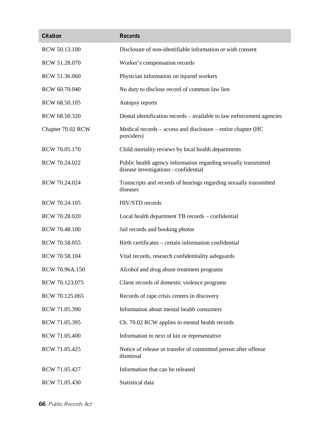| <b>Citation</b>   | <b>Records</b>                                                                                           |  |
|-------------------|----------------------------------------------------------------------------------------------------------|--|
| RCW 50.13.100     | Disclosure of non-identifiable information or with consent                                               |  |
| RCW 51.28.070     | Worker's compensation records                                                                            |  |
| RCW 51.36.060     | Physician information on injured workers                                                                 |  |
| RCW 60.70.040     | No duty to disclose record of common law lien                                                            |  |
| RCW 68.50.105     | Autopsy reports                                                                                          |  |
| RCW 68.50.320     | Dental identification records – available to law enforcement agencies                                    |  |
| Chapter 70.02 RCW | Medical records – access and disclosure – entire chapter (HC<br>providers)                               |  |
| RCW 70.05.170     | Child mortality reviews by local health departments                                                      |  |
| RCW 70.24.022     | Public health agency information regarding sexually transmitted<br>disease investigations - confidential |  |
| RCW 70.24.024     | Transcripts and records of hearings regarding sexually transmitted<br>diseases                           |  |
| RCW 70.24.105     | HIV/STD records                                                                                          |  |
| RCW 70.28.020     | Local health department TB records - confidential                                                        |  |
| RCW 70.48.100     | Jail records and booking photos                                                                          |  |
| RCW 70.58.055     | Birth certificates – certain information confidential                                                    |  |
| RCW 70.58.104     | Vital records, research confidentiality safeguards                                                       |  |
| RCW 70.96A.150    | Alcohol and drug abuse treatment programs                                                                |  |
| RCW 70.123.075    | Client records of domestic violence programs                                                             |  |
| RCW 70.125.065    | Records of rape crisis centers in discovery                                                              |  |
| RCW 71.05.390     | Information about mental health consumers                                                                |  |
| RCW 71.05.395     | Ch. 70.02 RCW applies to mental health records                                                           |  |
| RCW 71.05.400     | Information to next of kin or representative                                                             |  |
| RCW 71.05.425     | Notice of release or transfer of committed person after offense<br>dismissal                             |  |
| RCW 71.05.427     | Information that can be released                                                                         |  |
| RCW 71.05.430     | Statistical data                                                                                         |  |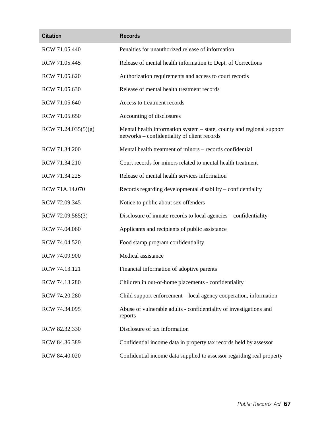| <b>Citation</b>     | <b>Records</b>                                                                                                        |
|---------------------|-----------------------------------------------------------------------------------------------------------------------|
| RCW 71.05.440       | Penalties for unauthorized release of information                                                                     |
| RCW 71.05.445       | Release of mental health information to Dept. of Corrections                                                          |
| RCW 71.05.620       | Authorization requirements and access to court records                                                                |
| RCW 71.05.630       | Release of mental health treatment records                                                                            |
| RCW 71.05.640       | Access to treatment records                                                                                           |
| RCW 71.05.650       | Accounting of disclosures                                                                                             |
| RCW 71.24.035(5)(g) | Mental health information system – state, county and regional support<br>networks – confidentiality of client records |
| RCW 71.34.200       | Mental health treatment of minors – records confidential                                                              |
| RCW 71.34.210       | Court records for minors related to mental health treatment                                                           |
| RCW 71.34.225       | Release of mental health services information                                                                         |
| RCW 71A.14.070      | Records regarding developmental disability – confidentiality                                                          |
| RCW 72.09.345       | Notice to public about sex offenders                                                                                  |
| RCW 72.09.585(3)    | Disclosure of inmate records to local agencies – confidentiality                                                      |
| RCW 74.04.060       | Applicants and recipients of public assistance                                                                        |
| RCW 74.04.520       | Food stamp program confidentiality                                                                                    |
| RCW 74.09.900       | Medical assistance                                                                                                    |
| RCW 74.13.121       | Financial information of adoptive parents                                                                             |
| RCW 74.13.280       | Children in out-of-home placements - confidentiality                                                                  |
| RCW 74.20.280       | Child support enforcement – local agency cooperation, information                                                     |
| RCW 74.34.095       | Abuse of vulnerable adults - confidentiality of investigations and<br>reports                                         |
| RCW 82.32.330       | Disclosure of tax information                                                                                         |
| RCW 84.36.389       | Confidential income data in property tax records held by assessor                                                     |
| RCW 84.40.020       | Confidential income data supplied to assessor regarding real property                                                 |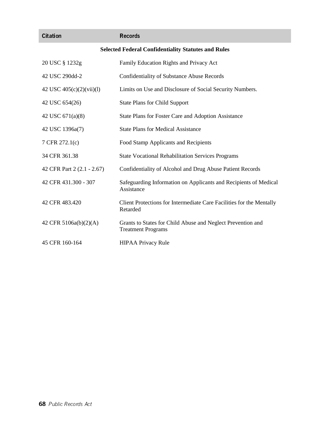| <b>Citation</b>                                            | <b>Records</b>                                                                           |  |
|------------------------------------------------------------|------------------------------------------------------------------------------------------|--|
| <b>Selected Federal Confidentiality Statutes and Rules</b> |                                                                                          |  |
| 20 USC § 1232g                                             | Family Education Rights and Privacy Act                                                  |  |
| 42 USC 290dd-2                                             | <b>Confidentiality of Substance Abuse Records</b>                                        |  |
| 42 USC $405(c)(2)(vii)(l)$                                 | Limits on Use and Disclosure of Social Security Numbers.                                 |  |
| 42 USC 654(26)                                             | <b>State Plans for Child Support</b>                                                     |  |
| 42 USC 671(a)(8)                                           | State Plans for Foster Care and Adoption Assistance                                      |  |
| 42 USC 1396a(7)                                            | <b>State Plans for Medical Assistance</b>                                                |  |
| 7 CFR 272.1(c)                                             | Food Stamp Applicants and Recipients                                                     |  |
| 34 CFR 361.38                                              | <b>State Vocational Rehabilitation Services Programs</b>                                 |  |
| 42 CFR Part 2 (2.1 - 2.67)                                 | Confidentiality of Alcohol and Drug Abuse Patient Records                                |  |
| 42 CFR 431.300 - 307                                       | Safeguarding Information on Applicants and Recipients of Medical<br>Assistance           |  |
| 42 CFR 483.420                                             | Client Protections for Intermediate Care Facilities for the Mentally<br>Retarded         |  |
| 42 CFR 5106a(b)(2)(A)                                      | Grants to States for Child Abuse and Neglect Prevention and<br><b>Treatment Programs</b> |  |
| 45 CFR 160-164                                             | <b>HIPAA Privacy Rule</b>                                                                |  |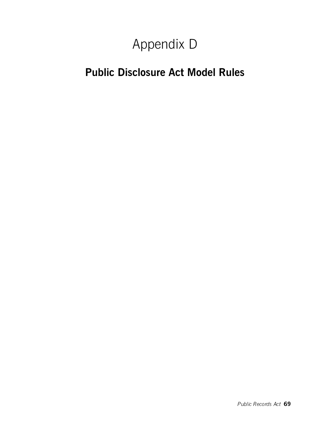# Appendix D

## Public Disclosure Act Model Rules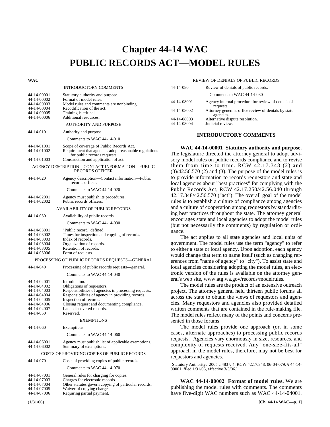## Chapter 44-14 **Chapter 44-14 WAC PUBLIC RECORDS ACT—MODEL RULES**

#### **WAC**  INTRODUCTORY COMMENTS 44-14-00001 Statutory authority and purpose.<br>44-14-00002 Format of model rules. 44-14-00002 Format of model rules.<br>44-14-00003 Model rules and comm 44-14-00003 Model rules and comments are nonbinding. 44-14-00004 Recodification of the act.<br>44-14-00005 Training is critical. 44-14-00005 Training is critical.<br>44-14-00006 Additional resource Additional resources. AUTHORITY AND PURPOSE 44-14-010 Authority and purpose. Comments to WAC 44-14-010 44-14-01001 Scope of coverage of Public Records Act.<br>44-14-01002 Requirement that agencies adopt reasonably Requirement that agencies adopt reasonable regulations for public records requests. 44-14-01003 Construction and application of act. AGENCY DESCRIPTION—CONTACT INFORMATION—PUBLIC RECORDS OFFICER 44-14-020 Agency description—Contact information—Public records officer. Comments to WAC 44-14-020 44-14-02001 Agency must publish its procedures.<br>44-14-02002 Public records officers. Public records officers AVAILABILITY OF PUBLIC RECORDS 44-14-030 Availability of public records. Comments to WAC 44-14-030 44-14-03001 "Public record" defined.<br>44-14-03002 Times for inspection and 44-14-03002 Times for inspection and copying of records. 44-14-03003 Index of records.<br>44-14-03004 Organization of r 44-14-03004 Organization of records.<br>44-14-03005 Retention of records Retention of records. 44-14-03006 Form of requests. PROCESSING OF PUBLIC RECORDS REQUESTS—GENERAL 44-14-040 Processing of public records requests—general. Comments to WAC 44-14-040 44-14-04001 Introduction.<br>44-14-04002 Obligations of 44-14-04002 Obligations of requestors.<br>44-14-04003 Responsibilities of agenci 44-14-04003 Responsibilities of agencies in processing requests.<br>44-14-04004 Responsibilities of agency in providing records. 44-14-04004 Responsibilities of agency in providing records. Inspection of records. 44-14-04006 Closing request and documenting compliance.<br>44-14-04007 Later-discovered records. Later-discovered records.<br>Reserved 44-14-050 EXEMPTIONS 44-14-060 Exemptions. Comments to WAC 44-14-060 44-14-06001 Agency must publish list of applicable exemptions.<br>44-14-06002 Summary of exemptions Summary of exemptions. COSTS OF PROVIDING COPIES OF PUBLIC RECORDS 44-14-070 Costs of providing copies of public records. Comments to WAC 44-14-070 44-14-07001 General rules for charging for copies.<br>44-14-07003 Charges for electronic records 44-14-07003 Charges for electronic records<br>44-14-07004 Other statutes govern conving

| .           | $\frac{1}{2}$                                        |
|-------------|------------------------------------------------------|
| 44-14-07004 | Other statutes govern copying of particular records. |
| 44-14-07005 | Waiver of copying charges.                           |

44-14-07006 Requiring partial payment.

#### REVIEW OF DENIALS OF PUBLIC RECORDS

| 44-14-080   | Review of denials of public records.                              |
|-------------|-------------------------------------------------------------------|
|             | Comments to WAC 44-14-080                                         |
| 44-14-08001 | Agency internal procedure for review of denials of<br>requests.   |
| 44-14-08002 | Attorney general's office review of denials by state<br>agencies. |
| 44-14-08003 | Alternative dispute resolution.                                   |
| 44-14-08004 | Judicial review.                                                  |

#### **INTRODUCTORY COMMENTS**

44-14-00001 **WAC 44-14-00001 Statutory authority and purpose.** The legislature directed the attorney general to adopt advisory model rules on public records compliance and to revise them from time to time. RCW 42.17.348 (2) and  $(3)/42.56.570$   $(2)$  and  $(3)$ . The purpose of the model rules is to provide information to records requestors and state and local agencies about "best practices" for complying with the Public Records Act, RCW 42.17.250/42.56.040 through 42.17.348/42.56.570 ("act"). The overall goal of the model rules is to establish a culture of compliance among agencies and a culture of cooperation among requestors by standardizing best practices throughout the state. The attorney general encourages state and local agencies to adopt the model rules (but not necessarily the comments) by regulation or ordinance.

The act applies to all state agencies and local units of government. The model rules use the term "agency" to refer to either a state or local agency. Upon adoption, each agency would change that term to name itself (such as changing references from "name of agency" to "city"). To assist state and local agencies considering adopting the model rules, an electronic version of the rules is available on the attorney general's web site, www.atg.wa.gov/records/modelrules.

The model rules are the product of an extensive outreach project. The attorney general held thirteen public forums all across the state to obtain the views of requestors and agencies. Many requestors and agencies also provided detailed written comments that are contained in the rule-making file. The model rules reflect many of the points and concerns presented in those forums.

The model rules provide one approach (or, in some cases, alternate approaches) to processing public records requests. Agencies vary enormously in size, resources, and complexity of requests received. Any "one-size-fits-all" approach in the model rules, therefore, may not be best for requestors and agencies.

[Statutory Authority: 2005 c 483 § 4, RCW 42.17.348. 06-04-079, § 44-14- 00001, filed 1/31/06, effective 3/3/06.]

44-14-00002 **WAC 44-14-00002 Format of model rules.** We are publishing the model rules with comments. The comments have five-digit WAC numbers such as WAC 44-14-04001.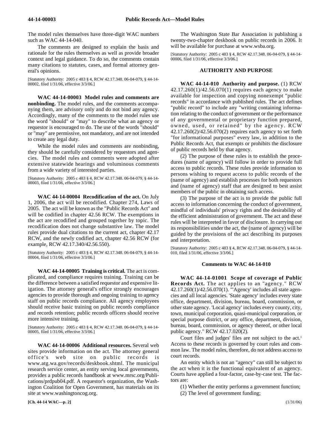The model rules themselves have three-digit WAC numbers such as WAC 44-14-040.

The comments are designed to explain the basis and rationale for the rules themselves as well as provide broader context and legal guidance. To do so, the comments contain many citations to statutes, cases, and formal attorney general's opinions.

[Statutory Authority: 2005 c 483 § 4, RCW 42.17.348. 06-04-079, § 44-14- 00002, filed 1/31/06, effective 3/3/06.]

44-14-00003 **WAC 44-14-00003 Model rules and comments are nonbinding.** The model rules, and the comments accompanying them, are advisory only and do not bind any agency. Accordingly, many of the comments to the model rules use the word "should" or "may" to describe what an agency or requestor is encouraged to do. The use of the words "should" or "may" are permissive, not mandatory, and are not intended to create any legal duty.

While the model rules and comments are nonbinding, they should be carefully considered by requestors and agencies. The model rules and comments were adopted after extensive statewide hearings and voluminous comments from a wide variety of interested parties.

[Statutory Authority: 2005 c 483 § 4, RCW 42.17.348. 06-04-079, § 44-14- 00003, filed 1/31/06, effective 3/3/06.]

44-14-00004 **WAC 44-14-00004 Recodification of the act.** On July 1, 2006, the act will be recodified. Chapter 274, Laws of 2005. The act will be known as the "Public Records Act" and will be codified in chapter 42.56 RCW. The exemptions in the act are recodified and grouped together by topic. The recodification does not change substantive law. The model rules provide dual citations to the current act, chapter 42.17 RCW, and the newly codified act, chapter 42.56 RCW (for example, RCW 42.17.340/42.56.550).

[Statutory Authority: 2005 c 483 § 4, RCW 42.17.348. 06-04-079, § 44-14- 00004, filed 1/31/06, effective 3/3/06.]

44-14-00005 **WAC 44-14-00005 Training is critical.** The act is complicated, and compliance requires training. Training can be the difference between a satisfied requestor and expensive litigation. The attorney general's office strongly encourages agencies to provide thorough and ongoing training to agency staff on public records compliance. All agency employees should receive basic training on public records compliance and records retention; public records officers should receive more intensive training.

[Statutory Authority: 2005 c 483 § 4, RCW 42.17.348. 06-04-079, § 44-14- 00005, filed 1/31/06, effective 3/3/06.]

44-14-00006 **WAC 44-14-00006 Additional resources.** Several web sites provide information on the act. The attorney general office's web site on public records is www.atg.wa.gov/records/deskbook.shtml. The municipal research service center, an entity serving local governments, provides a public records handbook at www.mrsc.org/Publications/prdpub04.pdf. A requestor's organization, the Washington Coalition for Open Government, has materials on its site at www.washingtoncog.org.

The Washington State Bar Association is publishing a twenty-two-chapter deskbook on public records in 2006. It will be available for purchase at www.wsba.org.

[Statutory Authority: 2005 c 483 § 4, RCW 42.17.348. 06-04-079, § 44-14- 00006, filed 1/31/06, effective 3/3/06.]

#### **AUTHORITY AND PURPOSE**

44-14-010 **WAC 44-14-010 Authority and purpose.** (1) RCW 42.17.260(1)/42.56.070(1) requires each agency to make available for inspection and copying nonexempt "public records" in accordance with published rules. The act defines "public record" to include any "writing containing information relating to the conduct of government or the performance of any governmental or proprietary function prepared, owned, used, or retained" by the agency. RCW 42.17.260(2)/42.56.070(2) requires each agency to set forth "for informational purposes" every law, in addition to the Public Records Act, that exempts or prohibits the disclosure of public records held by that agency.

(2) The purpose of these rules is to establish the procedures (name of agency) will follow in order to provide full access to public records. These rules provide information to persons wishing to request access to public records of the (name of agency) and establish processes for both requestors and (name of agency) staff that are designed to best assist members of the public in obtaining such access.

(3) The purpose of the act is to provide the public full access to information concerning the conduct of government, mindful of individuals' privacy rights and the desirability of the efficient administration of government. The act and these rules will be interpreted in favor of disclosure. In carrying out its responsibilities under the act, the (name of agency) will be guided by the provisions of the act describing its purposes and interpretation.

[Statutory Authority: 2005 c 483 § 4, RCW 42.17.348. 06-04-079, § 44-14- 010, filed 1/31/06, effective 3/3/06.]

#### **Comments to WAC 44-14-010**

44-14-01001 **WAC 44-14-01001 Scope of coverage of Public Records Act.** The act applies to an "agency." RCW 42.17.260(1)/42.56.070(1). "'Agency' includes all state agencies and all local agencies. 'State agency' includes every state office, department, division, bureau, board, commission, or other state agency. 'Local agency' includes every county, city, town, municipal corporation, quasi-municipal corporation, or special purpose district, or any office, department, division, bureau, board, commission, or agency thereof, or other local public agency." RCW 42.17.020(2).

Court files and judges' files are not subject to the act.1 Access to these records is governed by court rules and common law. The model rules, therefore, do not address access to court records.

An entity which is not an "agency" can still be subject to the act when it is the functional equivalent of an agency. Courts have applied a four-factor, case-by-case test. The factors are:

(1) Whether the entity performs a government function; (2) The level of government funding;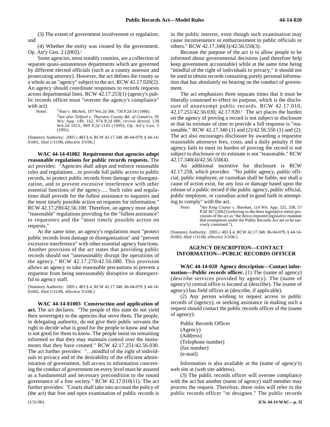(3) The extent of government involvement or regulation; and

(4) Whether the entity was created by the government. Op. Att'y Gen. 2 (2002).2

Some agencies, most notably counties, are a collection of separate quasi-autonomous departments which are governed by different elected officials (such as a county assessor and prosecuting attorney). However, the act defines the county as a whole as an "agency" subject to the act. RCW 42.17.020(2). An agency should coordinate responses to records requests across departmental lines. RCW 42.17.253(1) (agency's public records officer must "oversee the agency's compliance" with act).

Notes:

*Nast v. Michels*, 107 Wn.2d 300, 730 P.2d 54 (1986). <sup>2</sup>*See also Telford v. Thurston County Bd. of Comm'rs*, 95 Wn. App. 149, 162, 974 P.2d 886, *review denied*, 138 Wn.2d 1015, 989 P.2d 1143 (1999); Op. Att'y Gen. 5 (1991).

[Statutory Authority: 2005 c 483 § 4, RCW 42.17.348. 06-04-079, § 44-14- 01001, filed 1/31/06, effective 3/3/06.]

44-14-01002 **WAC 44-14-01002 Requirement that agencies adopt reasonable regulations for public records requests.** The act provides: "Agencies shall adopt and enforce reasonable rules and regulations…to provide full public access to public records, to protect public records from damage or disorganization, and to prevent excessive interference with other essential functions of the agency…. Such rules and regulations shall provide for the fullest assistance to inquirers and the most timely possible action on requests for information." RCW 42.17.290/42.56.100. Therefore, an agency must adopt "reasonable" regulations providing for the "fullest assistance" to requestors and the "most timely possible action on requests."

At the same time, an agency's regulations must "protect public records from damage or disorganization" and "prevent excessive interference" with other essential agency functions. Another provision of the act states that providing public records should not "unreasonably disrupt the operations of the agency." RCW 42.17.270/42.56.080. This provision allows an agency to take reasonable precautions to prevent a requestor from being unreasonably disruptive or disrespectful to agency staff.

[Statutory Authority: 2005 c 483 § 4, RCW 42.17.348. 06-04-079, § 44-14- 01002, filed 1/31/06, effective 3/3/06.]

44-14-01003 **WAC 44-14-01003 Construction and application of act.** The act declares: "The people of this state do not yield their sovereignty to the agencies that serve them. The people, in delegating authority, do not give their public servants the right to decide what is good for the people to know and what is not good for them to know. The people insist on remaining informed so that they may maintain control over the instruments that they have created." RCW 42.17.251/42.56.030. The act further provides: "…mindful of the right of individuals to privacy and of the desirability of the efficient administration of government, full access to information concerning the conduct of government on every level must be assured as a fundamental and necessary precondition to the sound governance of a free society." RCW 42.17.010(11). The act further provides: "Courts shall take into account the policy of (the act) that free and open examination of public records is

in the public interest, even though such examination may cause inconvenience or embarrassment to public officials or others." RCW 42.17.340(3)/42.56.550(3).

Because the purpose of the act is to allow people to be informed about governmental decisions (and therefore help keep government accountable) while at the same time being "mindful of the right of individuals to privacy," it should not be used to obtain records containing purely personal information that has absolutely no bearing on the conduct of government.

The act emphasizes three separate times that it must be liberally construed to effect its purpose, which is the disclosure of nonexempt public records. RCW 42.17.010, 42.17.251/42.56.030, 42.17.920.1 The act places the burden on the agency of proving a record is not subject to disclosure or that its estimate of time to provide a full response is "reasonable." RCW 42.17.340 (1) and (2)/42.56.550 (1) and (2). The act also encourages disclosure by awarding a requestor reasonable attorneys fees, costs, and a daily penalty if the agency fails to meet its burden of proving the record is not subject to disclosure or its estimate is not "reasonable." RCW 42.17.340(4)/42.56.550(4).

An additional incentive for disclosure is RCW 42.17.258, which provides: "No public agency, public official, public employee, or custodian shall be liable, nor shall a cause of action exist, for any loss or damage based upon the release of a public record if the public agency, public official, public employee, or custodian acted in good faith in attempting to comply" with the act.

Note: *See King County v. Sheehan*, 114 Wn. App. 325, 338, 57 P.3d 307 (2002) (referring to the three legislative intent provisions of the act as "the thrice-repeated legislative mandate that exemptions under the Public Records Act are to be narrowly construed.").

[Statutory Authority: 2005 c 483 § 4, RCW 42.17.348. 06-04-079, § 44-14- 01003, filed 1/31/06, effective 3/3/06.]

#### **AGENCY DESCRIPTION—CONTACT INFORMATION—PUBLIC RECORDS OFFICER**

44-14-020 **WAC 44-14-020 Agency description—Contact information—Public records officer.** (1) The (name of agency) (describe services provided by agency). The (name of agency's) central office is located at (describe). The (name of agency) has field offices at (describe, if applicable).

(2) Any person wishing to request access to public records of (agency), or seeking assistance in making such a request should contact the public records officer of the (name of agency):

Public Records Officer (Agency) (Address) (Telephone number) (fax number) (e-mail)

Information is also available at the (name of agency's) web site at (web site address).

(3) The public records officer will oversee compliance with the act but another (name of agency) staff member may process the request. Therefore, these rules will refer to the public records officer "or designee." The public records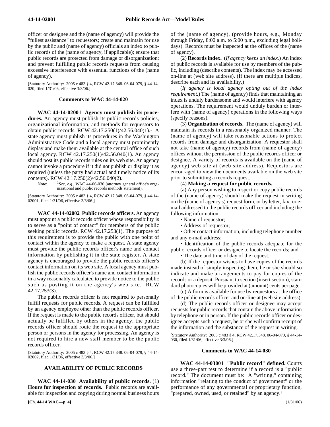officer or designee and the (name of agency) will provide the "fullest assistance" to requestors; create and maintain for use by the public and (name of agency) officials an index to public records of the (name of agency, if applicable); ensure that public records are protected from damage or disorganization; and prevent fulfilling public records requests from causing excessive interference with essential functions of the (name of agency).

[Statutory Authority: 2005 c 483 § 4, RCW 42.17.348. 06-04-079, § 44-14- 020, filed 1/31/06, effective 3/3/06.]

#### **Comments to WAC 44-14-020**

44-14-02001 **WAC 44-14-02001 Agency must publish its procedures.** An agency must publish its public records policies, organizational information, and methods for requestors to obtain public records. RCW 42.17.250(1)/42.56.040(1).1 A state agency must publish its procedures in the Washington Administrative Code and a local agency must prominently display and make them available at the central office of such local agency. RCW 42.17.250(1)/42.56.040(1). An agency should post its public records rules on its web site. An agency cannot invoke a procedure if it did not publish or display it as required (unless the party had actual and timely notice of its contents). RCW 42.17.250(2)/42.56.040(2).

Note: <sup>1</sup>See, e.g., WAC 44-06-030 (attorney general office's organizational and public records methods statement).

[Statutory Authority: 2005 c 483 § 4, RCW 42.17.348. 06-04-079, § 44-14- 02001, filed 1/31/06, effective 3/3/06.]

44-14-02002 **WAC 44-14-02002 Public records officers.** An agency must appoint a public records officer whose responsibility is to serve as a "point of contact" for members of the public seeking public records. RCW 42.17.253(1). The purpose of this requirement is to provide the public with one point of contact within the agency to make a request. A state agency must provide the public records officer's name and contact information by publishing it in the state register. A state agency is encouraged to provide the public records officer's contact information on its web site. A local agency must publish the public records officer's name and contact information in a way reasonably calculated to provide notice to the public such as posting it on the agency's web site. RCW 42.17.253(3).

The public records officer is not required to personally fulfill requests for public records. A request can be fulfilled by an agency employee other than the public records officer. If the request is made to the public records officer, but should actually be fulfilled by others in the agency, the public records officer should route the request to the appropriate person or persons in the agency for processing. An agency is not required to hire a new staff member to be the public records officer.

[Statutory Authority: 2005 c 483 § 4, RCW 42.17.348. 06-04-079, § 44-14- 02002, filed 1/31/06, effective 3/3/06.]

#### **AVAILABILITY OF PUBLIC RECORDS**

44-14-030 **WAC 44-14-030 Availability of public records.** (1) **Hours for inspection of records.** Public records are available for inspection and copying during normal business hours of the (name of agency), (provide hours, e.g., Monday through Friday, 8:00 a.m. to 5:00 p.m., excluding legal holidays). Records must be inspected at the offices of the (name of agency).

(2) **Records index.** (*If agency keeps an index.*) An index of public records is available for use by members of the public, including (describe contents). The index may be accessed on-line at (web site address). (If there are multiple indices, describe each and its availability.)

(*If agency is local agency opting out of the index requirement.*) The (name of agency) finds that maintaining an index is unduly burdensome and would interfere with agency operations. The requirement would unduly burden or interfere with (name of agency) operations in the following ways (specify reasons).

(3) **Organization of records.** The (name of agency) will maintain its records in a reasonably organized manner. The (name of agency) will take reasonable actions to protect records from damage and disorganization. A requestor shall not take (name of agency) records from (name of agency) offices without the permission of the public records officer or designee. A variety of records is available on the (name of agency) web site at (web site address). Requestors are encouraged to view the documents available on the web site prior to submitting a records request.

#### (4) **Making a request for public records.**

(a) Any person wishing to inspect or copy public records of the (name of agency) should make the request in writing on the (name of agency's) request form, or by letter, fax, or email addressed to the public records officer and including the following information:

- Name of requestor;
- Address of requestor;

• Other contact information, including telephone number and any e-mail address;

• Identification of the public records adequate for the public records officer or designee to locate the records; and

• The date and time of day of the request.

(b) If the requestor wishes to have copies of the records made instead of simply inspecting them, he or she should so indicate and make arrangements to pay for copies of the records or a deposit. Pursuant to section (insert section), standard photocopies will be provided at (amount) cents per page.

(c) A form is available for use by requestors at the office of the public records officer and on-line at (web site address).

(d) The public records officer or designee may accept requests for public records that contain the above information by telephone or in person. If the public records officer or designee accepts such a request, he or she will confirm receipt of the information and the substance of the request in writing.

[Statutory Authority: 2005 c 483 § 4, RCW 42.17.348. 06-04-079, § 44-14- 030, filed 1/31/06, effective 3/3/06.]

#### **Comments to WAC 44-14-030**

44-14-03001 **WAC 44-14-03001 "Public record" defined.** Courts use a three-part test to determine if a record is a "public record." The document must be: A "writing," containing information "relating to the conduct of government" or the performance of any governmental or proprietary function, 'prepared, owned, used, or retained" by an agency.<sup>1</sup>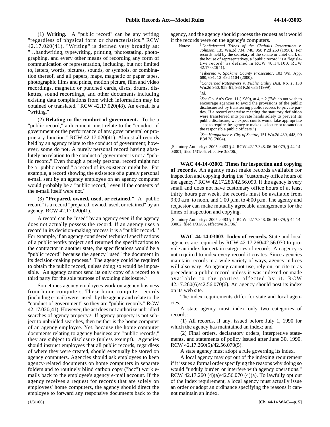(1) **Writing.** A "public record" can be any writing "regardless of physical form or characteristics." RCW 42.17.020(41). "Writing" is defined very broadly as: "…handwriting, typewriting, printing, photostating, photographing, and every other means of recording any form of communication or representation, including, but not limited to, letters, words, pictures, sounds, or symbols, or combination thereof, and all papers, maps, magnetic or paper tapes, photographic films and prints, motion picture, film and video recordings, magnetic or punched cards, discs, drums, diskettes, sound recordings, and other documents including existing data compilations from which information may be obtained or translated." RCW 42.17.020(48). An e-mail is a "writing."

(2) **Relating to the conduct of government.** To be a "public record," a document must relate to the "conduct of government or the performance of any governmental or proprietary function." RCW 42.17.020(41). Almost all records held by an agency relate to the conduct of government; however, some do not. A purely personal record having absolutely no relation to the conduct of government is not a "public record." Even though a purely personal record might not be a "public record," a record of its existence might be. For example, a record showing the existence of a purely personal e-mail sent by an agency employee on an agency computer would probably be a "public record," even if the contents of the e-mail itself were not.<sup>2</sup>

(3) **"Prepared, owned, used, or retained."** A "public record" is a record "prepared, owned, used, or retained" by an agency. RCW 42.17.020(41).

A record can be "used" by an agency even if the agency does not actually possess the record. If an agency uses a record in its decision-making process it is a "public record."3 For example, if an agency considered technical specifications of a public works project and returned the specifications to the contractor in another state, the specifications would be a "public record" because the agency "used" the document in its decision-making process.4 The agency could be required to obtain the public record, unless doing so would be impossible. An agency cannot send its only copy of a record to a third party for the sole purpose of avoiding disclosure.5

Sometimes agency employees work on agency business from home computers. These home computer records (including e-mail) were "used" by the agency and relate to the "conduct of government" so they are "public records." RCW 42.17.020(41). However, the act does not authorize unbridled searches of agency property.<sup>6</sup> If agency property is not subject to unbridled searches, then neither is the home computer of an agency employee. Yet, because the home computer documents relating to agency business are "public records," they are subject to disclosure (unless exempt). Agencies should instruct employees that all public records, regardless of where they were created, should eventually be stored on agency computers. Agencies should ask employees to keep agency-related documents on home computers in separate folders and to routinely blind carbon copy ("bcc") work emails back to the employee's agency e-mail account. If the agency receives a request for records that are solely on employees' home computers, the agency should direct the employee to forward any responsive documents back to the

agency, and the agency should process the request as it would if the records were on the agency's computers.

Notes: *Confederated Tribes of the Chehalis Reservation v. Johnson*, 135 Wn.2d 734, 748, 958 P.2d 260 (1998). For records held by the secretary of the senate or chief clerk of the house of representatives, a "public record" is a "legislative record" as defined in RCW 40.14.100. RCW 42.17.020(41). <sup>2</sup>*Tiberino v. Spokane County Prosecutor*, 103 Wn. App. 680, 691, 13 P.3d 1104 (2000). <sup>3</sup>*Concerned Ratepayers v. Public Utility Dist. No. 1*, 138 Wn.2d 950, 958-61, 983 P.2d 635 (1999). <sup>4</sup>*Id.* 5 *See* Op. Att'y Gen. 11 (1989), at 4, n.2 ("We do not wish to encourage agencies to avoid the provisions of the public disclosure act by transferring public records to private parties. If a record otherwise meeting the statutory definition were transferred into private hands solely to prevent its public disclosure, we expect courts would take appropriate steps to require the agency to make disclosure or to sanction the responsible public officers.")

6 *See Hangartner v. City of Seattle*, 151 Wn.2d 439, 448, 90 P.3d 26 (2004).

[Statutory Authority: 2005 c 483 § 4, RCW 42.17.348. 06-04-079, § 44-14- 03001, filed 1/31/06, effective 3/3/06.]

44-14-03002 **WAC 44-14-03002 Times for inspection and copying of records.** An agency must make records available for inspection and copying during the "customary office hours of the agency." RCW 42.17.280/42.56.090. If the agency is very small and does not have customary office hours of at least thirty hours per week, the records must be available from 9:00 a.m. to noon, and 1:00 p.m. to 4:00 p.m. The agency and requestor can make mutually agreeable arrangements for the times of inspection and copying.

[Statutory Authority: 2005 c 483 § 4, RCW 42.17.348. 06-04-079, § 44-14- 03002, filed 1/31/06, effective 3/3/06.]

44-14-03003 **WAC 44-14-03003 Index of records.** State and local agencies are required by RCW 42.17.260/42.56.070 to provide an index for certain categories of records. An agency is not required to index every record it creates. Since agencies maintain records in a wide variety of ways, agency indices will also vary. An agency cannot use, rely on, or cite to as precedent a public record unless it was indexed or made available to the parties affected by it. RCW 42.17.260(6)/42.56.070(6). An agency should post its index on its web site.

The index requirements differ for state and local agencies.

A state agency must index only two categories of records:

(1) All records, if any, issued before July 1, 1990 for which the agency has maintained an index; and

(2) Final orders, declaratory orders, interpretive statements, and statements of policy issued after June 30, 1990. RCW 42.17.260(5)/42.56.070(5).

A state agency must adopt a rule governing its index.

A local agency may opt out of the indexing requirement if it issues a formal order specifying the reasons why doing so would "unduly burden or interfere with agency operations." RCW 42.17.260 (4)(a)/42.56.070 (4)(a). To lawfully opt out of the index requirement, a local agency must actually issue an order or adopt an ordinance specifying the reasons it cannot maintain an index.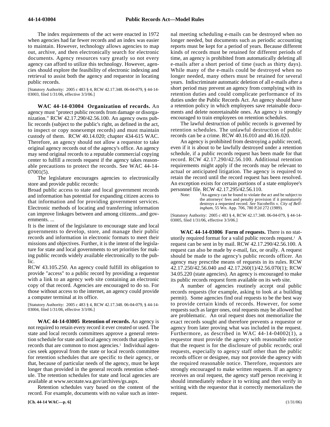The index requirements of the act were enacted in 1972 when agencies had far fewer records and an index was easier to maintain. However, technology allows agencies to map out, archive, and then electronically search for electronic documents. Agency resources vary greatly so not every agency can afford to utilize this technology. However, agencies should explore the feasibility of electronic indexing and retrieval to assist both the agency and requestor in locating public records.

[Statutory Authority: 2005 c 483 § 4, RCW 42.17.348. 06-04-079, § 44-14- 03003, filed 1/31/06, effective 3/3/06.]

44-14-03004 **WAC 44-14-03004 Organization of records.** An agency must "protect public records from damage or disorganization." RCW 42.17.290/42.56.100. An agency owns public records (subject to the public's right, as defined in the act, to inspect or copy nonexempt records) and must maintain custody of them. RCW 40.14.020; chapter 434-615 WAC. Therefore, an agency should not allow a requestor to take original agency records out of the agency's office. An agency may send original records to a reputable commercial copying center to fulfill a records request if the agency takes reasonable precautions to protect the records. See WAC 44-14- 07001(5).

The legislature encourages agencies to electronically store and provide public records:

Broad public access to state and local government records and information has potential for expanding citizen access to that information and for providing government services. Electronic methods of locating and transferring information can improve linkages between and among citizens...and governments. ...

It is the intent of the legislature to encourage state and local governments to develop, store, and manage their public records and information in electronic formats to meet their missions and objectives. Further, it is the intent of the legislature for state and local governments to set priorities for making public records widely available electronically to the public.

RCW 43.105.250. An agency could fulfill its obligation to provide "access" to a public record by providing a requestor with a link to an agency web site containing an electronic copy of that record. Agencies are encouraged to do so. For those without access to the internet, an agency could provide a computer terminal at its office.

[Statutory Authority: 2005 c 483 § 4, RCW 42.17.348. 06-04-079, § 44-14- 03004, filed 1/31/06, effective 3/3/06.]

44-14-03005 **WAC 44-14-03005 Retention of records.** An agency is not required to retain every record it ever created or used. The state and local records committees approve a general retention schedule for state and local agency records that applies to records that are common to most agencies.<sup>1</sup> Individual agencies seek approval from the state or local records committee for retention schedules that are specific to their agency, or that, because of particular needs of the agency, must be kept longer than provided in the general records retention schedule. The retention schedules for state and local agencies are available at www.secstate.wa.gov/archives/gs.aspx.

Retention schedules vary based on the content of the record. For example, documents with no value such as internal meeting scheduling e-mails can be destroyed when no longer needed, but documents such as periodic accounting reports must be kept for a period of years. Because different kinds of records must be retained for different periods of time, an agency is prohibited from automatically deleting all e-mails after a short period of time (such as thirty days). While many of the e-mails could be destroyed when no longer needed, many others must be retained for several years. Indiscriminate automatic deletion of all e-mails after a short period may prevent an agency from complying with its retention duties and could complicate performance of its duties under the Public Records Act. An agency should have a retention policy in which employees save retainable documents and delete nonretainable ones. An agency is strongly encouraged to train employees on retention schedules.

The lawful destruction of public records is governed by retention schedules. The unlawful destruction of public records can be a crime. RCW 40.16.010 and 40.16.020.

An agency is prohibited from destroying a public record, even if it is about to be lawfully destroyed under a retention schedule, if a public records request has been made for that record. RCW 42.17.290/42.56.100. Additional retention requirements might apply if the records may be relevant to actual or anticipated litigation. The agency is required to retain the record until the record request has been resolved. An exception exists for certain portions of a state employee's personnel file. RCW 42.17.295/42.56.110.

Note:  $\frac{1}{2}$ An agency can be found to violate the act and be subject to the attorneys' fees and penalty provision if it prematurely destroys a requested record. *See Yacobellis v. City of Bellingham*, 55 Wn. App. 706, 780 P.2d 272 (1989).

[Statutory Authority: 2005 c 483 § 4, RCW 42.17.348. 06-04-079, § 44-14- 03005, filed 1/31/06, effective 3/3/06.]

44-14-03006 **WAC 44-14-03006 Form of requests.** There is no statutorily required format for a valid public records request.1 A request can be sent in by mail. RCW 42.17.290/42.56.100. A request can also be made by e-mail, fax, or orally. A request should be made to the agency's public records officer. An agency may prescribe means of requests in its rules. RCW 42.17.250/42.56.040 and 42.17.260(1)/42.56.070(1); RCW 34.05.220 (state agencies). An agency is encouraged to make its public records request form available on its web site.

A number of agencies routinely accept oral public records requests (for example, asking to look at a building permit). Some agencies find oral requests to be the best way to provide certain kinds of records. However, for some requests such as larger ones, oral requests may be allowed but are problematic. An oral request does not memorialize the exact records sought and therefore prevents a requestor or agency from later proving what was included in the request. Furthermore, as described in WAC 44-14-04002(1), a requestor must provide the agency with reasonable notice that the request is for the disclosure of public records; oral requests, especially to agency staff other than the public records officer or designee, may not provide the agency with the required reasonable notice. Therefore, requestors are strongly encouraged to make written requests. If an agency receives an oral request, the agency staff person receiving it should immediately reduce it to writing and then verify in writing with the requestor that it correctly memorializes the request.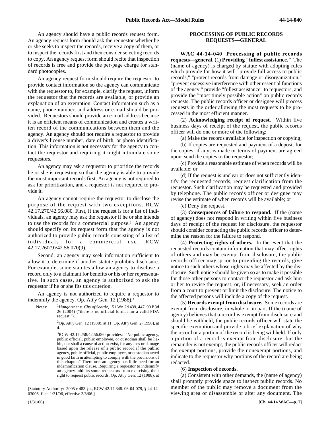An agency should have a public records request form. An agency request form should ask the requestor whether he or she seeks to inspect the records, receive a copy of them, or to inspect the records first and then consider selecting records to copy. An agency request form should recite that inspection of records is free and provide the per-page charge for standard photocopies.

An agency request form should require the requestor to provide contact information so the agency can communicate with the requestor to, for example, clarify the request, inform the requestor that the records are available, or provide an explanation of an exemption. Contact information such as a name, phone number, and address or e-mail should be provided. Requestors should provide an e-mail address because it is an efficient means of communication and creates a written record of the communications between them and the agency. An agency should not require a requestor to provide a driver's license number, date of birth, or photo identification. This information is not necessary for the agency to contact the requestor and requiring it might intimidate some requestors.

An agency may ask a requestor to prioritize the records he or she is requesting so that the agency is able to provide the most important records first. An agency is not required to ask for prioritization, and a requestor is not required to provide it.

An agency cannot require the requestor to disclose the purpose of the request with two exceptions. RCW 42.17.270/42.56.080. First, if the request is for a list of individuals, an agency may ask the requestor if he or she intends to use the records for a commercial purpose.<sup>2</sup> An agency should specify on its request form that the agency is not authorized to provide public records consisting of a list of individuals for a commercial use. RCW 42.17.260(9)/42.56.070(9).

Second, an agency may seek information sufficient to allow it to determine if another statute prohibits disclosure. For example, some statutes allow an agency to disclose a record only to a claimant for benefits or his or her representative. In such cases, an agency is authorized to ask the requestor if he or she fits this criterion.

An agency is not authorized to require a requestor to indemnify the agency. Op. Att'y Gen. 12 (1988).3

Notes: <sup>1</sup>*Hangartner v. City of Seattle*, 151 Wn.2d 439, 447, 90 P.3d 26 (2004) ("there is no official format for a valid PDA request.").

> 2 Op. Att'y Gen. 12 (1988), at 11; Op. Att'y Gen. 2 (1998), at 4.

> $3$ RCW 42.17.258/42.56.060 provides: "No public agency, public official, public employee, or custodian shall be liable, nor shall a cause of action exist, for any loss or damage based upon the release of a public record if the public agency, public official, public employee, or custodian acted in good faith in attempting to comply with the provisions of this chapter." Therefore, an agency has little need for an indemnification clause. Requiring a requestor to indemnify an agency inhibits some requestors from exercising their right to request public records. Op. Att'y Gen. 12 (1988), at 11.

[Statutory Authority: 2005 c 483 § 4, RCW 42.17.348. 06-04-079, § 44-14- 03006, filed 1/31/06, effective 3/3/06.]

#### **PROCESSING OF PUBLIC RECORDS REQUESTS—GENERAL**

44-14-040 **WAC 44-14-040 Processing of public records requests—general.** (1) **Providing "fullest assistance."** The (name of agency) is charged by statute with adopting rules which provide for how it will "provide full access to public records," "protect records from damage or disorganization," "prevent excessive interference with other essential functions of the agency," provide "fullest assistance" to requestors, and provide the "most timely possible action" on public records requests. The public records officer or designee will process requests in the order allowing the most requests to be processed in the most efficient manner.

(2) **Acknowledging receipt of request.** Within five business days of receipt of the request, the public records officer will do one or more of the following:

(a) Make the records available for inspection or copying;

(b) If copies are requested and payment of a deposit for the copies, if any, is made or terms of payment are agreed upon, send the copies to the requestor;

(c) Provide a reasonable estimate of when records will be available; or

(d) If the request is unclear or does not sufficiently identify the requested records, request clarification from the requestor. Such clarification may be requested and provided by telephone. The public records officer or designee may revise the estimate of when records will be available; or

(e) Deny the request.

(3) **Consequences of failure to respond.** If the (name of agency) does not respond in writing within five business days of receipt of the request for disclosure, the requestor should consider contacting the public records officer to determine the reason for the failure to respond.

(4) **Protecting rights of others.** In the event that the requested records contain information that may affect rights of others and may be exempt from disclosure, the public records officer may, prior to providing the records, give notice to such others whose rights may be affected by the disclosure. Such notice should be given so as to make it possible for those other persons to contact the requestor and ask him or her to revise the request, or, if necessary, seek an order from a court to prevent or limit the disclosure. The notice to the affected persons will include a copy of the request.

(5) **Records exempt from disclosure.** Some records are exempt from disclosure, in whole or in part. If the (name of agency) believes that a record is exempt from disclosure and should be withheld, the public records officer will state the specific exemption and provide a brief explanation of why the record or a portion of the record is being withheld. If only a portion of a record is exempt from disclosure, but the remainder is not exempt, the public records officer will redact the exempt portions, provide the nonexempt portions, and indicate to the requestor why portions of the record are being redacted.

#### (6) **Inspection of records.**

(a) Consistent with other demands, the (name of agency) shall promptly provide space to inspect public records. No member of the public may remove a document from the viewing area or disassemble or alter any document. The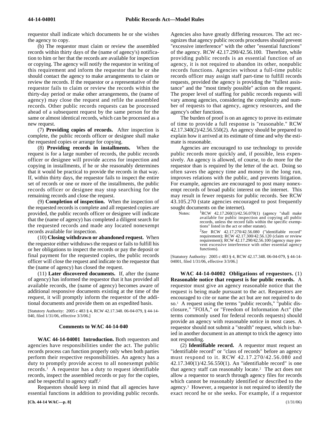requestor shall indicate which documents he or she wishes the agency to copy.

(b) The requestor must claim or review the assembled records within thirty days of the (name of agency's) notification to him or her that the records are available for inspection or copying. The agency will notify the requestor in writing of this requirement and inform the requestor that he or she should contact the agency to make arrangements to claim or review the records. If the requestor or a representative of the requestor fails to claim or review the records within the thirty-day period or make other arrangements, the (name of agency) may close the request and refile the assembled records. Other public records requests can be processed ahead of a subsequent request by the same person for the same or almost identical records, which can be processed as a new request.

(7) **Providing copies of records.** After inspection is complete, the public records officer or designee shall make the requested copies or arrange for copying.

(8) **Providing records in installments.** When the request is for a large number of records, the public records officer or designee will provide access for inspection and copying in installments, if he or she reasonably determines that it would be practical to provide the records in that way. If, within thirty days, the requestor fails to inspect the entire set of records or one or more of the installments, the public records officer or designee may stop searching for the remaining records and close the request.

(9) **Completion of inspection.** When the inspection of the requested records is complete and all requested copies are provided, the public records officer or designee will indicate that the (name of agency) has completed a diligent search for the requested records and made any located nonexempt records available for inspection.

(10) **Closing withdrawn or abandoned request.** When the requestor either withdraws the request or fails to fulfill his or her obligations to inspect the records or pay the deposit or final payment for the requested copies, the public records officer will close the request and indicate to the requestor that the (name of agency) has closed the request.

(11) **Later discovered documents.** If, after the (name of agency) has informed the requestor that it has provided all available records, the (name of agency) becomes aware of additional responsive documents existing at the time of the request, it will promptly inform the requestor of the additional documents and provide them on an expedited basis.

[Statutory Authority: 2005 c 483 § 4, RCW 42.17.348. 06-04-079, § 44-14- 040, filed 1/31/06, effective 3/3/06.]

#### **Comments to WAC 44-14-040**

44-14-04001 **WAC 44-14-04001 Introduction.** Both requestors and agencies have responsibilities under the act. The public records process can function properly only when both parties perform their respective responsibilities. An agency has a duty to promptly provide access to all nonexempt public records.1 A requestor has a duty to request identifiable records, inspect the assembled records or pay for the copies, and be respectful to agency staff.2

Requestors should keep in mind that all agencies have essential functions in addition to providing public records. Agencies also have greatly differing resources. The act recognizes that agency public records procedures should prevent "excessive interference" with the other "essential functions" of the agency. RCW 42.17.290/42.56.100. Therefore, while providing public records is an essential function of an agency, it is not required to abandon its other, nonpublic records functions. Agencies without a full-time public records officer may assign staff part-time to fulfill records requests, provided the agency is providing the "fullest assistance" and the "most timely possible" action on the request. The proper level of staffing for public records requests will vary among agencies, considering the complexity and number of requests to that agency, agency resources, and the agency's other functions.

The burden of proof is on an agency to prove its estimate of time to provide a full response is "reasonable." RCW 42.17.340(2)/42.56.550(2). An agency should be prepared to explain how it arrived at its estimate of time and why the estimate is reasonable.

Agencies are encouraged to use technology to provide public records more quickly and, if possible, less expensively. An agency is allowed, of course, to do more for the requestor than is required by the letter of the act. Doing so often saves the agency time and money in the long run, improves relations with the public, and prevents litigation. For example, agencies are encouraged to post many nonexempt records of broad public interest on the internet. This may result in fewer requests for public records. See RCW 43.105.270 (state agencies encouraged to post frequently sought documents on the internet).

| Notes: | <sup>1</sup> RCW 42.17.260(1)/42.56.070(1) (agency "shall make |
|--------|----------------------------------------------------------------|
|        | available for public inspection and copying all public         |
|        | records, unless the record falls within the specific exemp-    |
|        | tions" listed in the act or other statute).                    |
|        | ${}^{2}$ See RCW 42.17.270/42.56.080 ("identifiable record"    |
|        | requirement); RCW 42.17.300/42.56.120 (claim or review         |
|        | requirement); RCW 42.17.290/42.56.100 (agency may pre-         |
|        | vent excessive interference with other essential agency        |
|        | functions).                                                    |

[Statutory Authority: 2005 c 483 § 4, RCW 42.17.348. 06-04-079, § 44-14- 04001, filed 1/31/06, effective 3/3/06.]

44-14-04002 **WAC 44-14-04002 Obligations of requestors.** (1) **Reasonable notice that request is for public records.** A requestor must give an agency reasonable notice that the request is being made pursuant to the act. Requestors are encouraged to cite or name the act but are not required to do so.1 A request using the terms "public records," "public disclosure," "FOIA," or "Freedom of Information Act" (the terms commonly used for federal records requests) should provide an agency with reasonable notice in most cases. A requestor should not submit a "stealth" request, which is buried in another document in an attempt to trick the agency into not responding.

(2) **Identifiable record.** A requestor must request an "identifiable record" or "class of records" before an agency must respond to it. RCW 42.17.270/42.56.080 and 42.17.340(1)/42.56.550(1). An "identifiable record" is one that agency staff can reasonably locate.<sup>2</sup> The act does not allow a requestor to search through agency files for records which cannot be reasonably identified or described to the agency.3 However, a requestor is not required to identify the exact record he or she seeks. For example, if a requestor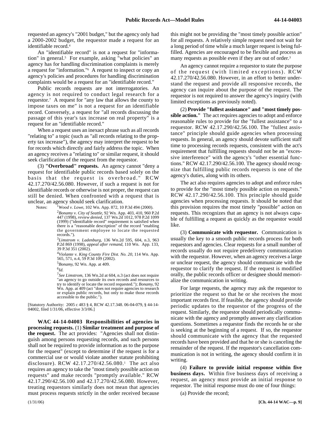requested an agency's "2001 budget," but the agency only had a 2000-2002 budget, the requestor made a request for an identifiable record.4

An "identifiable record" is not a request for "information" in general.<sup>5</sup> For example, asking "what policies" an agency has for handling discrimination complaints is merely a request for "information."6 A request to inspect or copy an agency's policies and procedures for handling discrimination complaints would be a request for an "identifiable record."

Public records requests are not interrogatories. An agency is not required to conduct legal research for a requestor.7 A request for "any law that allows the county to impose taxes on me" is not a request for an identifiable record. Conversely, a request for "all records discussing the passage of this year's tax increase on real property" is a request for an "identifiable record."

When a request uses an inexact phrase such as all records "relating to" a topic (such as "all records relating to the property tax increase"), the agency may interpret the request to be for records which directly and fairly address the topic. When an agency receives a "relating to" or similar request, it should seek clarification of the request from the requestor.

(3) **"Overbroad" requests.** An agency cannot "deny a request for identifiable public records based solely on the basis that the request is overbroad." RCW 42.17.270/42.56.080. However, if such a request is not for identifiable records or otherwise is not proper, the request can still be denied. When confronted with a request that is unclear, an agency should seek clarification.

Notes:

*Wood v. Lowe*, 102 Wn. App. 872, 10 P.3d 494 (2000).

2 *Bonamy v. City of Seattle*, 92 Wn. App. 403, 410, 960 P.2d 447 (1998), *review denied*, 137 Wn.2d 1012, 978 P.2d 1099 (1999) ("identifiable record" requirement is satisfied when there is a "reasonable description" of the record "enabling the government employee to locate the requested records.").

<sup>3</sup>*Limstrom v. Ladenburg*, 136 Wn.2d 595, 604, n.3, 963 P.2d 869 (1998), *appeal after remand*, 110 Wn. App. 133, 39 P.3d 351 (2002).

<sup>4</sup>*Violante v. King County Fire Dist. No. 20*, 114 Wn. App. 565, 571, n.4, 59 P.3d 109 (2002).

5 *Bonamy*, 92 Wn. App. at 409.

<sup>6</sup>*Id*.

<sup>7</sup>*See Limstrom*, 136 Wn.2d at 604, n.3 (act does not require "an agency to go outside its own records and resources to try to identify or locate the record requested."); *Bonamy*, 92 Wn. App. at 409 (act "does not require agencies to research or explain public records, but only to make those records accessible to the public.").

[Statutory Authority: 2005 c 483 § 4, RCW 42.17.348. 06-04-079, § 44-14- 04002, filed 1/31/06, effective 3/3/06.]

44-14-04003 **WAC 44-14-04003 Responsibilities of agencies in processing requests.** (1) **Similar treatment and purpose of the request.** The act provides: "Agencies shall not distinguish among persons requesting records, and such persons shall not be required to provide information as to the purpose for the request" (except to determine if the request is for a commercial use or would violate another statute prohibiting disclosure). RCW 42.17.270/42.56.080.1 The act also requires an agency to take the "most timely possible action on requests" and make records "promptly available." RCW 42.17.290/42.56.100 and 42.17.270/42.56.080. However, treating requestors similarly does not mean that agencies must process requests strictly in the order received because

this might not be providing the "most timely possible action" for all requests. A relatively simple request need not wait for a long period of time while a much larger request is being fulfilled. Agencies are encouraged to be flexible and process as many requests as possible even if they are out of order.<sup>3</sup>

An agency cannot require a requestor to state the purpose of the request (with limited exceptions). RCW 42.17.270/42.56.080. However, in an effort to better understand the request and provide all responsive records, the agency can inquire about the purpose of the request. The requestor is not required to answer the agency's inquiry (with limited exceptions as previously noted).

(2) **Provide "fullest assistance" and "most timely possible action."** The act requires agencies to adopt and enforce reasonable rules to provide for the "fullest assistance" to a requestor. RCW 42.17.290/42.56.100. The "fullest assistance" principle should guide agencies when processing requests. In general, an agency should devote sufficient staff time to processing records requests, consistent with the act's requirement that fulfilling requests should not be an "excessive interference" with the agency's "other essential functions." RCW 42.17.290/42.56.100. The agency should recognize that fulfilling public records requests is one of the agency's duties, along with its others.

The act also requires agencies to adopt and enforce rules to provide for the "most timely possible action on requests." RCW 42.17.290/42.56.100. This principle should guide agencies when processing requests. It should be noted that this provision requires the most timely "possible" action on requests. This recognizes that an agency is not always capable of fulfilling a request as quickly as the requestor would like.

(3) **Communicate with requestor.** Communication is usually the key to a smooth public records process for both requestors and agencies. Clear requests for a small number of records usually do not require predelivery communication with the requestor. However, when an agency receives a large or unclear request, the agency should communicate with the requestor to clarify the request. If the request is modified orally, the public records officer or designee should memorialize the communication in writing.

For large requests, the agency may ask the requestor to prioritize the request so that he or she receives the most important records first. If feasible, the agency should provide periodic updates to the requestor of the progress of the request. Similarly, the requestor should periodically communicate with the agency and promptly answer any clarification questions. Sometimes a requestor finds the records he or she is seeking at the beginning of a request. If so, the requestor should communicate with the agency that the requested records have been provided and that he or she is canceling the remainder of the request. If the requestor's cancellation communication is not in writing, the agency should confirm it in writing.

(4) **Failure to provide initial response within five business days.** Within five business days of receiving a request, an agency must provide an initial response to requestor. The initial response must do one of four things:

(a) Provide the record;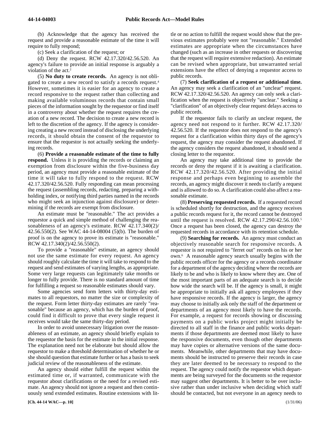(b) Acknowledge that the agency has received the request and provide a reasonable estimate of the time it will require to fully respond;

(c) Seek a clarification of the request; or

(d) Deny the request. RCW 42.17.320/42.56.520. An agency's failure to provide an initial response is arguably a violation of the act.<sup>2</sup>

(5) **No duty to create records.** An agency is not obligated to create a new record to satisfy a records request.4 However, sometimes it is easier for an agency to create a record responsive to the request rather than collecting and making available voluminous records that contain small pieces of the information sought by the requestor or find itself in a controversy about whether the request requires the creation of a new record. The decision to create a new record is left to the discretion of the agency. If the agency is considering creating a new record instead of disclosing the underlying records, it should obtain the consent of the requestor to ensure that the requestor is not actually seeking the underlying records.

(6) **Provide a reasonable estimate of the time to fully respond.** Unless it is providing the records or claiming an exemption from disclosure within the five-business day period, an agency must provide a reasonable estimate of the time it will take to fully respond to the request. RCW 42.17.320/42.56.520. Fully responding can mean processing the request (assembling records, redacting, preparing a withholding index, or notifying third parties named in the records who might seek an injunction against disclosure) or determining if the records are exempt from disclosure.

An estimate must be "reasonable." The act provides a requestor a quick and simple method of challenging the reasonableness of an agency's estimate. RCW 42.17.340(2)/ 42.56.550(2). See WAC 44-14-08004 (5)(b). The burden of proof is on the agency to prove its estimate is "reasonable." RCW 42.17.340(2)/42.56.550(2).

To provide a "reasonable" estimate, an agency should not use the same estimate for every request. An agency should roughly calculate the time it will take to respond to the request and send estimates of varying lengths, as appropriate. Some very large requests can legitimately take months or longer to fully provide. There is no standard amount of time for fulfilling a request so reasonable estimates should vary.

Some agencies send form letters with thirty-day estimates to all requestors, no matter the size or complexity of the request. Form letter thirty-day estimates are rarely "reasonable" because an agency, which has the burden of proof, could find it difficult to prove that every single request it receives would take the same thirty-day period.

In order to avoid unnecessary litigation over the reasonableness of an estimate, an agency should briefly explain to the requestor the basis for the estimate in the initial response. The explanation need not be elaborate but should allow the requestor to make a threshold determination of whether he or she should question that estimate further or has a basis to seek judicial review of the reasonableness of the estimate.

An agency should either fulfill the request within the estimated time or, if warranted, communicate with the requestor about clarifications or the need for a revised estimate. An agency should not ignore a request and then continuously send extended estimates. Routine extensions with little or no action to fulfill the request would show that the previous estimates probably were not "reasonable." Extended estimates are appropriate when the circumstances have changed (such as an increase in other requests or discovering that the request will require extensive redaction). An estimate can be revised when appropriate, but unwarranted serial extensions have the effect of denying a requestor access to public records.

(7) **Seek clarification of a request or additional time.** An agency may seek a clarification of an "unclear" request. RCW 42.17.320/42.56.520. An agency can only seek a clarification when the request is objectively "unclear." Seeking a "clarification" of an objectively clear request delays access to public records.

If the requestor fails to clarify an unclear request, the agency need not respond to it further. RCW 42.17.320/ 42.56.520. If the requestor does not respond to the agency's request for a clarification within thirty days of the agency's request, the agency may consider the request abandoned. If the agency considers the request abandoned, it should send a closing letter to the requestor.

An agency may take additional time to provide the records or deny the request if it is awaiting a clarification. RCW 42.17.320/42.56.520. After providing the initial response and perhaps even beginning to assemble the records, an agency might discover it needs to clarify a request and is allowed to do so. A clarification could also affect a reasonable estimate.

(8) **Preserving requested records.** If a requested record is scheduled shortly for destruction, and the agency receives a public records request for it, the record cannot be destroyed until the request is resolved. RCW 42.17.290/42.56.100.5 Once a request has been closed, the agency can destroy the requested records in accordance with its retention schedule.

(9) **Searching for records.** An agency must conduct an objectively reasonable search for responsive records. A requestor is not required to "ferret out" records on his or her own.6 A reasonable agency search usually begins with the public records officer for the agency or a records coordinator for a department of the agency deciding where the records are likely to be and who is likely to know where they are. One of the most important parts of an adequate search is to decide how wide the search will be. If the agency is small, it might be appropriate to initially ask all agency employees if they have responsive records. If the agency is larger, the agency may choose to initially ask only the staff of the department or departments of an agency most likely to have the records. For example, a request for records showing or discussing payments on a public works project might initially be directed to all staff in the finance and public works departments if those departments are deemed most likely to have the responsive documents, even though other departments may have copies or alternative versions of the same documents. Meanwhile, other departments that may have documents should be instructed to preserve their records in case they are later deemed to be necessary to respond to the request. The agency could notify the requestor which departments are being surveyed for the documents so the requestor may suggest other departments. It is better to be over inclusive rather than under inclusive when deciding which staff should be contacted, but not everyone in an agency needs to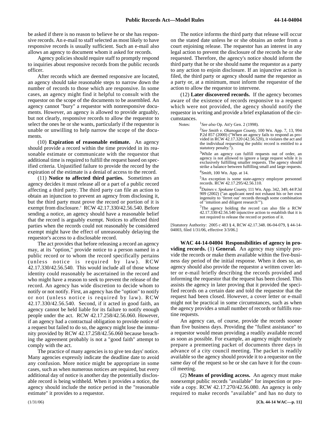be asked if there is no reason to believe he or she has responsive records. An e-mail to staff selected as most likely to have responsive records is usually sufficient. Such an e-mail also allows an agency to document whom it asked for records.

Agency policies should require staff to promptly respond to inquiries about responsive records from the public records officer.

After records which are deemed responsive are located, an agency should take reasonable steps to narrow down the number of records to those which are responsive. In some cases, an agency might find it helpful to consult with the requestor on the scope of the documents to be assembled. An agency cannot "bury" a requestor with nonresponsive documents. However, an agency is allowed to provide arguably, but not clearly, responsive records to allow the requestor to select the ones he or she wants, particularly if the requestor is unable or unwilling to help narrow the scope of the documents.

(10) **Expiration of reasonable estimate.** An agency should provide a record within the time provided in its reasonable estimate or communicate with the requestor that additional time is required to fulfill the request based on specified criteria. Unjustified failure to provide the record by the expiration of the estimate is a denial of access to the record.

(11) **Notice to affected third parties.** Sometimes an agency decides it must release all or a part of a public record affecting a third party. The third party can file an action to obtain an injunction to prevent an agency from disclosing it, but the third party must prove the record or portion of it is exempt from disclosure.7 RCW 42.17.330/42.56.540. Before sending a notice, an agency should have a reasonable belief that the record is arguably exempt. Notices to affected third parties when the records could not reasonably be considered exempt might have the effect of unreasonably delaying the requestor's access to a disclosable record.

The act provides that before releasing a record an agency may, at its "option," provide notice to a person named in a public record or to whom the record specifically pertains (unless notice is required by law). RCW 42.17.330/42.56.540. This would include all of those whose identity could reasonably be ascertained in the record and who might have a reason to seek to prevent the release of the record. An agency has wide discretion to decide whom to notify or not notify. First, an agency has the "option" to notify or not (unless notice is required by law). RCW 42.17.330/42.56.540. Second, if it acted in good faith, an agency cannot be held liable for its failure to notify enough people under the act. RCW 42.17.258/42.56.060. However, if an agency had a contractual obligation to provide notice of a request but failed to do so, the agency might lose the immunity provided by RCW 42.17.258/42.56.060 because breaching the agreement probably is not a "good faith" attempt to comply with the act.

The practice of many agencies is to give ten days' notice. Many agencies expressly indicate the deadline date to avoid any confusion. More notice might be appropriate in some cases, such as when numerous notices are required, but every additional day of notice is another day the potentially disclosable record is being withheld. When it provides a notice, the agency should include the notice period in the "reasonable estimate" it provides to a requestor.

The notice informs the third party that release will occur on the stated date unless he or she obtains an order from a court enjoining release. The requestor has an interest in any legal action to prevent the disclosure of the records he or she requested. Therefore, the agency's notice should inform the third party that he or she should name the requestor as a party to any action to enjoin disclosure. If an injunctive action is filed, the third party or agency should name the requestor as a party or, at a minimum, must inform the requestor of the action to allow the requestor to intervene.

(12) **Later discovered records.** If the agency becomes aware of the existence of records responsive to a request which were not provided, the agency should notify the requestor in writing and provide a brief explanation of the circumstances.

Notes: <sup>1</sup>See also Op. Att'y Gen. 2 (1998).

2 *See Smith v. Okanogan County*, 100 Wn. App. 7, 13, 994 P.2d 857 (2000) ("When an agency fails to respond as provided in RCW 42.17.320 (42.56.520), it violates the act and the individual requesting the public record is entitled to a statutory penalty.").

3While an agency can fulfill requests out of order, an agency is not allowed to ignore a large request while it is exclusively fulfilling smaller requests. The agency should strike a balance between fulfilling small and large requests.

<sup>4</sup>*Smith*, 100 Wn. App. at 14.

<sup>5</sup>An exception is some state-agency employee personnel records. RCW 42.17.295/42.56.110.

6 *Daines v. Spokane County*, 111 Wn. App. 342, 349, 44 P.3d 909 (2002) ("an applicant need not exhaust his or her own ingenuity to 'ferret out' records through some combination of 'intuition and diligent research'").

<sup>7</sup>The agency holding the record can also file a RCW  $42.17.330/42.56.540$  injunctive action to establish that it is not required to release the record or portion of it.

[Statutory Authority: 2005 c 483 § 4, RCW 42.17.348. 06-04-079, § 44-14- 04003, filed 1/31/06, effective 3/3/06.]

44-14-04004 **WAC 44-14-04004 Responsibilities of agency in providing records.** (1) **General.** An agency may simply provide the records or make them available within the five-business day period of the initial response. When it does so, an agency should also provide the requestor a written cover letter or e-mail briefly describing the records provided and informing the requestor that the request has been closed. This assists the agency in later proving that it provided the specified records on a certain date and told the requestor that the request had been closed. However, a cover letter or e-mail might not be practical in some circumstances, such as when the agency provides a small number of records or fulfills routine requests.

An agency can, of course, provide the records sooner than five business days. Providing the "fullest assistance" to a requestor would mean providing a readily available record as soon as possible. For example, an agency might routinely prepare a premeeting packet of documents three days in advance of a city council meeting. The packet is readily available so the agency should provide it to a requestor on the same day of the request so he or she can have it for the council meeting.

(2) **Means of providing access.** An agency must make nonexempt public records "available" for inspection or provide a copy. RCW 42.17.270/42.56.080. An agency is only required to make records "available" and has no duty to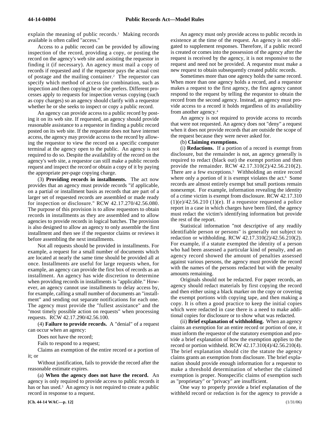explain the meaning of public records.<sup>1</sup> Making records available is often called "access."

Access to a public record can be provided by allowing inspection of the record, providing a copy, or posting the record on the agency's web site and assisting the requestor in finding it (if necessary). An agency must mail a copy of records if requested and if the requestor pays the actual cost of postage and the mailing container.2 The requestor can specify which method of access (or combination, such as inspection and then copying) he or she prefers. Different processes apply to requests for inspection versus copying (such as copy charges) so an agency should clarify with a requestor whether he or she seeks to inspect or copy a public record.

An agency can provide access to a public record by posting it on its web site. If requested, an agency should provide reasonable assistance to a requestor in finding a public record posted on its web site. If the requestor does not have internet access, the agency may provide access to the record by allowing the requestor to view the record on a specific computer terminal at the agency open to the public. An agency is not required to do so. Despite the availability of the record on the agency's web site, a requestor can still make a public records request and inspect the record or obtain a copy of it by paying the appropriate per-page copying charge.

(3) **Providing records in installments.** The act now provides that an agency must provide records "if applicable, on a partial or installment basis as records that are part of a larger set of requested records are assembled or made ready for inspection or disclosure." RCW 42.17.270/42.56.080. The purpose of this provision is to allow requestors to obtain records in installments as they are assembled and to allow agencies to provide records in logical batches. The provision is also designed to allow an agency to only assemble the first installment and then see if the requestor claims or reviews it before assembling the next installments.

Not all requests should be provided in installments. For example, a request for a small number of documents which are located at nearly the same time should be provided all at once. Installments are useful for large requests when, for example, an agency can provide the first box of records as an installment. An agency has wide discretion to determine when providing records in installments is "applicable." However, an agency cannot use installments to delay access by, for example, calling a small number of documents an "installment" and sending out separate notifications for each one. The agency must provide the "fullest assistance" and the "most timely possible action on requests" when processing requests. RCW 42.17.290/42.56.100.

(4) **Failure to provide records.** A "denial" of a request can occur when an agency:

Does not have the record;

Fails to respond to a request;

Claims an exemption of the entire record or a portion of it; or

Without justification, fails to provide the record after the reasonable estimate expires.

(a) **When the agency does not have the record.** An agency is only required to provide access to public records it has or has used.<sup>3</sup> An agency is not required to create a public record in response to a request.

An agency must only provide access to public records in existence at the time of the request. An agency is not obligated to supplement responses. Therefore, if a public record is created or comes into the possession of the agency after the request is received by the agency, it is not responsive to the request and need not be provided. A requestor must make a new request to obtain subsequently created public records.

Sometimes more than one agency holds the same record. When more than one agency holds a record, and a requestor makes a request to the first agency, the first agency cannot respond to the request by telling the requestor to obtain the record from the second agency. Instead, an agency must provide access to a record it holds regardless of its availability from another agency.4

An agency is not required to provide access to records that were not requested. An agency does not "deny" a request when it does not provide records that are outside the scope of the request because they were never asked for.

#### (b) **Claiming exemptions.**

(i) **Redactions.** If a portion of a record is exempt from disclosure, but the remainder is not, an agency generally is required to redact (black out) the exempt portion and then provide the remainder. RCW 42.17.310(2)/42.56.210(2). There are a few exceptions.<sup>5</sup> Withholding an entire record where only a portion of it is exempt violates the act.<sup>6</sup> Some records are almost entirely exempt but small portions remain nonexempt. For example, information revealing the identity of a crime victim is exempt from disclosure. RCW 42.17.310  $(1)(e)/42.56.210$   $(1)(e)$ . If a requestor requested a police report in a case in which charges have been filed, the agency must redact the victim's identifying information but provide the rest of the report.

Statistical information "not descriptive of any readily identifiable person or persons" is generally not subject to redaction or withholding. RCW 42.17.310(2)/42.56.210(2). For example, if a statute exempted the identity of a person who had been assessed a particular kind of penalty, and an agency record showed the amount of penalties assessed against various persons, the agency must provide the record with the names of the persons redacted but with the penalty amounts remaining.

Originals should not be redacted. For paper records, an agency should redact materials by first copying the record and then either using a black marker on the copy or covering the exempt portions with copying tape, and then making a copy. It is often a good practice to keep the initial copies which were redacted in case there is a need to make additional copies for disclosure or to show what was redacted.

(ii) **Brief explanation of withholding.** When an agency claims an exemption for an entire record or portion of one, it must inform the requestor of the statutory exemption and provide a brief explanation of how the exemption applies to the record or portion withheld. RCW 42.17.310(4)/42.56.210(4). The brief explanation should cite the statute the agency claims grants an exemption from disclosure. The brief explanation should provide enough information for a requestor to make a threshold determination of whether the claimed exemption is proper. Nonspecific claims of exemption such as "proprietary" or "privacy" are insufficient.

One way to properly provide a brief explanation of the withheld record or redaction is for the agency to provide a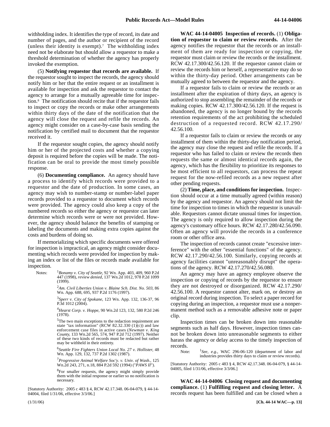withholding index. It identifies the type of record, its date and number of pages, and the author or recipient of the record (unless their identity is exempt).<sup>7</sup> The withholding index need not be elaborate but should allow a requestor to make a threshold determination of whether the agency has properly invoked the exemption.

(5) **Notifying requestor that records are available.** If the requestor sought to inspect the records, the agency should notify him or her that the entire request or an installment is available for inspection and ask the requestor to contact the agency to arrange for a mutually agreeable time for inspection.8 The notification should recite that if the requestor fails to inspect or copy the records or make other arrangements within thirty days of the date of the notification that the agency will close the request and refile the records. An agency might consider on a case-by-case basis sending the notification by certified mail to document that the requestor received it.

If the requestor sought copies, the agency should notify him or her of the projected costs and whether a copying deposit is required before the copies will be made. The notification can be oral to provide the most timely possible response.

(6) **Documenting compliance.** An agency should have a process to identify which records were provided to a requestor and the date of production. In some cases, an agency may wish to number-stamp or number-label paper records provided to a requestor to document which records were provided. The agency could also keep a copy of the numbered records so either the agency or requestor can later determine which records were or were not provided. However, the agency should balance the benefits of stamping or labeling the documents and making extra copies against the costs and burdens of doing so.

If memorializing which specific documents were offered for inspection is impractical, an agency might consider documenting which records were provided for inspection by making an index or list of the files or records made available for inspection.

Notes: <sup>1</sup>*Bonamy v. City of Seattle*, 92 Wn. App. 403, 409, 960 P.2d 447 (1998), *review denied*, 137 Wn.2d 1012, 978 P.2d 1099 (1999).

> <sup>2</sup>*Am. Civil Liberties Union v. Blaine Sch. Dist. No. 503*, 86 Wn. App. 688, 695, 937 P.2d 1176 (1997).

> 3 *Sperr v. City of Spokane*, 123 Wn. App. 132, 136-37, 96 P.3d 1012 (2004).

> <sup>4</sup>*Hearst Corp. v. Hoppe*, 90 Wn.2d 123, 132, 580 P.2d 246 (1978).

> 5The two main exceptions to the redaction requirement are state "tax information" (RCW 82.32.330  $(1)(c)$ ) and law enforcement case files in active cases (*Newman v. King County*, 133 Wn.2d 565, 574, 947 P.2d 712 (1997). Neither of these two kinds of records must be redacted but rather may be withheld in their entirety.

> <sup>6</sup>*Seattle Fire Fighters Union Local No. 27 v. Hollister*, 48 Wn. App. 129, 132, 737 P.2d 1302 (1987).

> <sup>7</sup>*Progressive Animal Welfare Soc'y. v. Univ. of Wash.*, 125 Wn.2d 243, 271, n.18, 884 P.2d 592 (1994) ("*PAWS II*").

> <sup>8</sup>For smaller requests, the agency might simply provide them with the initial response or earlier so no notification is necessary.

[Statutory Authority: 2005 c 483 § 4, RCW 42.17.348. 06-04-079, § 44-14- 04004, filed 1/31/06, effective 3/3/06.]

44-14-04005 **WAC 44-14-04005 Inspection of records.** (1) **Obligation of requestor to claim or review records.** After the agency notifies the requestor that the records or an installment of them are ready for inspection or copying, the requestor must claim or review the records or the installment. RCW 42.17.300/42.56.120. If the requestor cannot claim or review the records him or herself, a representative may do so within the thirty-day period. Other arrangements can be mutually agreed to between the requestor and the agency.

If a requestor fails to claim or review the records or an installment after the expiration of thirty days, an agency is authorized to stop assembling the remainder of the records or making copies. RCW 42.17.300/42.56.120. If the request is abandoned, the agency is no longer bound by the records retention requirements of the act prohibiting the scheduled destruction of a requested record. RCW 42.17.290/ 42.56.100.

If a requestor fails to claim or review the records or any installment of them within the thirty-day notification period, the agency may close the request and refile the records. If a requestor who has failed to claim or review the records then requests the same or almost identical records again, the agency, which has the flexibility to prioritize its responses to be most efficient to all requestors, can process the repeat request for the now-refiled records as a new request after other pending requests.

(2) **Time, place, and conditions for inspection.** Inspection should occur at a time mutually agreed (within reason) by the agency and requestor. An agency should not limit the time for inspection to times in which the requestor is unavailable. Requestors cannot dictate unusual times for inspection. The agency is only required to allow inspection during the agency's customary office hours. RCW 42.17.280/42.56.090. Often an agency will provide the records in a conference room or other office area.

The inspection of records cannot create "excessive interference" with the other "essential functions" of the agency. RCW 42.17.290/42.56.100. Similarly, copying records at agency facilities cannot "unreasonably disrupt" the operations of the agency. RCW 42.17.270/42.56.080.

An agency may have an agency employee observe the inspection or copying of records by the requestor to ensure they are not destroyed or disorganized. RCW 42.17.290/ 42.56.100. A requestor cannot alter, mark on, or destroy an original record during inspection. To select a paper record for copying during an inspection, a requestor must use a nonpermanent method such as a removable adhesive note or paper clip.

Inspection times can be broken down into reasonable segments such as half days. However, inspection times cannot be broken down into unreasonable segments to either harass the agency or delay access to the timely inspection of records.

Note: <sup>1</sup>See, e.g., WAC 296-06-120 (department of labor and industries provides thirty days to claim or review records).

[Statutory Authority: 2005 c 483 § 4, RCW 42.17.348. 06-04-079, § 44-14- 04005, filed 1/31/06, effective 3/3/06.]

44-14-04006 **WAC 44-14-04006 Closing request and documenting compliance.** (1) **Fulfilling request and closing letter.** A records request has been fulfilled and can be closed when a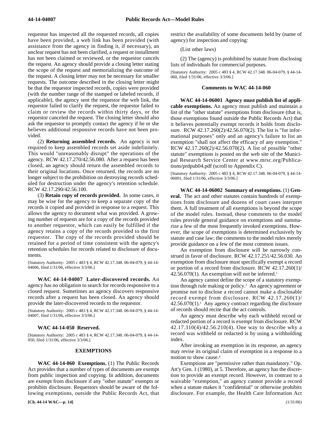requestor has inspected all the requested records, all copies have been provided, a web link has been provided (with assistance from the agency in finding it, if necessary), an unclear request has not been clarified, a request or installment has not been claimed or reviewed, or the requestor cancels the request. An agency should provide a closing letter stating the scope of the request and memorializing the outcome of the request. A closing letter may not be necessary for smaller requests. The outcome described in the closing letter might be that the requestor inspected records, copies were provided (with the number range of the stamped or labeled records, if applicable), the agency sent the requestor the web link, the requestor failed to clarify the request, the requestor failed to claim or review the records within thirty days, or the requestor canceled the request. The closing letter should also ask the requestor to promptly contact the agency if he or she believes additional responsive records have not been provided.

(2) **Returning assembled records.** An agency is not required to keep assembled records set aside indefinitely. This would "unreasonably disrupt" the operations of the agency. RCW 42.17.270/42.56.080. After a request has been closed, an agency should return the assembled records to their original locations. Once returned, the records are no longer subject to the prohibition on destroying records scheduled for destruction under the agency's retention schedule. RCW 42.17.290/42.56.100.

(3) **Retain copy of records provided.** In some cases, it may be wise for the agency to keep a separate copy of the records it copied and provided in response to a request. This allows the agency to document what was provided. A growing number of requests are for a copy of the records provided to another requestor, which can easily be fulfilled if the agency retains a copy of the records provided to the first requestor. The copy of the records provided should be retained for a period of time consistent with the agency's retention schedules for records related to disclosure of documents.

[Statutory Authority: 2005 c 483 § 4, RCW 42.17.348. 06-04-079, § 44-14- 04006, filed 1/31/06, effective 3/3/06.]

44-14-04007 **WAC 44-14-04007 Later-discovered records.** An agency has no obligation to search for records responsive to a closed request. Sometimes an agency discovers responsive records after a request has been closed. An agency should provide the later-discovered records to the requestor.

[Statutory Authority: 2005 c 483 § 4, RCW 42.17.348. 06-04-079, § 44-14- 04007, filed 1/31/06, effective 3/3/06.]

#### 44-14-050 **WAC 44-14-050 Reserved.**

[Statutory Authority: 2005 c 483 § 4, RCW 42.17.348. 06-04-079, § 44-14- 050, filed 1/31/06, effective 3/3/06.]

#### **EXEMPTIONS**

44-14-060 **WAC 44-14-060 Exemptions.** (1) The Public Records Act provides that a number of types of documents are exempt from public inspection and copying. In addition, documents are exempt from disclosure if any "other statute" exempts or prohibits disclosure. Requestors should be aware of the following exemptions, outside the Public Records Act, that

**[Ch. 44-14 WAC—p. 14]** (1/31/06)

restrict the availability of some documents held by (name of agency) for inspection and copying:

(List other laws)

(2) The (agency) is prohibited by statute from disclosing lists of individuals for commercial purposes.

[Statutory Authority: 2005 c 483 § 4, RCW 42.17.348. 06-04-079, § 44-14- 060, filed 1/31/06, effective 3/3/06.]

#### **Comments to WAC 44-14-060**

44-14-06001 **WAC 44-14-06001 Agency must publish list of applicable exemptions.** An agency must publish and maintain a list of the "other statute" exemptions from disclosure (that is, those exemptions found outside the Public Records Act) that it believes potentially exempt records it holds from disclosure. RCW 42.17.260(2)/42.56.070(2). The list is "for informational purposes" only and an agency's failure to list an exemption "shall not affect the efficacy of any exemption." RCW 42.17.260(2)/42.56.070(2). A list of possible "other statute" exemptions is posted on the web site of the Municipal Research Service Center at www.mrsc.org/Publications/prdpub04.pdf (scroll to Appendix C).

[Statutory Authority: 2005 c 483 § 4, RCW 42.17.348. 06-04-079, § 44-14- 06001, filed 1/31/06, effective 3/3/06.]

44-14-06002 **WAC 44-14-06002 Summary of exemptions.** (1) **General.** The act and other statutes contain hundreds of exemptions from disclosure and dozens of court cases interpret them. A full treatment of all exemptions is beyond the scope of the model rules. Instead, these comments to the model rules provide general guidance on exemptions and summarize a few of the most frequently invoked exemptions. However, the scope of exemptions is determined exclusively by statute and case law; the comments to the model rules merely provide guidance on a few of the most common issues.

An exemption from disclosure will be narrowly construed in favor of disclosure. RCW 42.17.251/42.56.030. An exemption from disclosure must specifically exempt a record or portion of a record from disclosure. RCW 42.17.260(1)/  $42.56.070(1)$ . An exemption will not be inferred.<sup>1</sup>

An agency cannot define the scope of a statutory exemption through rule making or policy.2 An agency agreement or promise not to disclose a record cannot make a disclosable record exempt from disclosure. RCW 42.17.260(1)/  $42.56.070(1).$ <sup>3</sup> Any agency contract regarding the disclosure of records should recite that the act controls.

An agency must describe why each withheld record or redacted portion of a record is exempt from disclosure. RCW 42.17.310(4)/42.56.210(4). One way to describe why a record was withheld or redacted is by using a withholding index.

After invoking an exemption in its response, an agency may revise its original claim of exemption in a response to a motion to show cause.4

Exemptions are "permissive rather than mandatory." Op. Att'y Gen. 1 (1980), at 5. Therefore, an agency has the discretion to provide an exempt record. However, in contrast to a waivable "exemption," an agency cannot provide a record when a statute makes it "confidential" or otherwise prohibits disclosure. For example, the Health Care Information Act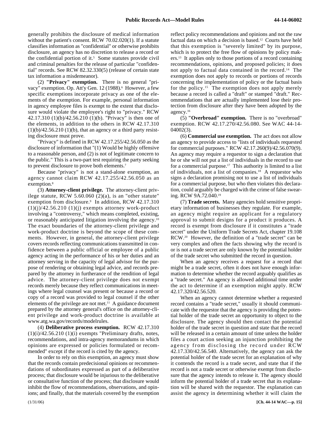generally prohibits the disclosure of medical information without the patient's consent. RCW 70.02.020(1). If a statute classifies information as "confidential" or otherwise prohibits disclosure, an agency has no discretion to release a record or the confidential portion of it.<sup>5</sup> Some statutes provide civil and criminal penalties for the release of particular "confidential" records. See RCW 82.32.330(5) (release of certain state tax information a misdemeanor).

(2) **"Privacy" exemption.** There is no general "privacy" exemption. Op. Att'y Gen. 12 (1988).<sup>6</sup> However, a few specific exemptions incorporate privacy as one of the elements of the exemption. For example, personal information in agency employee files is exempt to the extent that disclosure would violate the employee's right to "privacy." RCW 42.17.310 (1)(b)/42.56.210 (1)(b). "Privacy" is then one of the elements, in addition to the others in RCW 42.17.310  $(1)(b)/42.56.210(1)(b)$ , that an agency or a third party resisting disclosure must prove.

"Privacy" is defined in RCW 42.17.255/42.56.050 as the disclosure of information that "(1) Would be highly offensive to a reasonable person, and (2) is not of legitimate concern to the public." This is a two-part test requiring the party seeking to prevent disclosure to prove both elements.7

Because "privacy" is not a stand-alone exemption, an agency cannot claim RCW 42.17.255/42.56.050 as an exemption.<sup>8</sup>

(3) **Attorney-client privilege.** The attorney-client privilege statute, RCW 5.60.060 (2)(a), is an "other statute" exemption from disclosure.<sup>9</sup> In addition, RCW 42.17.310  $(1)(j)/42.56.210(1)(j)$  exempts attorney work-product involving a "controversy," which means completed, existing, or reasonably anticipated litigation involving the agency.10 The exact boundaries of the attorney-client privilege and work-product doctrine is beyond the scope of these comments. However, in general, the attorney-client privilege covers records reflecting communications transmitted in confidence between a public official or employee of a public agency acting in the performance of his or her duties and an attorney serving in the capacity of legal advisor for the purpose of rendering or obtaining legal advice, and records prepared by the attorney in furtherance of the rendition of legal advice. The attorney-client privilege does not exempt records merely because they reflect communications in meetings where legal counsel was present or because a record or copy of a record was provided to legal counsel if the other elements of the privilege are not met.11 A guidance document prepared by the attorney general's office on the attorney-client privilege and work-product doctrine is available at www.atg.wa.gov/records/modelrules.

(4) **Deliberative process exemption.** RCW 42.17.310  $(1)(i)/42.56.210(1)(i)$  exempts "Preliminary drafts, notes, recommendations, and intra-agency memorandums in which opinions are expressed or policies formulated or recommended" except if the record is cited by the agency.

In order to rely on this exemption, an agency must show that the records contain predecisional opinions or recommendations of subordinates expressed as part of a deliberative process; that disclosure would be injurious to the deliberative or consultative function of the process; that disclosure would inhibit the flow of recommendations, observations, and opinions; and finally, that the materials covered by the exemption reflect policy recommendations and opinions and not the raw factual data on which a decision is based.12 Courts have held that this exemption is "severely limited" by its purpose, which is to protect the free flow of opinions by policy makers.13 It applies only to those portions of a record containing recommendations, opinions, and proposed policies; it does not apply to factual data contained in the record.14 The exemption does not apply to records or portions of records concerning the implementation of policy or the factual basis for the policy.15 The exemption does not apply merely because a record is called a "draft" or stamped "draft." Recommendations that are actually implemented lose their protection from disclosure after they have been adopted by the agency.16

(5) **"Overbroad" exemption.** There is no "overbroad" exemption. RCW 42.17.270/42.56.080. See WAC 44-14- 04002(3).

(6) **Commercial use exemption.** The act does not allow an agency to provide access to "lists of individuals requested for commercial purposes." RCW 42.17.260(9)/42.56.070(9). An agency may require a requestor to sign a declaration that he or she will not put a list of individuals in the record to use for a commercial purpose.17 This authority is limited to a list of individuals, not a list of companies.18 A requestor who signs a declaration promising not to use a list of individuals for a commercial purpose, but who then violates this declaration, could arguably be charged with the crime of false swearing. RCW 9A.72.040.19

(7) **Trade secrets.** Many agencies hold sensitive proprietary information of businesses they regulate. For example, an agency might require an applicant for a regulatory approval to submit designs for a product it produces. A record is exempt from disclosure if it constitutes a "trade secret" under the Uniform Trade Secrets Act, chapter 19.108 RCW.20 However, the definition of a "trade secret" can be very complex and often the facts showing why the record is or is not a trade secret are only known by the potential holder of the trade secret who submitted the record in question.

When an agency receives a request for a record that might be a trade secret, often it does not have enough information to determine whether the record arguably qualifies as a "trade secret." An agency is allowed additional time under the act to determine if an exemption might apply. RCW 42.17.320/42.56.520.

When an agency cannot determine whether a requested record contains a "trade secret," usually it should communicate with the requestor that the agency is providing the potential holder of the trade secret an opportunity to object to the disclosure. The agency should then contact the potential holder of the trade secret in question and state that the record will be released in a certain amount of time unless the holder files a court action seeking an injunction prohibiting the agency from disclosing the record under RCW 42.17.330/42.56.540. Alternatively, the agency can ask the potential holder of the trade secret for an explanation of why it contends the record is a trade secret, and state that if the record is not a trade secret or otherwise exempt from disclosure that the agency intends to release it. The agency should inform the potential holder of a trade secret that its explanation will be shared with the requestor. The explanation can assist the agency in determining whether it will claim the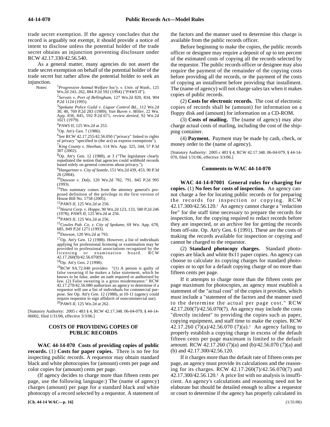trade secret exemption. If the agency concludes that the record is arguably not exempt, it should provide a notice of intent to disclose unless the potential holder of the trade secret obtains an injunction preventing disclosure under RCW 42.17.330/42.56.540.

As a general matter, many agencies do not assert the trade secret exemption on behalf of the potential holder of the trade secret but rather allow the potential holder to seek an injunction.

Notes: <sup>1</sup>*Progressive Animal Welfare Soc'y. v. Univ. of Wash.*, 125 Wn.2d 243, 262, 884 P.2d 592 (1994) ("*PAWS II*").

> 2 *Servais v. Port of Bellingham*, 127 Wn.2d 820, 834, 904 P.2d 1124 (1995).

<sup>3</sup>*Spokane Police Guild v. Liquor Control Bd*., 112 Wn.2d 30, 40, 769 P.2d 283 (1989); *Van Buren v. Miller*, 22 Wn. App. 836, 845, 592 P.2d 671, *review denied*, 92 Wn.2d 1021 (1979).

<sup>4</sup>*PAWS II*, 125 Wn.2d at 253.

5Op. Att'y Gen. 7 (1986).

<sup>6</sup>*See* RCW 42.17.255/42.56.050 ("privacy" linked to rights

of privacy "specified in (the act) as express exemptions"). <sup>7</sup>*King County v. Sheehan*, 114 Wn. App. 325, 344, 57 P.3d 307 (2002).

8Op. Att'y Gen. 12 (1988), at 3 ("The legislature clearly repudiated the notion that agencies could withhold records based solely on general concerns about privacy.").

<sup>9</sup>*Hangartner v. City of Seattle*, 151 Wn.2d 439, 453, 90 P.3d 26 (2004).

<sup>10</sup>*Dawson v. Daly*, 120 Wn.2d 782, 791, 845 P.2d 995 (1993).

11This summary comes from the attorney general's proposed definition of the privilege in the first version of House Bill No. 1758 (2005).

<sup>12</sup>*PAWS II*, 125 Wn.2d at 256.

<sup>13</sup>*Hearst Corp. v. Hoppe*, 90 Wn.2d 123, 133, 580 P.2d 246 (1978); *PAWS II*, 125 Wn.2d at 256.

<sup>14</sup>*PAWS II*, 125 Wn.2d at 256.

<sup>15</sup>*Cowles Pub. Co. v. City of Spokane*, 69 Wn. App. 678, 685, 849 P.2d 1271 (1993).

<sup>16</sup>*Dawson*, 120 Wn.2d at 793.

17Op. Att'y Gen. 12 (1988). However, a list of individuals applying for professional licensing or examination may be provided to professional associations recognized by the licensing or examination board. RCW or examination board. RCW 42.17.260(9)/42.56.070(9).

18Op. Att'y Gen. 2 (1998).

<sup>19</sup>RCW 9A.72.040 provides:  $"$ (1) A person is guilty of false swearing if he makes a false statement, which he knows to be false, under an oath required or authorized by law. (2) False swearing is a gross misdemeanor." RCW 42.17.270/42.56.080 authorizes an agency to determine if a requestor will use a list of individuals for commercial purpose. *See* Op. Att'y Gen. 12 (1988), at 10-11 (agency could require requestor to sign affidavit of noncommercial use). <sup>20</sup>*PAWS II*, 125 Wn.2d at 262.

[Statutory Authority: 2005 c 483 § 4, RCW 42.17.348. 06-04-079, § 44-14- 06002, filed 1/31/06, effective 3/3/06.]

#### **COSTS OF PROVIDING COPIES OF PUBLIC RECORDS**

44-14-070 **WAC 44-14-070 Costs of providing copies of public records.** (1) **Costs for paper copies.** There is no fee for inspecting public records. A requestor may obtain standard black and white photocopies for (amount) cents per page and color copies for (amount) cents per page.

(If agency decides to charge more than fifteen cents per page, use the following language:) The (name of agency) charges (amount) per page for a standard black and white photocopy of a record selected by a requestor. A statement of

**[Ch. 44-14 WAC—p. 16]** (1/31/06)

the factors and the manner used to determine this charge is available from the public records officer.

Before beginning to make the copies, the public records officer or designee may require a deposit of up to ten percent of the estimated costs of copying all the records selected by the requestor. The public records officer or designee may also require the payment of the remainder of the copying costs before providing all the records, or the payment of the costs of copying an installment before providing that installment. The (name of agency) will not charge sales tax when it makes copies of public records.

(2) **Costs for electronic records.** The cost of electronic copies of records shall be (amount) for information on a floppy disk and (amount) for information on a CD-ROM.

(3) **Costs of mailing.** The (name of agency) may also charge actual costs of mailing, including the cost of the shipping container.

(4) **Payment.** Payment may be made by cash, check, or money order to the (name of agency).

[Statutory Authority: 2005 c 483 § 4, RCW 42.17.348. 06-04-079, § 44-14- 070, filed 1/31/06, effective 3/3/06.]

#### **Comments to WAC 44-14-070**

44-14-07001 **WAC 44-14-07001 General rules for charging for copies.** (1) **No fees for costs of inspection.** An agency cannot charge a fee for locating public records or for preparing the records for inspection or copying. RCW  $42.17.300/42.56.120$ <sup>1</sup> An agency cannot charge a "redaction" fee" for the staff time necessary to prepare the records for inspection, for the copying required to redact records before they are inspected, or an archive fee for getting the records from off-site. Op. Att'y Gen. 6 (1991). These are the costs of making the records available for inspection or copying and cannot be charged to the requestor.

(2) **Standard photocopy charges.** Standard photocopies are black and white 8x11 paper copies. An agency can choose to calculate its copying charges for standard photocopies or to opt for a default copying charge of no more than fifteen cents per page.

If it attempts to charge more than the fifteen cents per page maximum for photocopies, an agency must establish a statement of the "actual cost" of the copies it provides, which must include a "statement of the factors and the manner used to the determine the actual per page cost." RCW 42.17.260(7)/42.56.070(7). An agency may include the costs "directly incident" to providing the copies such as paper, copying equipment, and staff time to make the copies. RCW 42.17.260 (7)(a)/42.56.070 (7)(a).<sup>2</sup> An agency failing to properly establish a copying charge in excess of the default fifteen cents per page maximum is limited to the default amount. RCW 42.17.260 (7)(a) and (b)/42.56.070 (7)(a) and (b) and 42.17.300/42.56.120.

If it charges more than the default rate of fifteen cents per page, an agency must provide its calculations and the reasoning for its charges. RCW 42.17.260(7)/42.56.070(7) and  $42.17.300/42.56.120$ <sup>3</sup> A price list with no analysis is insufficient. An agency's calculations and reasoning need not be elaborate but should be detailed enough to allow a requestor or court to determine if the agency has properly calculated its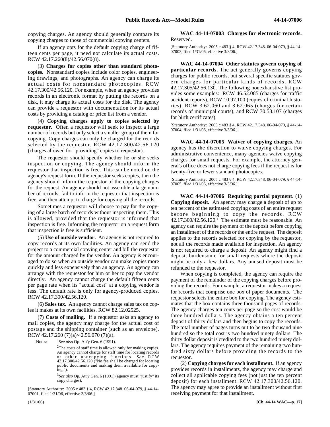copying charges. An agency should generally compare its copying charges to those of commercial copying centers.

If an agency opts for the default copying charge of fifteen cents per page, it need not calculate its actual costs. RCW 42.17.260(8)/42.56.070(8).

(3) **Charges for copies other than standard photocopies.** Nonstandard copies include color copies, engineering drawings, and photographs. An agency can charge its actual costs for nonstandard photocopies. RCW 42.17.300/42.56.120. For example, when an agency provides records in an electronic format by putting the records on a disk, it may charge its actual costs for the disk. The agency can provide a requestor with documentation for its actual costs by providing a catalog or price list from a vendor.

(4) **Copying charges apply to copies selected by requestor.** Often a requestor will seek to inspect a large number of records but only select a smaller group of them for copying. Copy charges can only be charged for the records selected by the requestor. RCW 42.17.300/42.56.120 (charges allowed for "providing" copies to requestor).

The requestor should specify whether he or she seeks inspection or copying. The agency should inform the requestor that inspection is free. This can be noted on the agency's request form. If the requestor seeks copies, then the agency should inform the requestor of the copying charges for the request. An agency should not assemble a large number of records, fail to inform the requestor that inspection is free, and then attempt to charge for copying all the records.

Sometimes a requestor will choose to pay for the copying of a large batch of records without inspecting them. This is allowed, provided that the requestor is informed that inspection is free. Informing the requestor on a request form that inspection is free is sufficient.

(5) **Use of outside vendor.** An agency is not required to copy records at its own facilities. An agency can send the project to a commercial copying center and bill the requestor for the amount charged by the vendor. An agency is encouraged to do so when an outside vendor can make copies more quickly and less expensively than an agency. An agency can arrange with the requestor for him or her to pay the vendor directly. An agency cannot charge the default fifteen cents per page rate when its "actual cost" at a copying vendor is less. The default rate is only for agency-produced copies. RCW 42.17.300/42.56.120.

(6) **Sales tax.** An agency cannot charge sales tax on copies it makes at its own facilities. RCW 82.12.02525.

(7) **Costs of mailing.** If a requestor asks an agency to mail copies, the agency may charge for the actual cost of postage and the shipping container (such as an envelope). RCW 42.17.260 (7)(a)/42.56.070 (7)(a).

Notes: <sup>1</sup>*See also* Op. Att'y Gen. 6 (1991).

 $2$ The costs of staff time is allowed only for making copies. An agency cannot charge for staff time for locating records or other noncopying functions. *See* RCW 42.17.300/42.56.120 ("No fee shall be charged for locating public documents and making them available for copying.").

<sup>3</sup>*See also* Op. Att'y Gen. 6 (1991) (agency must "justify" its copy charges).

[Statutory Authority: 2005 c 483 § 4, RCW 42.17.348. 06-04-079, § 44-14- 07001, filed 1/31/06, effective 3/3/06.]

#### 44-14-07003 **WAC 44-14-07003 Charges for electronic records.** Reserved.

[Statutory Authority: 2005 c 483 § 4, RCW 42.17.348. 06-04-079, § 44-14- 07003, filed 1/31/06, effective 3/3/06.]

44-14-07004 **WAC 44-14-07004 Other statutes govern copying of particular records.** The act generally governs copying charges for public records, but several specific statutes govern charges for particular kinds of records. RCW 42.17.305/42.56.130. The following nonexhaustive list provides some examples: RCW 46.52.085 (charges for traffic accident reports), RCW 10.97.100 (copies of criminal histories), RCW 3.62.060 and 3.62.065 (charges for certain records of municipal courts), and RCW 70.58.107 (charges for birth certificates).

[Statutory Authority: 2005 c 483 § 4, RCW 42.17.348. 06-04-079, § 44-14- 07004, filed 1/31/06, effective 3/3/06.]

44-14-07005 **WAC 44-14-07005 Waiver of copying charges.** An agency has the discretion to waive copying charges. For administrative convenience, many agencies waive copying charges for small requests. For example, the attorney general's office does not charge copying fees if the request is for twenty-five or fewer standard photocopies.

[Statutory Authority: 2005 c 483 § 4, RCW 42.17.348. 06-04-079, § 44-14- 07005, filed 1/31/06, effective 3/3/06.]

44-14-07006 **WAC 44-14-07006 Requiring partial payment.** (1) **Copying deposit.** An agency may charge a deposit of up to ten percent of the estimated copying costs of an entire request before beginning to copy the records. RCW 42.17.300/42.56.120.1 The estimate must be reasonable. An agency can require the payment of the deposit before copying an installment of the records or the entire request. The deposit applies to the records selected for copying by the requestor, not all the records made available for inspection. An agency is not required to charge a deposit. An agency might find a deposit burdensome for small requests where the deposit might be only a few dollars. Any unused deposit must be refunded to the requestor.

When copying is completed, the agency can require the payment of the remainder of the copying charges before providing the records. For example, a requestor makes a request for records that comprise one box of paper documents. The requestor selects the entire box for copying. The agency estimates that the box contains three thousand pages of records. The agency charges ten cents per page so the cost would be three hundred dollars. The agency obtains a ten percent deposit of thirty dollars and then begins to copy the records. The total number of pages turns out to be two thousand nine hundred so the total cost is two hundred ninety dollars. The thirty dollar deposit is credited to the two hundred ninety dollars. The agency requires payment of the remaining two hundred sixty dollars before providing the records to the requestor.

(2) **Copying charges for each installment.** If an agency provides records in installments, the agency may charge and collect all applicable copying fees (not just the ten percent deposit) for each installment. RCW 42.17.300/42.56.120. The agency may agree to provide an installment without first receiving payment for that installment.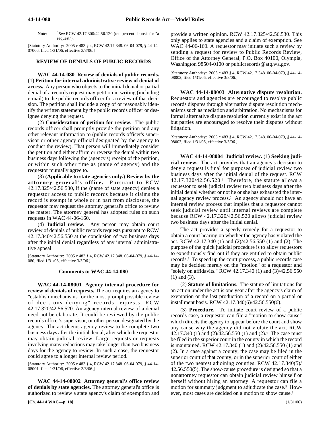Note: *See* RCW 42.17.300/42.56.120 (ten percent deposit for "a request").

[Statutory Authority: 2005 c 483 § 4, RCW 42.17.348. 06-04-079, § 44-14- 07006, filed 1/31/06, effective 3/3/06.]

#### **REVIEW OF DENIALS OF PUBLIC RECORDS**

44-14-080 **WAC 44-14-080 Review of denials of public records.** (1) **Petition for internal administrative review of denial of access.** Any person who objects to the initial denial or partial denial of a records request may petition in writing (including e-mail) to the public records officer for a review of that decision. The petition shall include a copy of or reasonably identify the written statement by the public records officer or designee denying the request.

(2) **Consideration of petition for review.** The public records officer shall promptly provide the petition and any other relevant information to (public records officer's supervisor or other agency official designated by the agency to conduct the review). That person will immediately consider the petition and either affirm or reverse the denial within two business days following the (agency's) receipt of the petition, or within such other time as (name of agency) and the requestor mutually agree to.

(3) **(Applicable to state agencies only.) Review by the attorney general's office.** Pursuant to RCW 42.17.325/42.56.530, if the (name of state agency) denies a requestor access to public records because it claims the record is exempt in whole or in part from disclosure, the requestor may request the attorney general's office to review the matter. The attorney general has adopted rules on such requests in WAC 44-06-160.

(4) **Judicial review.** Any person may obtain court review of denials of public records requests pursuant to RCW 42.17.340/42.56.550 at the conclusion of two business days after the initial denial regardless of any internal administrative appeal.

[Statutory Authority: 2005 c 483 § 4, RCW 42.17.348. 06-04-079, § 44-14- 080, filed 1/31/06, effective 3/3/06.]

#### **Comments to WAC 44-14-080**

44-14-08001 **WAC 44-14-08001 Agency internal procedure for review of denials of requests.** The act requires an agency to "establish mechanisms for the most prompt possible review of decisions denying" records requests. RCW 42.17.320/42.56.520. An agency internal review of a denial need not be elaborate. It could be reviewed by the public records officer's supervisor, or other person designated by the agency. The act deems agency review to be complete two business days after the initial denial, after which the requestor may obtain judicial review. Large requests or requests involving many redactions may take longer than two business days for the agency to review. In such a case, the requestor could agree to a longer internal review period.

[Statutory Authority: 2005 c 483 § 4, RCW 42.17.348. 06-04-079, § 44-14- 08001, filed 1/31/06, effective 3/3/06.]

44-14-08002 **WAC 44-14-08002 Attorney general's office review of denials by state agencies.** The attorney general's office is authorized to review a state agency's claim of exemption and provide a written opinion. RCW 42.17.325/42.56.530. This only applies to state agencies and a claim of exemption. See WAC 44-06-160. A requestor may initiate such a review by sending a request for review to Public Records Review, Office of the Attorney General, P.O. Box 40100, Olympia, Washington 98504-0100 or publicrecords@atg.wa.gov.

[Statutory Authority: 2005 c 483 § 4, RCW 42.17.348. 06-04-079, § 44-14- 08002, filed 1/31/06, effective 3/3/06.]

44-14-08003 **WAC 44-14-08003 Alternative dispute resolution.** Requestors and agencies are encouraged to resolve public records disputes through alternative dispute resolution mechanisms such as mediation and arbitration. No mechanisms for formal alternative dispute resolution currently exist in the act but parties are encouraged to resolve their disputes without litigation.

[Statutory Authority: 2005 c 483 § 4, RCW 42.17.348. 06-04-079, § 44-14- 08003, filed 1/31/06, effective 3/3/06.]

44-14-08004 **WAC 44-14-08004 Judicial review.** (1) **Seeking judicial review.** The act provides that an agency's decision to deny a request is final for purposes of judicial review two business days after the initial denial of the request. RCW  $42.17.320/42.56.520$ <sup>1</sup> Therefore, the statute allows a requestor to seek judicial review two business days after the initial denial whether or not he or she has exhausted the internal agency review process.2 An agency should not have an internal review process that implies that a requestor cannot seek judicial review until internal reviews are complete because RCW 42.17.320/42.56.520 allows judicial review two business days after the initial denial.

The act provides a speedy remedy for a requestor to obtain a court hearing on whether the agency has violated the act. RCW 42.17.340 (1) and (2)/42.56.550 (1) and (2). The purpose of the quick judicial procedure is to allow requestors to expeditiously find out if they are entitled to obtain public records.3 To speed up the court process, a public records case may be decided merely on the "motion" of a requestor and "solely on affidavits." RCW 42.17.340 (1) and (3)/42.56.550 (1) and (3).

(2) **Statute of limitations.** The statute of limitations for an action under the act is one year after the agency's claim of exemption or the last production of a record on a partial or installment basis. RCW 42.17.340(6)/42.56.550(6).

(3) **Procedure.** To initiate court review of a public records case, a requestor can file a "motion to show cause" which directs the agency to appear before the court and show any cause why the agency did not violate the act. RCW 42.17.340 (1) and (2)/42.56.550 (1) and (2).4 The case must be filed in the superior court in the county in which the record is maintained. RCW 42.17.340 (1) and (2)/42.56.550 (1) and (2). In a case against a county, the case may be filed in the superior court of that county, or in the superior court of either of the two nearest adjoining counties. RCW 42.17.340(5)/ 42.56.550(5). The show-cause procedure is designed so that a nonattorney requestor can obtain judicial review himself or herself without hiring an attorney. A requestor can file a motion for summary judgment to adjudicate the case.<sup>5</sup> However, most cases are decided on a motion to show cause.<sup>6</sup>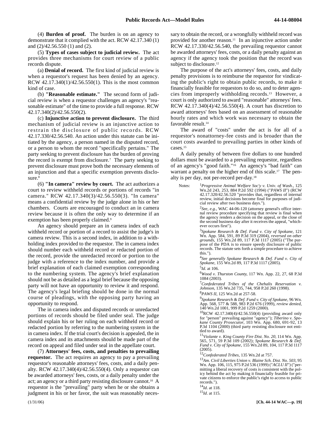(4) **Burden of proof.** The burden is on an agency to demonstrate that it complied with the act. RCW 42.17.340 (1) and (2)/42.56.550 (1) and (2).

(5) **Types of cases subject to judicial review.** The act provides three mechanisms for court review of a public records dispute.

(a) **Denial of record.** The first kind of judicial review is when a requestor's request has been denied by an agency. RCW 42.17.340(1)/42.56.550(1). This is the most common kind of case.

(b) **"Reasonable estimate."** The second form of judicial review is when a requestor challenges an agency's "reasonable estimate" of the time to provide a full response. RCW 42.17.340(2)/42.56.550(2).

(c) **Injunctive action to prevent disclosure.** The third mechanism of judicial review is an injunctive action to restrain the disclosure of public records. RCW 42.17.330/42.56.540. An action under this statute can be initiated by the agency, a person named in the disputed record, or a person to whom the record "specifically pertains." The party seeking to prevent disclosure has the burden of proving the record is exempt from disclosure.7 The party seeking to prevent disclosure must prove both the necessary elements of an injunction and that a specific exemption prevents disclosure.<sup>8</sup>

(6) **"In camera" review by court.** The act authorizes a court to review withheld records or portions of records "in camera." RCW 42.17.340(3)/42.56.550(3). "In camera" means a confidential review by the judge alone in his or her chambers. Courts are encouraged to conduct an in camera review because it is often the only way to determine if an exemption has been properly claimed.<sup>9</sup>

An agency should prepare an in camera index of each withheld record or portion of a record to assist the judge's in camera review. This is a second index, in addition to a withholding index provided to the requestor. The in camera index should number each withheld record or redacted portion of the record, provide the unredacted record or portion to the judge with a reference to the index number, and provide a brief explanation of each claimed exemption corresponding to the numbering system. The agency's brief explanation should not be as detailed as a legal brief because the opposing party will not have an opportunity to review it and respond. The agency's legal briefing should be done in the normal course of pleadings, with the opposing party having an opportunity to respond.

The in camera index and disputed records or unredacted portions of records should be filed under seal. The judge should explain his or her ruling on each withheld record or redacted portion by referring to the numbering system in the in camera index. If the trial court's decision is appealed, the in camera index and its attachments should be made part of the record on appeal and filed under seal in the appellate court.

(7) **Attorneys' fees, costs, and penalties to prevailing requestor.** The act requires an agency to pay a prevailing requestor's reasonable attorneys' fees, costs, and a daily penalty. RCW 42.17.340(4)/42.56.550(4). Only a requestor can be awarded attorneys' fees, costs, or a daily penalty under the act; an agency or a third party resisting disclosure cannot.10 A requestor is the "prevailing" party when he or she obtains a judgment in his or her favor, the suit was reasonably necessary to obtain the record, or a wrongfully withheld record was provided for another reason.<sup>11</sup> In an injunctive action under RCW 42.17.330/42.56.540, the prevailing requestor cannot be awarded attorneys' fees, costs, or a daily penalty against an agency if the agency took the position that the record was subject to disclosure.<sup>12</sup>

The purpose of the act's attorneys' fees, costs, and daily penalty provisions is to reimburse the requestor for vindicating the public's right to obtain public records, to make it financially feasible for requestors to do so, and to deter agencies from improperly withholding records.13 However, a court is only authorized to award "reasonable" attorneys' fees. RCW 42.17.340(4)/42.56.550(4). A court has discretion to award attorneys' fees based on an assessment of reasonable hourly rates and which work was necessary to obtain the favorable result.14

The award of "costs" under the act is for all of a requestor's nonattorney-fee costs and is broader than the court costs awarded to prevailing parties in other kinds of cases.15

A daily penalty of between five dollars to one hundred dollars must be awarded to a prevailing requestor, regardless of an agency's "good faith."16 An agency's "bad faith" can warrant a penalty on the higher end of this scale.<sup>17</sup> The penalty is per day, not per-record per-day.18

Notes: <sup>1</sup>*Progressive Animal Welfare Soc'y v. Univ. of Wash*., 125 Wn.2d 243, 253, 884 P.2d 592 (1994) ("*PAWS II*") (RCW 42.17.320/42.56.520 "provides that, regardless of internal review, initial decisions become final for purposes of judicial review after two business days.").

> 2 *See, e.g.*, WAC 44-06-120 (attorney general's office internal review procedure specifying that review is final when the agency renders a decision on the appeal, or the close of the second business day after it receives the appeal, "whichever occurs first").

> 3 *Spokane Research & Def. Fund v. City of Spokane*, 121 Wn. App. 584, 591, 89 P.3d 319 (2004), *reversed on other grounds*, 155 Wn.2d 89, 117 P.3d 1117 (2005) ("The purpose of the PDA is to ensure speedy disclosure of public records. The statute sets forth a simple procedure to achieve this.").

> <sup>4</sup>*See generally Spokane Research & Def. Fund v. City of Spokane*, 155 Wn.2d 89, 117 P.3d 1117 (2005).

5 *Id*. at 106.

6 *Wood v. Thurston County*, 117 Wn. App. 22, 27, 68 P.3d 1084 (2003).

7 *Confederated Tribes of the Chehalis Reservation v. Johnson*, 135 Wn.2d 735, 744, 958 P.2d 260 (1998).

8 *PAWS II*, 125 Wn.2d at 257-58.

*9 Spokane Research & Def. Fund v. City of Spokane*, 96 Wn. App. 568, 577 & 588, 983 P.2d 676 (1999), *review denied*, 140 Wn.2d 1001, 999 P.2d 1259 (2000).

10RCW 42.17.340(4)/42.56.550(4) (providing award only for "person" prevailing against "agency"); *Tiberino v. Spokane County Prosecutor*, 103 Wn. App. 680, 691-92, 13 P.3d 1104 (2000) (third party resisting disclosure not entitled to award).

<sup>11</sup>*Violante v. King County Fire Dist. No. 20*, 114 Wn. App. 565, 571, 59 P.3d 109 (2002); *Spokane Research & Def. Fund v. City of Spokane*, 155 Wn.2d 89, 104, 117 P.3d 1117 (2005).

<sup>12</sup>*Confederated Tribes*, 135 Wn.2d at 757.

<sup>13</sup>*Am. Civil Liberties Union v. Blaine Sch. Dist. No. 503*, 95 Wn. App. 106, 115, 975 P.2d 536 (1999) ("*ACLU II*") ("permitting a liberal recovery of costs is consistent with the policy behind the act by making it financially feasible for private citizens to enforce the public's right to access to public records.").

<sup>14</sup>*Id*. at 118. <sup>15</sup>*Id*. at 115.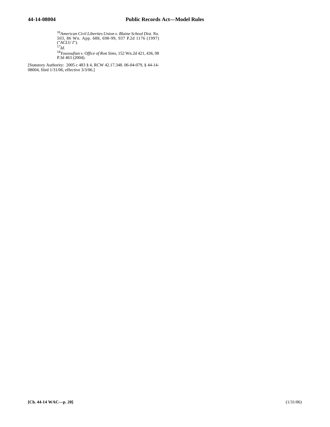<sup>16</sup>*American Civil Liberties Union v. Blaine School Dist. No. 503*, 86 Wn. App. 688, 698-99, 937 P.2d 1176 (1997) ("*ACLU I*"). <sup>17</sup>*Id*.

<sup>18</sup>*Yousoufian v. Office of Ron Sims*, 152 Wn.2d 421, 436, 98 P.3d 463 (2004).

[Statutory Authority: 2005 c 483 § 4, RCW 42.17.348. 06-04-079, § 44-14- 08004, filed 1/31/06, effective 3/3/06.]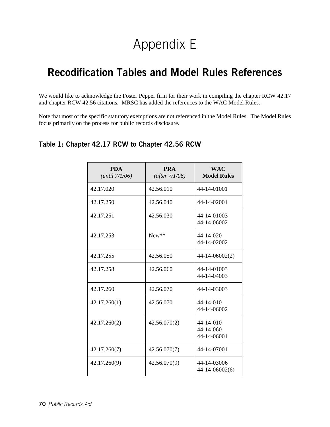## Appendix E

## Recodification Tables and Model Rules References

We would like to acknowledge the Foster Pepper firm for their work in compiling the chapter RCW 42.17 and chapter RCW 42.56 citations. MRSC has added the references to the WAC Model Rules.

Note that most of the specific statutory exemptions are not referenced in the Model Rules. The Model Rules focus primarily on the process for public records disclosure.

### Table 1: Chapter 42.17 RCW to Chapter 42.56 RCW

| <b>PDA</b><br>(until 7/1/06) | <b>PRA</b><br>(after $7/1/06$ ) | <b>WAC</b><br><b>Model Rules</b>            |
|------------------------------|---------------------------------|---------------------------------------------|
| 42.17.020                    | 42.56.010                       | 44-14-01001                                 |
| 42.17.250                    | 42.56.040                       | 44-14-02001                                 |
| 42.17.251                    | 42.56.030                       | 44-14-01003<br>44-14-06002                  |
| 42.17.253                    | $New**$                         | 44-14-020<br>44-14-02002                    |
| 42.17.255                    | 42.56.050                       | 44-14-06002(2)                              |
| 42.17.258                    | 42.56.060                       | 44-14-01003<br>44-14-04003                  |
| 42.17.260                    | 42.56.070                       | 44-14-03003                                 |
| 42.17.260(1)                 | 42.56.070                       | $44 - 14 - 010$<br>44-14-06002              |
| 42.17.260(2)                 | 42.56.070(2)                    | $44 - 14 - 010$<br>44-14-060<br>44-14-06001 |
| 42.17.260(7)                 | 42.56.070(7)                    | 44-14-07001                                 |
| 42.17.260(9)                 | 42.56.070(9)                    | 44-14-03006<br>44-14-06002(6)               |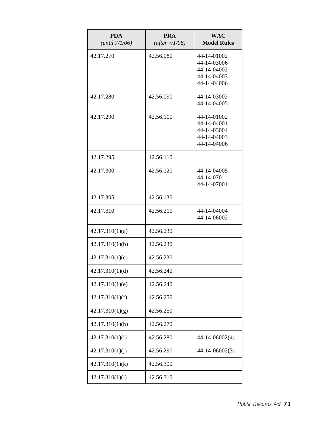| <b>PDA</b><br>(until 7/1/06) | <b>PRA</b><br>(after $7/1/06$ ) | <b>WAC</b><br><b>Model Rules</b>                                        |
|------------------------------|---------------------------------|-------------------------------------------------------------------------|
| 42.17.270                    | 42.56.080                       | 44-14-01002<br>44-14-03006<br>44-14-04002<br>44-14-04003<br>44-14-04006 |
| 42.17.280                    | 42.56.090                       | 44-14-03002<br>44-14-04005                                              |
| 42.17.290                    | 42.56.100                       | 44-14-01002<br>44-14-04001<br>44-14-03004<br>44-14-04003<br>44-14-04006 |
| 42.17.295                    | 42.56.110                       |                                                                         |
| 42.17.300                    | 42.56.120                       | 44-14-04005<br>44-14-070<br>44-14-07001                                 |
| 42.17.305                    | 42.56.130                       |                                                                         |
| 42.17.310                    | 42.56.210                       | 44-14-04004<br>44-14-06002                                              |
| 42.17.310(1)(a)              | 42.56.230                       |                                                                         |
| 42.17.310(1)(b)              | 42.56.230                       |                                                                         |
| 42.17.310(1)(c)              | 42.56.230                       |                                                                         |
| 42.17.310(1)(d)              | 42.56.240                       |                                                                         |
| 42.17.310(1)(e)              | 42.56.240                       |                                                                         |
| 42.17.310(1)(f)              | 42.56.250                       |                                                                         |
| 42.17.310(1)(g)              | 42.56.250                       |                                                                         |
| 42.17.310(1)(h)              | 42.56.270                       |                                                                         |
| 42.17.310(1)(i)              | 42.56.280                       | 44-14-06002(4)                                                          |
| 42.17.310(1)(j)              | 42.56.290                       | 44-14-06002(3)                                                          |
| 42.17.310(1)(k)              | 42.56.300                       |                                                                         |
| 42.17.310(1)(1)              | 42.56.310                       |                                                                         |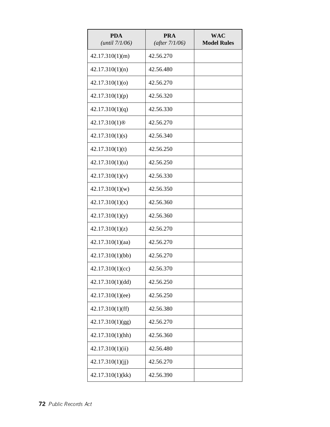| <b>PDA</b><br>(until 7/1/06) | <b>PRA</b><br>(after 7/1/06) | <b>WAC</b><br><b>Model Rules</b> |
|------------------------------|------------------------------|----------------------------------|
| 42.17.310(1)(m)              | 42.56.270                    |                                  |
| 42.17.310(1)(n)              | 42.56.480                    |                                  |
| 42.17.310(1)(o)              | 42.56.270                    |                                  |
| 42.17.310(1)(p)              | 42.56.320                    |                                  |
| 42.17.310(1)(q)              | 42.56.330                    |                                  |
| 42.17.310(1) <sup>®</sup>    | 42.56.270                    |                                  |
| 42.17.310(1)(s)              | 42.56.340                    |                                  |
| 42.17.310(1)(t)              | 42.56.250                    |                                  |
| 42.17.310(1)(u)              | 42.56.250                    |                                  |
| 42.17.310(1)(v)              | 42.56.330                    |                                  |
| 42.17.310(1)(w)              | 42.56.350                    |                                  |
| 42.17.310(1)(x)              | 42.56.360                    |                                  |
| 42.17.310(1)(y)              | 42.56.360                    |                                  |
| 42.17.310(1)(z)              | 42.56.270                    |                                  |
| 42.17.310(1)(aa)             | 42.56.270                    |                                  |
| 42.17.310(1)(bb)             | 42.56.270                    |                                  |
| 42.17.310(1)(cc)             | 42.56.370                    |                                  |
| 42.17.310(1)(dd)             | 42.56.250                    |                                  |
| 42.17.310(1)(ee)             | 42.56.250                    |                                  |
| 42.17.310(1)(ff)             | 42.56.380                    |                                  |
| 42.17.310(1)(gg)             | 42.56.270                    |                                  |
| 42.17.310(1)(hh)             | 42.56.360                    |                                  |
| 42.17.310(1)(ii)             | 42.56.480                    |                                  |
| 42.17.310(1)(ii)             | 42.56.270                    |                                  |
| 42.17.310(1)(kk)             | 42.56.390                    |                                  |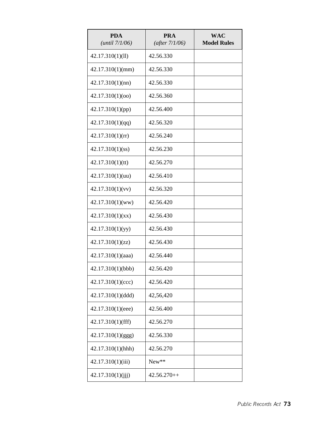| <b>PDA</b><br>(until 7/1/06) | <b>PRA</b><br>(after 7/1/06) | WAC<br><b>Model Rules</b> |
|------------------------------|------------------------------|---------------------------|
| 42.17.310(1)(11)             | 42.56.330                    |                           |
| 42.17.310(1)(mm)             | 42.56.330                    |                           |
| 42.17.310(1)(nn)             | 42.56.330                    |                           |
| 42.17.310(1)(oo)             | 42.56.360                    |                           |
| 42.17.310(1)(pp)             | 42.56.400                    |                           |
| 42.17.310(1)(qq)             | 42.56.320                    |                           |
| 42.17.310(1)(rr)             | 42.56.240                    |                           |
| 42.17.310(1)(ss)             | 42.56.230                    |                           |
| 42.17.310(1)(tt)             | 42.56.270                    |                           |
| 42.17.310(1)(uu)             | 42.56.410                    |                           |
| 42.17.310(1)(vv)             | 42.56.320                    |                           |
| $42.17.310(1)$ (ww)          | 42.56.420                    |                           |
| 42.17.310(1)(xx)             | 42.56.430                    |                           |
| 42.17.310(1)(yy)             | 42.56.430                    |                           |
| 42.17.310(1)(zz)             | 42.56.430                    |                           |
| 42.17.310(1)(aaa)            | 42.56.440                    |                           |
| 42.17.310(1)(bbb)            | 42.56.420                    |                           |
| 42.17.310(1)(ccc)            | 42.56.420                    |                           |
| 42.17.310(1)(ddd)            | 42,56,420                    |                           |
| 42.17.310(1)(eee)            | 42.56.400                    |                           |
| 42.17.310(1)(fff)            | 42.56.270                    |                           |
| 42.17.310(1)(ggg)            | 42.56.330                    |                           |
| 42.17.310(1)(hhh)            | 42.56.270                    |                           |
| 42.17.310(1)(iii)            | New**                        |                           |
| 42.17.310(1)(iii)            | $42.56.270++$                |                           |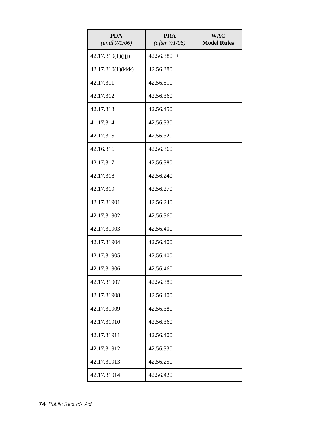| <b>PDA</b><br>(until 7/1/06) | <b>PRA</b><br>(after 7/1/06) | <b>WAC</b><br><b>Model Rules</b> |
|------------------------------|------------------------------|----------------------------------|
| 42.17.310(1)(jjj)            | $42.56.380++$                |                                  |
| 42.17.310(1)(kkk)            | 42.56.380                    |                                  |
| 42.17.311                    | 42.56.510                    |                                  |
| 42.17.312                    | 42.56.360                    |                                  |
| 42.17.313                    | 42.56.450                    |                                  |
| 41.17.314                    | 42.56.330                    |                                  |
| 42.17.315                    | 42.56.320                    |                                  |
| 42.16.316                    | 42.56.360                    |                                  |
| 42.17.317                    | 42.56.380                    |                                  |
| 42.17.318                    | 42.56.240                    |                                  |
| 42.17.319                    | 42.56.270                    |                                  |
| 42.17.31901                  | 42.56.240                    |                                  |
| 42.17.31902                  | 42.56.360                    |                                  |
| 42.17.31903                  | 42.56.400                    |                                  |
| 42.17.31904                  | 42.56.400                    |                                  |
| 42.17.31905                  | 42.56.400                    |                                  |
| 42.17.31906                  | 42.56.460                    |                                  |
| 42.17.31907                  | 42.56.380                    |                                  |
| 42.17.31908                  | 42.56.400                    |                                  |
| 42.17.31909                  | 42.56.380                    |                                  |
| 42.17.31910                  | 42.56.360                    |                                  |
| 42.17.31911                  | 42.56.400                    |                                  |
| 42.17.31912                  | 42.56.330                    |                                  |
| 42.17.31913                  | 42.56.250                    |                                  |
| 42.17.31914                  | 42.56.420                    |                                  |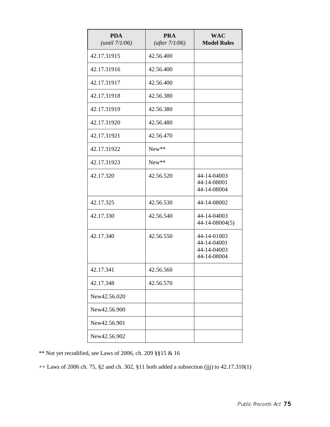| <b>PDA</b><br>(until 7/1/06) | <b>PRA</b><br>(after 7/1/06) | <b>WAC</b><br><b>Model Rules</b>                         |
|------------------------------|------------------------------|----------------------------------------------------------|
| 42.17.31915                  | 42.56.400                    |                                                          |
| 42.17.31916                  | 42.56.400                    |                                                          |
| 42.17.31917                  | 42.56.400                    |                                                          |
| 42.17.31918                  | 42.56.380                    |                                                          |
| 42.17.31919                  | 42.56.380                    |                                                          |
| 42.17.31920                  | 42.56.480                    |                                                          |
| 42.17.31921                  | 42.56.470                    |                                                          |
| 42.17.31922                  | New**                        |                                                          |
| 42.17.31923                  | New**                        |                                                          |
| 42.17.320                    | 42.56.520                    | 44-14-04003<br>44-14-08001<br>44-14-08004                |
| 42.17.325                    | 42.56.530                    | 44-14-08002                                              |
| 42.17.330                    | 42.56.540                    | 44-14-04003<br>44-14-08004(5)                            |
| 42.17.340                    | 42.56.550                    | 44-14-01003<br>44-14-04001<br>44-14-04003<br>44-14-08004 |
| 42.17.341                    | 42.56.560                    |                                                          |
| 42.17.348                    | 42.56.570                    |                                                          |
| New42.56.020                 |                              |                                                          |
| New42.56.900                 |                              |                                                          |
| New42.56.901                 |                              |                                                          |
| New42.56.902                 |                              |                                                          |

\*\* Not yet recodified, see Laws of 2006, ch. 209 §§15 & 16

++ Laws of 2006 ch. 75, §2 and ch. 302, §11 both added a subsection (jjj) to 42.17.310(1)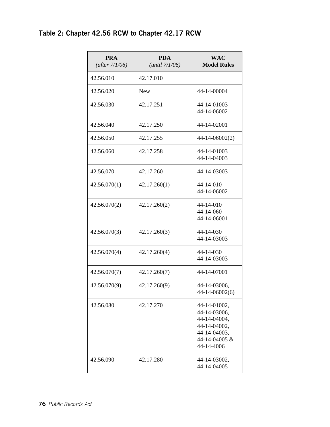### Table 2: Chapter 42.56 RCW to Chapter 42.17 RCW

| <b>PRA</b><br>(after $7/1/06$ ) | <b>PDA</b><br>(until 7/1/06) | <b>WAC</b><br><b>Model Rules</b>                                                                            |
|---------------------------------|------------------------------|-------------------------------------------------------------------------------------------------------------|
| 42.56.010                       | 42.17.010                    |                                                                                                             |
| 42.56.020                       | <b>New</b>                   | 44-14-00004                                                                                                 |
| 42.56.030                       | 42.17.251                    | 44-14-01003<br>44-14-06002                                                                                  |
| 42.56.040                       | 42.17.250                    | 44-14-02001                                                                                                 |
| 42.56.050                       | 42.17.255                    | 44-14-06002(2)                                                                                              |
| 42.56.060                       | 42.17.258                    | 44-14-01003<br>44-14-04003                                                                                  |
| 42.56.070                       | 42.17.260                    | 44-14-03003                                                                                                 |
| 42.56.070(1)                    | 42.17.260(1)                 | 44-14-010<br>44-14-06002                                                                                    |
| 42.56.070(2)                    | 42.17.260(2)                 | 44-14-010<br>44-14-060<br>44-14-06001                                                                       |
| 42.56.070(3)                    | 42.17.260(3)                 | 44-14-030<br>44-14-03003                                                                                    |
| 42.56.070(4)                    | 42.17.260(4)                 | 44-14-030<br>44-14-03003                                                                                    |
| 42.56.070(7)                    | 42.17.260(7)                 | 44-14-07001                                                                                                 |
| 42.56.070(9)                    | 42.17.260(9)                 | 44-14-03006,<br>44-14-06002(6)                                                                              |
| 42.56.080                       | 42.17.270                    | 44-14-01002,<br>44-14-03006.<br>44-14-04004,<br>44-14-04002,<br>44-14-04003,<br>44-14-04005 &<br>44-14-4006 |
| 42.56.090                       | 42.17.280                    | 44-14-03002,<br>44-14-04005                                                                                 |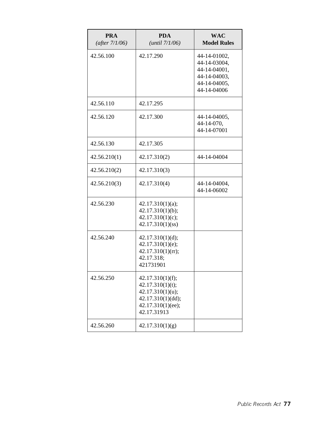| <b>PRA</b><br>(after 7/1/06) | <b>PDA</b><br>(until 7/1/06)                                                                                      | <b>WAC</b><br><b>Model Rules</b>                                                            |
|------------------------------|-------------------------------------------------------------------------------------------------------------------|---------------------------------------------------------------------------------------------|
| 42.56.100                    | 42.17.290                                                                                                         | 44-14-01002,<br>44-14-03004,<br>44-14-04001,<br>44-14-04003,<br>44-14-04005,<br>44-14-04006 |
| 42.56.110                    | 42.17.295                                                                                                         |                                                                                             |
| 42.56.120                    | 42.17.300                                                                                                         | 44-14-04005,<br>44-14-070,<br>44-14-07001                                                   |
| 42.56.130                    | 42.17.305                                                                                                         |                                                                                             |
| 42.56.210(1)                 | 42.17.310(2)                                                                                                      | 44-14-04004                                                                                 |
| 42.56.210(2)                 | 42.17.310(3)                                                                                                      |                                                                                             |
| 42.56.210(3)                 | 42.17.310(4)                                                                                                      | 44-14-04004,<br>44-14-06002                                                                 |
| 42.56.230                    | 42.17.310(1)(a);<br>42.17.310(1)(b);<br>42.17.310(1)(c);<br>42.17.310(1)(ss)                                      |                                                                                             |
| 42.56.240                    | 42.17.310(1)(d);<br>42.17.310(1)(e);<br>42.17.310(1)(rr);<br>42.17.318;<br>421731901                              |                                                                                             |
| 42.56.250                    | 42.17.310(1)(f);<br>42.17.310(1)(t);<br>42.17.310(1)(u);<br>42.17.310(1)(dd);<br>42.17.310(1)(ee);<br>42.17.31913 |                                                                                             |
| 42.56.260                    | 42.17.310(1)(g)                                                                                                   |                                                                                             |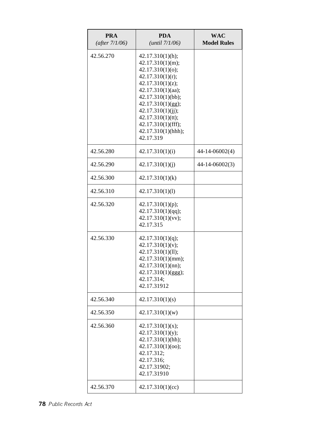| <b>PRA</b><br>(after $7/1/06$ ) | <b>PDA</b><br>(until 7/1/06)                                                                                                                                                                                                                                       | <b>WAC</b><br><b>Model Rules</b> |
|---------------------------------|--------------------------------------------------------------------------------------------------------------------------------------------------------------------------------------------------------------------------------------------------------------------|----------------------------------|
| 42.56.270                       | 42.17.310(1)(h);<br>42.17.310(1)(m);<br>42.17.310(1)(o);<br>42.17.310(1)(r);<br>42.17.310(1)(z);<br>42.17.310(1)(aa);<br>42.17.310(1)(bb);<br>42.17.310(1)(gg);<br>42.17.310(1)(jj);<br>42.17.310(1)(tt);<br>42.17.310(1)(fff);<br>42.17.310(1)(hhh);<br>42.17.319 |                                  |
| 42.56.280                       | 42.17.310(1)(i)                                                                                                                                                                                                                                                    | 44-14-06002(4)                   |
| 42.56.290                       | 42.17.310(1)(i)                                                                                                                                                                                                                                                    | 44-14-06002(3)                   |
| 42.56.300                       | 42.17.310(1)(k)                                                                                                                                                                                                                                                    |                                  |
| 42.56.310                       | 42.17.310(1)(1)                                                                                                                                                                                                                                                    |                                  |
| 42.56.320                       | 42.17.310(1)(p);<br>42.17.310(1)(qq);<br>42.17.310(1)(vv);<br>42.17.315                                                                                                                                                                                            |                                  |
| 42.56.330                       | 42.17.310(1)(q);<br>42.17.310(1)(v);<br>42.17.310(1)(11);<br>42.17.310(1)(mm);<br>42.17.310(1)(nn);<br>42.17.310(1)(ggg);<br>42.17.314;<br>42.17.31912                                                                                                             |                                  |
| 42.56.340                       | 42.17.310(1)(s)                                                                                                                                                                                                                                                    |                                  |
| 42.56.350                       | 42.17.310(1)(w)                                                                                                                                                                                                                                                    |                                  |
| 42.56.360                       | 42.17.310(1)(x);<br>42.17.310(1)(y);<br>42.17.310(1)(hh);<br>42.17.310(1)(oo);<br>42.17.312;<br>42.17.316;<br>42.17.31902;<br>42.17.31910                                                                                                                          |                                  |
| 42.56.370                       | 42.17.310(1)(cc)                                                                                                                                                                                                                                                   |                                  |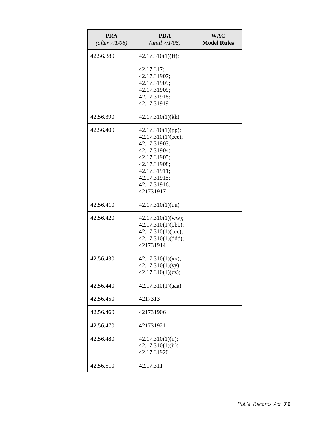| <b>PRA</b><br>(after 7/1/06) | <b>PDA</b><br>(until 7/1/06)                                                                                                                                         | <b>WAC</b><br><b>Model Rules</b> |
|------------------------------|----------------------------------------------------------------------------------------------------------------------------------------------------------------------|----------------------------------|
| 42.56.380                    | 42.17.310(1)(ff);                                                                                                                                                    |                                  |
|                              | 42.17.317;<br>42.17.31907;<br>42.17.31909;<br>42.17.31909;<br>42.17.31918;<br>42.17.31919                                                                            |                                  |
| 42.56.390                    | 42.17.310(1)(kk)                                                                                                                                                     |                                  |
| 42.56.400                    | 42.17.310(1)(pp);<br>42.17.310(1)(eee);<br>42.17.31903;<br>42.17.31904;<br>42.17.31905;<br>42.17.31908;<br>42.17.31911;<br>42.17.31915;<br>42.17.31916;<br>421731917 |                                  |
| 42.56.410                    | 42.17.310(1)(uu)                                                                                                                                                     |                                  |
| 42.56.420                    | $42.17.310(1)$ (ww);<br>42.17.310(1)(bbb);<br>42.17.310(1)(ccc);<br>42.17.310(1)(ddd);<br>421731914                                                                  |                                  |
| 42.56.430                    | 42.17.310(1)(xx);<br>42.17.310(1)(yy);<br>42.17.310(1)(zz);                                                                                                          |                                  |
| 42.56.440                    | 42.17.310(1)(aaa)                                                                                                                                                    |                                  |
| 42.56.450                    | 4217313                                                                                                                                                              |                                  |
| 42.56.460                    | 421731906                                                                                                                                                            |                                  |
| 42.56.470                    | 421731921                                                                                                                                                            |                                  |
| 42.56.480                    | 42.17.310(1)(n);<br>42.17.310(1)(ii);<br>42.17.31920                                                                                                                 |                                  |
| 42.56.510                    | 42.17.311                                                                                                                                                            |                                  |